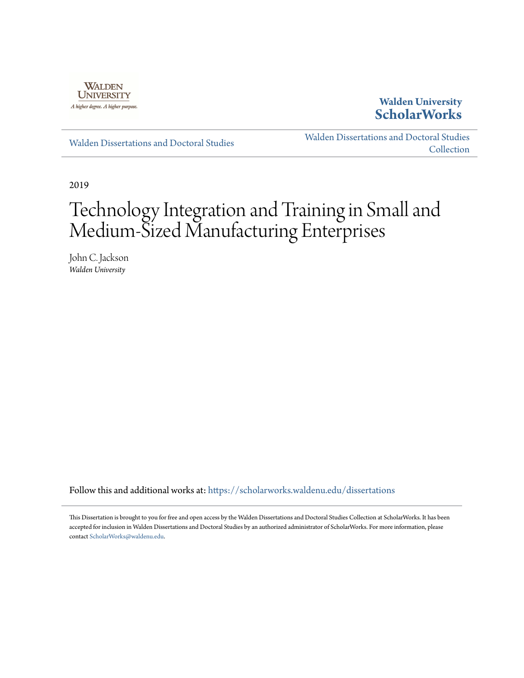

# **Walden University [ScholarWorks](https://scholarworks.waldenu.edu?utm_source=scholarworks.waldenu.edu%2Fdissertations%2F7154&utm_medium=PDF&utm_campaign=PDFCoverPages)**

[Walden Dissertations and Doctoral Studies](https://scholarworks.waldenu.edu/dissertations?utm_source=scholarworks.waldenu.edu%2Fdissertations%2F7154&utm_medium=PDF&utm_campaign=PDFCoverPages)

[Walden Dissertations and Doctoral Studies](https://scholarworks.waldenu.edu/dissanddoc?utm_source=scholarworks.waldenu.edu%2Fdissertations%2F7154&utm_medium=PDF&utm_campaign=PDFCoverPages) [Collection](https://scholarworks.waldenu.edu/dissanddoc?utm_source=scholarworks.waldenu.edu%2Fdissertations%2F7154&utm_medium=PDF&utm_campaign=PDFCoverPages)

2019

# Technology Integration and Training in Small and Medium-Sized Manufacturing Enterprises

John C. Jackson *Walden University*

Follow this and additional works at: [https://scholarworks.waldenu.edu/dissertations](https://scholarworks.waldenu.edu/dissertations?utm_source=scholarworks.waldenu.edu%2Fdissertations%2F7154&utm_medium=PDF&utm_campaign=PDFCoverPages)

This Dissertation is brought to you for free and open access by the Walden Dissertations and Doctoral Studies Collection at ScholarWorks. It has been accepted for inclusion in Walden Dissertations and Doctoral Studies by an authorized administrator of ScholarWorks. For more information, please contact [ScholarWorks@waldenu.edu](mailto:ScholarWorks@waldenu.edu).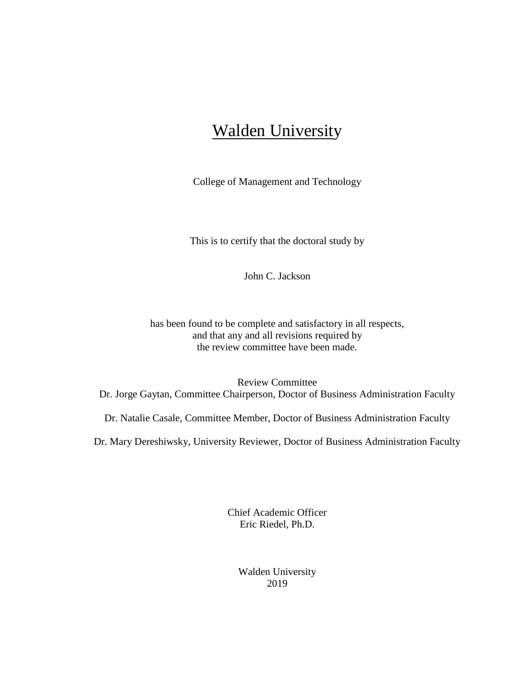# Walden University

College of Management and Technology

This is to certify that the doctoral study by

John C. Jackson

has been found to be complete and satisfactory in all respects, and that any and all revisions required by the review committee have been made.

Review Committee Dr. Jorge Gaytan, Committee Chairperson, Doctor of Business Administration Faculty

Dr. Natalie Casale, Committee Member, Doctor of Business Administration Faculty

Dr. Mary Dereshiwsky, University Reviewer, Doctor of Business Administration Faculty

Chief Academic Officer Eric Riedel, Ph.D.

> Walden University 2019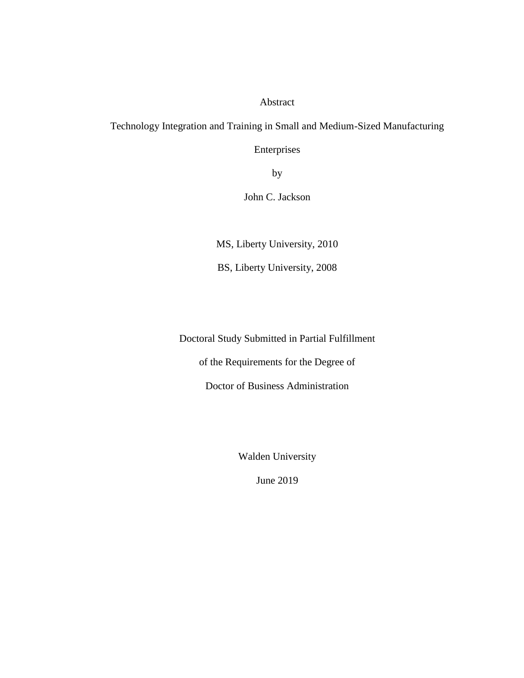# Abstract

Technology Integration and Training in Small and Medium-Sized Manufacturing

Enterprises

by

John C. Jackson

MS, Liberty University, 2010

BS, Liberty University, 2008

Doctoral Study Submitted in Partial Fulfillment

of the Requirements for the Degree of

Doctor of Business Administration

Walden University

June 2019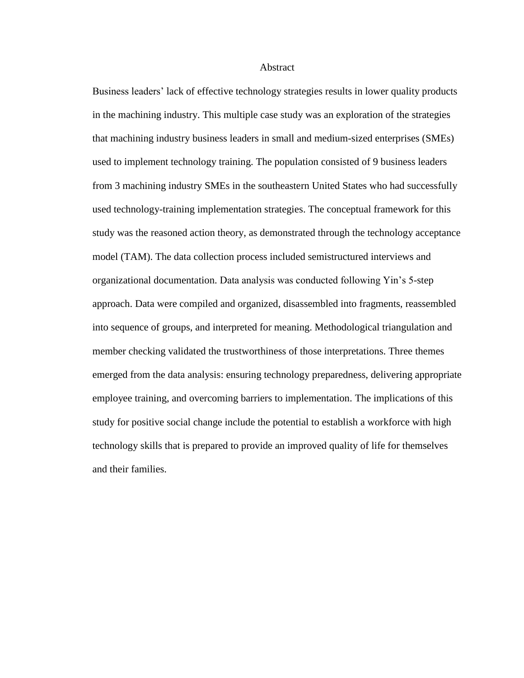#### Abstract

Business leaders' lack of effective technology strategies results in lower quality products in the machining industry. This multiple case study was an exploration of the strategies that machining industry business leaders in small and medium-sized enterprises (SMEs) used to implement technology training. The population consisted of 9 business leaders from 3 machining industry SMEs in the southeastern United States who had successfully used technology-training implementation strategies. The conceptual framework for this study was the reasoned action theory, as demonstrated through the technology acceptance model (TAM). The data collection process included semistructured interviews and organizational documentation. Data analysis was conducted following Yin's 5-step approach. Data were compiled and organized, disassembled into fragments, reassembled into sequence of groups, and interpreted for meaning. Methodological triangulation and member checking validated the trustworthiness of those interpretations. Three themes emerged from the data analysis: ensuring technology preparedness, delivering appropriate employee training, and overcoming barriers to implementation. The implications of this study for positive social change include the potential to establish a workforce with high technology skills that is prepared to provide an improved quality of life for themselves and their families.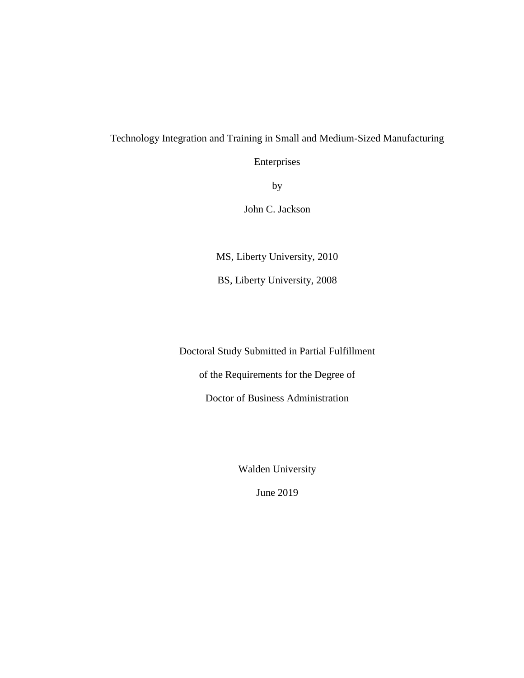# Technology Integration and Training in Small and Medium-Sized Manufacturing

Enterprises

by

John C. Jackson

MS, Liberty University, 2010

BS, Liberty University, 2008

Doctoral Study Submitted in Partial Fulfillment

of the Requirements for the Degree of

Doctor of Business Administration

Walden University

June 2019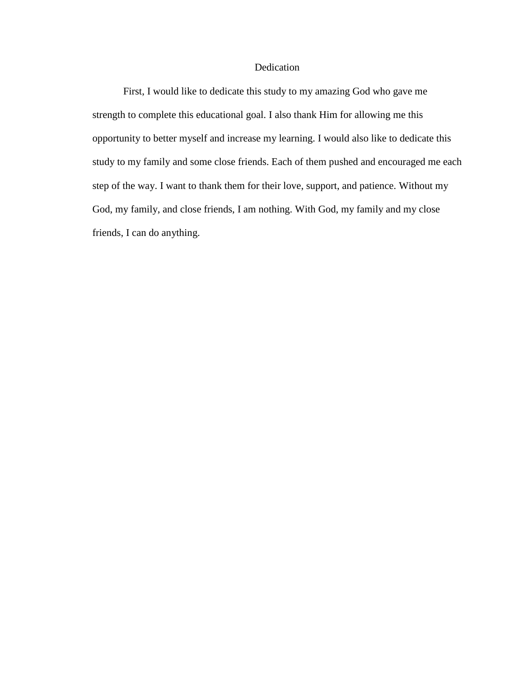# Dedication

First, I would like to dedicate this study to my amazing God who gave me strength to complete this educational goal. I also thank Him for allowing me this opportunity to better myself and increase my learning. I would also like to dedicate this study to my family and some close friends. Each of them pushed and encouraged me each step of the way. I want to thank them for their love, support, and patience. Without my God, my family, and close friends, I am nothing. With God, my family and my close friends, I can do anything.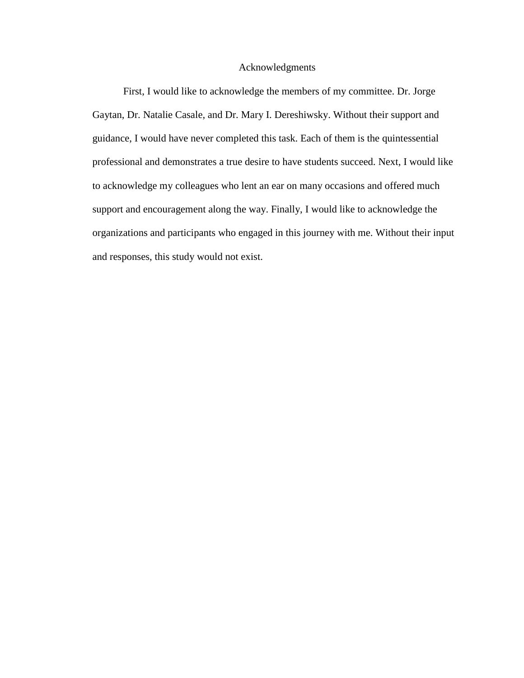# Acknowledgments

First, I would like to acknowledge the members of my committee. Dr. Jorge Gaytan, Dr. Natalie Casale, and Dr. Mary I. Dereshiwsky. Without their support and guidance, I would have never completed this task. Each of them is the quintessential professional and demonstrates a true desire to have students succeed. Next, I would like to acknowledge my colleagues who lent an ear on many occasions and offered much support and encouragement along the way. Finally, I would like to acknowledge the organizations and participants who engaged in this journey with me. Without their input and responses, this study would not exist.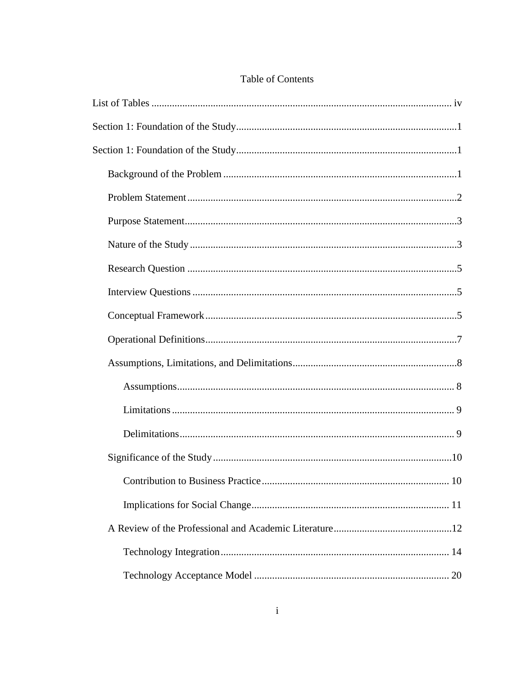# Table of Contents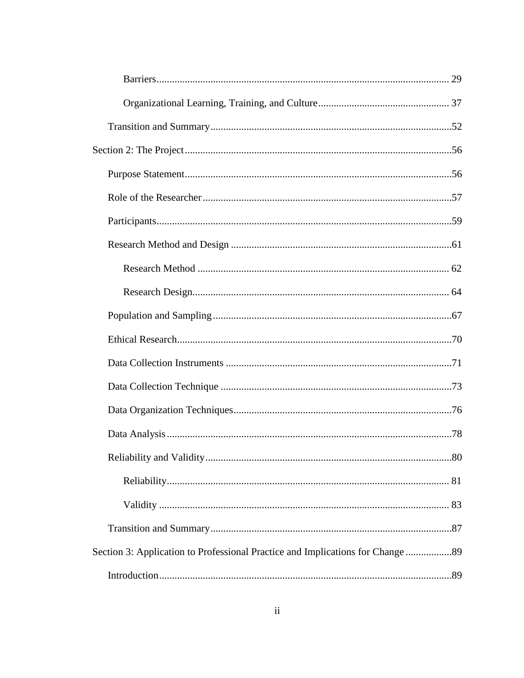| Section 3: Application to Professional Practice and Implications for Change |  |
|-----------------------------------------------------------------------------|--|
|                                                                             |  |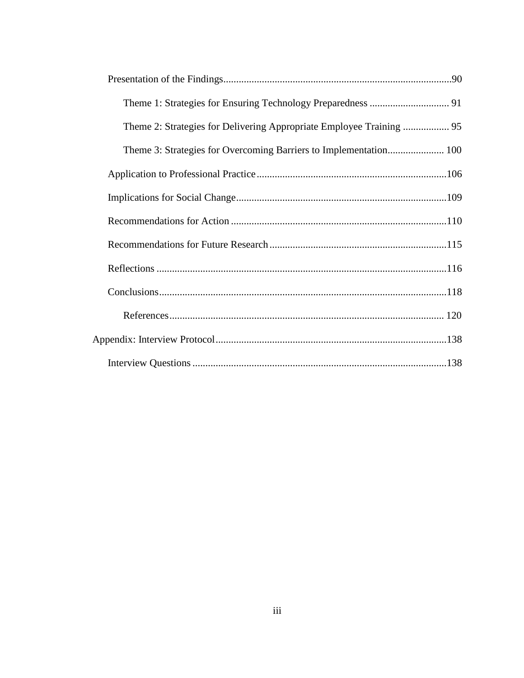| Theme 2: Strategies for Delivering Appropriate Employee Training  95 |  |
|----------------------------------------------------------------------|--|
| Theme 3: Strategies for Overcoming Barriers to Implementation 100    |  |
|                                                                      |  |
|                                                                      |  |
|                                                                      |  |
|                                                                      |  |
|                                                                      |  |
|                                                                      |  |
|                                                                      |  |
|                                                                      |  |
|                                                                      |  |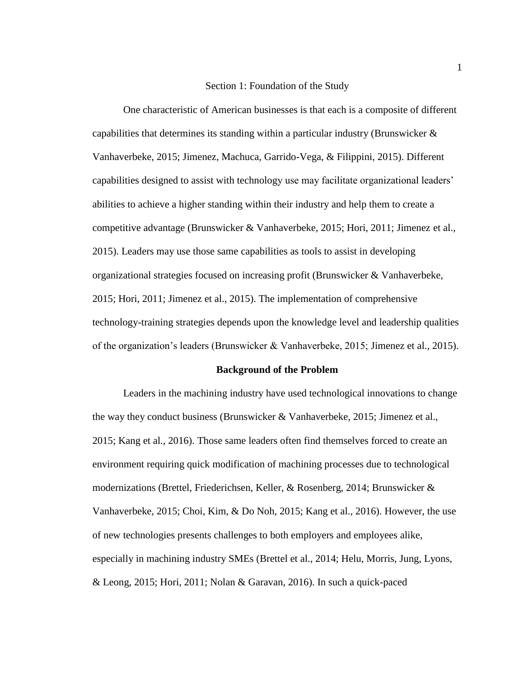#### Section 1: Foundation of the Study

<span id="page-10-0"></span>One characteristic of American businesses is that each is a composite of different capabilities that determines its standing within a particular industry (Brunswicker  $\&$ Vanhaverbeke, 2015; Jimenez, Machuca, Garrido-Vega, & Filippini, 2015). Different capabilities designed to assist with technology use may facilitate organizational leaders' abilities to achieve a higher standing within their industry and help them to create a competitive advantage (Brunswicker & Vanhaverbeke, 2015; Hori, 2011; Jimenez et al., 2015). Leaders may use those same capabilities as tools to assist in developing organizational strategies focused on increasing profit (Brunswicker & Vanhaverbeke, 2015; Hori, 2011; Jimenez et al., 2015). The implementation of comprehensive technology-training strategies depends upon the knowledge level and leadership qualities of the organization's leaders (Brunswicker & Vanhaverbeke, 2015; Jimenez et al., 2015).

### **Background of the Problem**

<span id="page-10-1"></span>Leaders in the machining industry have used technological innovations to change the way they conduct business (Brunswicker & Vanhaverbeke, 2015; Jimenez et al., 2015; Kang et al., 2016). Those same leaders often find themselves forced to create an environment requiring quick modification of machining processes due to technological modernizations (Brettel, Friederichsen, Keller, & Rosenberg, 2014; Brunswicker & Vanhaverbeke, 2015; Choi, Kim, & Do Noh, 2015; Kang et al., 2016). However, the use of new technologies presents challenges to both employers and employees alike, especially in machining industry SMEs (Brettel et al., 2014; Helu, Morris, Jung, Lyons, & Leong, 2015; Hori, 2011; Nolan & Garavan, 2016). In such a quick-paced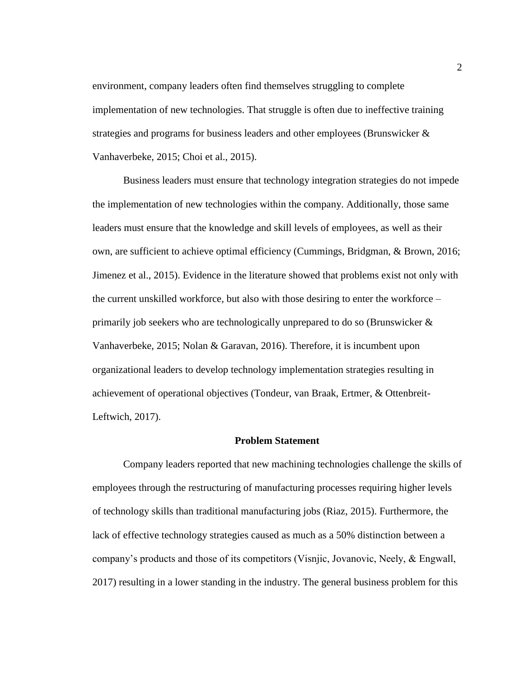environment, company leaders often find themselves struggling to complete implementation of new technologies. That struggle is often due to ineffective training strategies and programs for business leaders and other employees (Brunswicker & Vanhaverbeke, 2015; Choi et al., 2015).

Business leaders must ensure that technology integration strategies do not impede the implementation of new technologies within the company. Additionally, those same leaders must ensure that the knowledge and skill levels of employees, as well as their own, are sufficient to achieve optimal efficiency (Cummings, Bridgman, & Brown, 2016; Jimenez et al., 2015). Evidence in the literature showed that problems exist not only with the current unskilled workforce, but also with those desiring to enter the workforce – primarily job seekers who are technologically unprepared to do so (Brunswicker & Vanhaverbeke, 2015; Nolan & Garavan, 2016). Therefore, it is incumbent upon organizational leaders to develop technology implementation strategies resulting in achievement of operational objectives (Tondeur, van Braak, Ertmer, & Ottenbreit-Leftwich, 2017).

#### **Problem Statement**

<span id="page-11-0"></span>Company leaders reported that new machining technologies challenge the skills of employees through the restructuring of manufacturing processes requiring higher levels of technology skills than traditional manufacturing jobs (Riaz, 2015). Furthermore, the lack of effective technology strategies caused as much as a 50% distinction between a company's products and those of its competitors (Visnjic, Jovanovic, Neely, & Engwall, 2017) resulting in a lower standing in the industry. The general business problem for this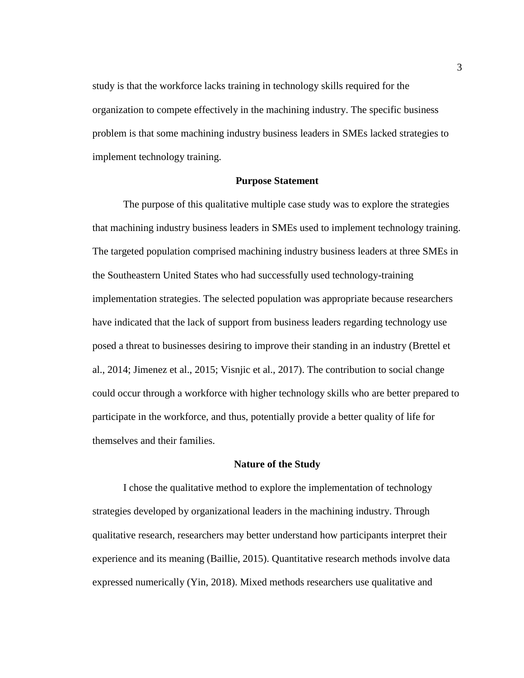study is that the workforce lacks training in technology skills required for the organization to compete effectively in the machining industry. The specific business problem is that some machining industry business leaders in SMEs lacked strategies to implement technology training.

# **Purpose Statement**

<span id="page-12-0"></span>The purpose of this qualitative multiple case study was to explore the strategies that machining industry business leaders in SMEs used to implement technology training. The targeted population comprised machining industry business leaders at three SMEs in the Southeastern United States who had successfully used technology-training implementation strategies. The selected population was appropriate because researchers have indicated that the lack of support from business leaders regarding technology use posed a threat to businesses desiring to improve their standing in an industry (Brettel et al., 2014; Jimenez et al., 2015; Visnjic et al., 2017). The contribution to social change could occur through a workforce with higher technology skills who are better prepared to participate in the workforce, and thus, potentially provide a better quality of life for themselves and their families.

# **Nature of the Study**

<span id="page-12-1"></span>I chose the qualitative method to explore the implementation of technology strategies developed by organizational leaders in the machining industry. Through qualitative research, researchers may better understand how participants interpret their experience and its meaning (Baillie, 2015). Quantitative research methods involve data expressed numerically (Yin, 2018). Mixed methods researchers use qualitative and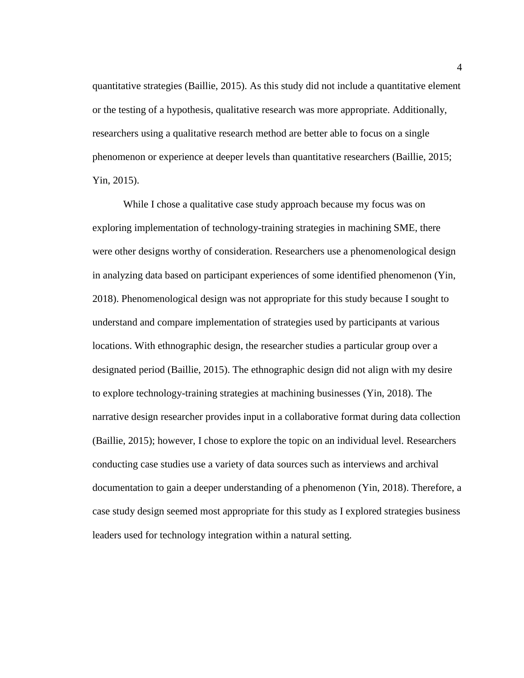quantitative strategies (Baillie, 2015). As this study did not include a quantitative element or the testing of a hypothesis, qualitative research was more appropriate. Additionally, researchers using a qualitative research method are better able to focus on a single phenomenon or experience at deeper levels than quantitative researchers (Baillie, 2015; Yin, 2015).

While I chose a qualitative case study approach because my focus was on exploring implementation of technology-training strategies in machining SME, there were other designs worthy of consideration. Researchers use a phenomenological design in analyzing data based on participant experiences of some identified phenomenon (Yin, 2018). Phenomenological design was not appropriate for this study because I sought to understand and compare implementation of strategies used by participants at various locations. With ethnographic design, the researcher studies a particular group over a designated period (Baillie, 2015). The ethnographic design did not align with my desire to explore technology-training strategies at machining businesses (Yin, 2018). The narrative design researcher provides input in a collaborative format during data collection (Baillie, 2015); however, I chose to explore the topic on an individual level. Researchers conducting case studies use a variety of data sources such as interviews and archival documentation to gain a deeper understanding of a phenomenon (Yin, 2018). Therefore, a case study design seemed most appropriate for this study as I explored strategies business leaders used for technology integration within a natural setting.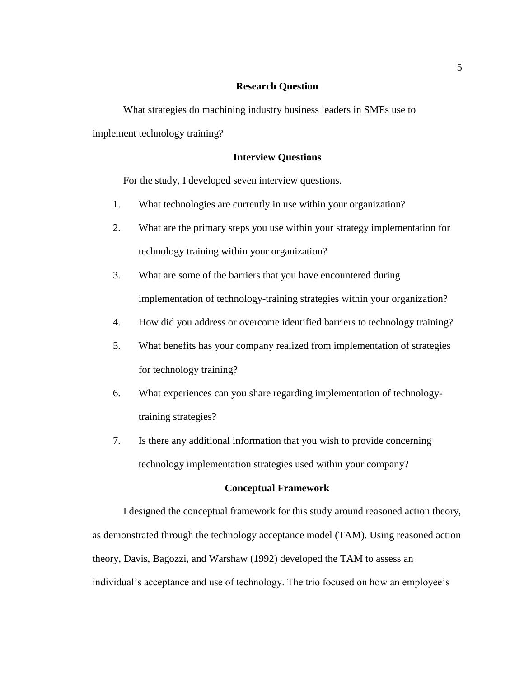# **Research Question**

<span id="page-14-0"></span>What strategies do machining industry business leaders in SMEs use to implement technology training?

# **Interview Questions**

<span id="page-14-1"></span>For the study, I developed seven interview questions.

- 1. What technologies are currently in use within your organization?
- 2. What are the primary steps you use within your strategy implementation for technology training within your organization?
- 3. What are some of the barriers that you have encountered during implementation of technology-training strategies within your organization?
- 4. How did you address or overcome identified barriers to technology training?
- 5. What benefits has your company realized from implementation of strategies for technology training?
- 6. What experiences can you share regarding implementation of technologytraining strategies?
- 7. Is there any additional information that you wish to provide concerning technology implementation strategies used within your company?

## **Conceptual Framework**

<span id="page-14-2"></span>I designed the conceptual framework for this study around reasoned action theory, as demonstrated through the technology acceptance model (TAM). Using reasoned action theory, Davis, Bagozzi, and Warshaw (1992) developed the TAM to assess an individual's acceptance and use of technology. The trio focused on how an employee's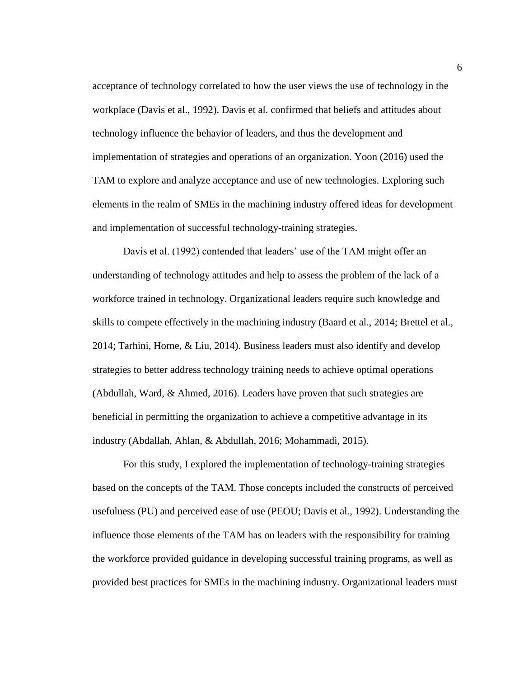acceptance of technology correlated to how the user views the use of technology in the workplace (Davis et al., 1992). Davis et al. confirmed that beliefs and attitudes about technology influence the behavior of leaders, and thus the development and implementation of strategies and operations of an organization. Yoon (2016) used the TAM to explore and analyze acceptance and use of new technologies. Exploring such elements in the realm of SMEs in the machining industry offered ideas for development and implementation of successful technology-training strategies.

Davis et al. (1992) contended that leaders' use of the TAM might offer an understanding of technology attitudes and help to assess the problem of the lack of a workforce trained in technology. Organizational leaders require such knowledge and skills to compete effectively in the machining industry (Baard et al., 2014; Brettel et al., 2014; Tarhini, Horne, & Liu, 2014). Business leaders must also identify and develop strategies to better address technology training needs to achieve optimal operations (Abdullah, Ward, & Ahmed, 2016). Leaders have proven that such strategies are beneficial in permitting the organization to achieve a competitive advantage in its industry (Abdallah, Ahlan, & Abdullah, 2016; Mohammadi, 2015).

For this study, I explored the implementation of technology-training strategies based on the concepts of the TAM. Those concepts included the constructs of perceived usefulness (PU) and perceived ease of use (PEOU; Davis et al., 1992). Understanding the influence those elements of the TAM has on leaders with the responsibility for training the workforce provided guidance in developing successful training programs, as well as provided best practices for SMEs in the machining industry. Organizational leaders must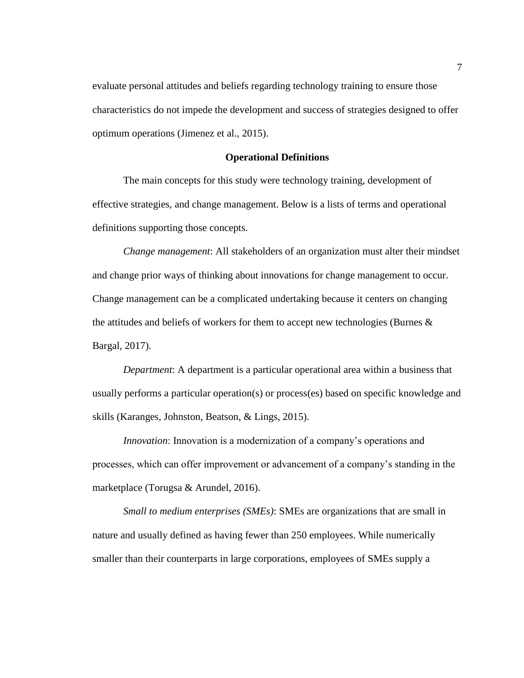evaluate personal attitudes and beliefs regarding technology training to ensure those characteristics do not impede the development and success of strategies designed to offer optimum operations (Jimenez et al., 2015).

# **Operational Definitions**

<span id="page-16-0"></span>The main concepts for this study were technology training, development of effective strategies, and change management. Below is a lists of terms and operational definitions supporting those concepts.

*Change management*: All stakeholders of an organization must alter their mindset and change prior ways of thinking about innovations for change management to occur. Change management can be a complicated undertaking because it centers on changing the attitudes and beliefs of workers for them to accept new technologies (Burnes  $\&$ Bargal, 2017).

*Department*: A department is a particular operational area within a business that usually performs a particular operation(s) or process(es) based on specific knowledge and skills (Karanges, Johnston, Beatson, & Lings, 2015).

*Innovation*: Innovation is a modernization of a company's operations and processes, which can offer improvement or advancement of a company's standing in the marketplace (Torugsa & Arundel, 2016).

*Small to medium enterprises (SMEs)*: SMEs are organizations that are small in nature and usually defined as having fewer than 250 employees. While numerically smaller than their counterparts in large corporations, employees of SMEs supply a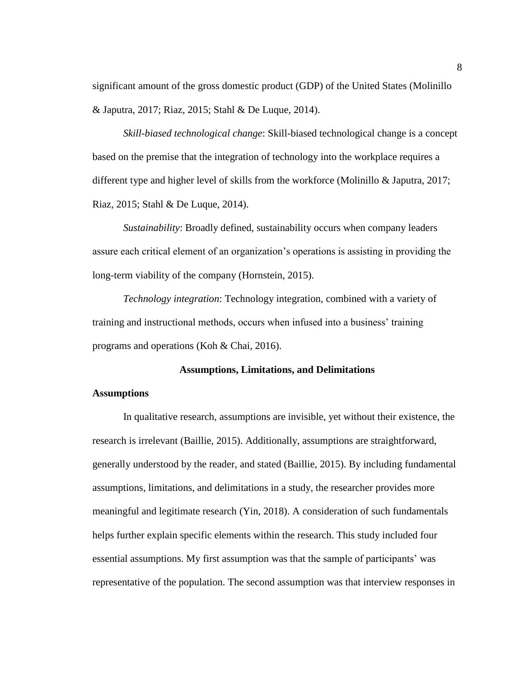significant amount of the gross domestic product (GDP) of the United States (Molinillo & Japutra, 2017; Riaz, 2015; Stahl & De Luque, 2014).

*Skill-biased technological change*: Skill-biased technological change is a concept based on the premise that the integration of technology into the workplace requires a different type and higher level of skills from the workforce (Molinillo & Japutra, 2017; Riaz, 2015; Stahl & De Luque, 2014).

*Sustainability*: Broadly defined, sustainability occurs when company leaders assure each critical element of an organization's operations is assisting in providing the long-term viability of the company (Hornstein, 2015).

*Technology integration*: Technology integration, combined with a variety of training and instructional methods, occurs when infused into a business' training programs and operations (Koh & Chai, 2016).

# **Assumptions, Limitations, and Delimitations**

# <span id="page-17-1"></span><span id="page-17-0"></span>**Assumptions**

In qualitative research, assumptions are invisible, yet without their existence, the research is irrelevant (Baillie, 2015). Additionally, assumptions are straightforward, generally understood by the reader, and stated (Baillie, 2015). By including fundamental assumptions, limitations, and delimitations in a study, the researcher provides more meaningful and legitimate research (Yin, 2018). A consideration of such fundamentals helps further explain specific elements within the research. This study included four essential assumptions. My first assumption was that the sample of participants' was representative of the population. The second assumption was that interview responses in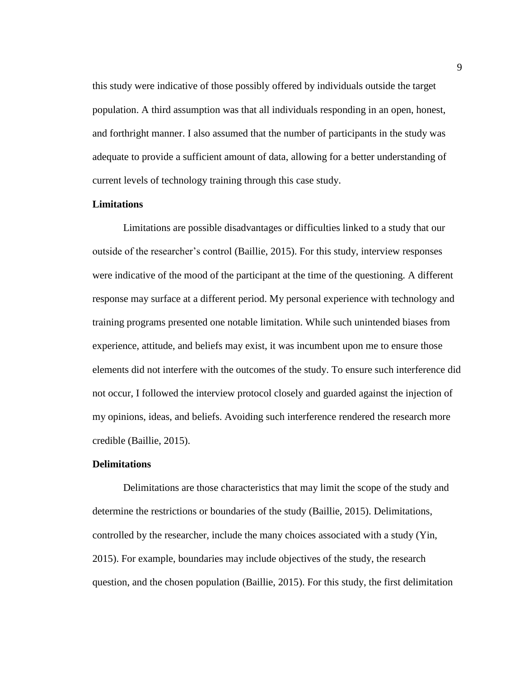this study were indicative of those possibly offered by individuals outside the target population. A third assumption was that all individuals responding in an open, honest, and forthright manner. I also assumed that the number of participants in the study was adequate to provide a sufficient amount of data, allowing for a better understanding of current levels of technology training through this case study.

# <span id="page-18-0"></span>**Limitations**

Limitations are possible disadvantages or difficulties linked to a study that our outside of the researcher's control (Baillie, 2015). For this study, interview responses were indicative of the mood of the participant at the time of the questioning. A different response may surface at a different period. My personal experience with technology and training programs presented one notable limitation. While such unintended biases from experience, attitude, and beliefs may exist, it was incumbent upon me to ensure those elements did not interfere with the outcomes of the study. To ensure such interference did not occur, I followed the interview protocol closely and guarded against the injection of my opinions, ideas, and beliefs. Avoiding such interference rendered the research more credible (Baillie, 2015).

# <span id="page-18-1"></span>**Delimitations**

Delimitations are those characteristics that may limit the scope of the study and determine the restrictions or boundaries of the study (Baillie, 2015). Delimitations, controlled by the researcher, include the many choices associated with a study (Yin, 2015). For example, boundaries may include objectives of the study, the research question, and the chosen population (Baillie, 2015). For this study, the first delimitation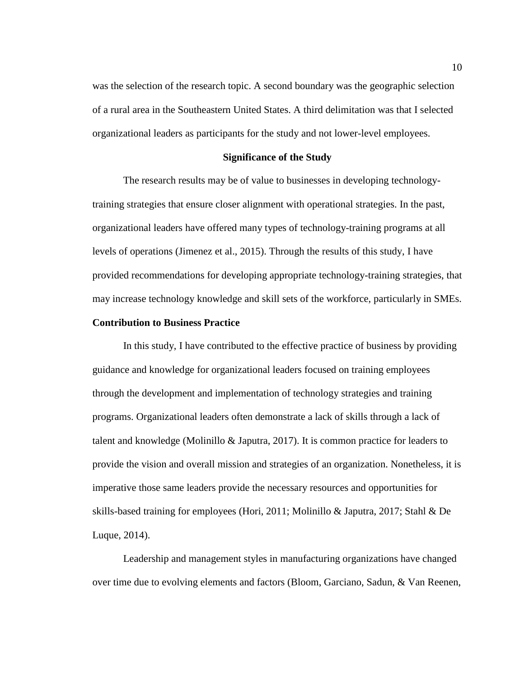was the selection of the research topic. A second boundary was the geographic selection of a rural area in the Southeastern United States. A third delimitation was that I selected organizational leaders as participants for the study and not lower-level employees.

# **Significance of the Study**

<span id="page-19-0"></span>The research results may be of value to businesses in developing technologytraining strategies that ensure closer alignment with operational strategies. In the past, organizational leaders have offered many types of technology-training programs at all levels of operations (Jimenez et al., 2015). Through the results of this study, I have provided recommendations for developing appropriate technology-training strategies, that may increase technology knowledge and skill sets of the workforce, particularly in SMEs.

# <span id="page-19-1"></span>**Contribution to Business Practice**

In this study, I have contributed to the effective practice of business by providing guidance and knowledge for organizational leaders focused on training employees through the development and implementation of technology strategies and training programs. Organizational leaders often demonstrate a lack of skills through a lack of talent and knowledge (Molinillo & Japutra, 2017). It is common practice for leaders to provide the vision and overall mission and strategies of an organization. Nonetheless, it is imperative those same leaders provide the necessary resources and opportunities for skills-based training for employees (Hori, 2011; Molinillo & Japutra, 2017; Stahl & De Luque, 2014).

Leadership and management styles in manufacturing organizations have changed over time due to evolving elements and factors (Bloom, Garciano, Sadun, & Van Reenen,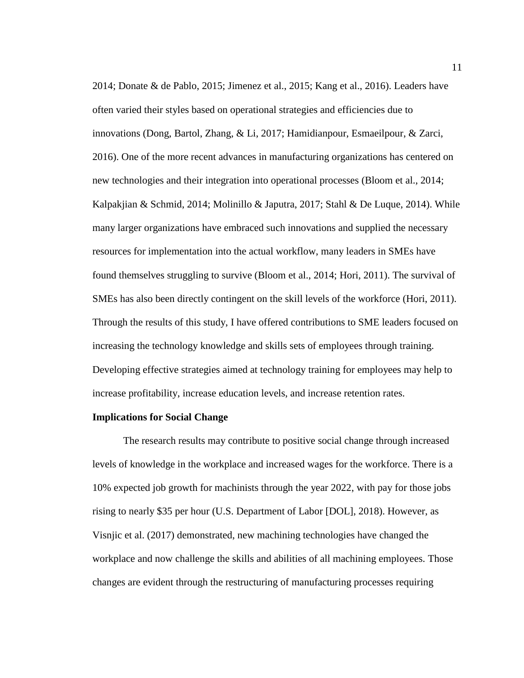2014; Donate & de Pablo, 2015; Jimenez et al., 2015; Kang et al., 2016). Leaders have often varied their styles based on operational strategies and efficiencies due to innovations (Dong, Bartol, Zhang, & Li, 2017; Hamidianpour, Esmaeilpour, & Zarci, 2016). One of the more recent advances in manufacturing organizations has centered on new technologies and their integration into operational processes (Bloom et al., 2014; Kalpakjian & Schmid, 2014; Molinillo & Japutra, 2017; Stahl & De Luque, 2014). While many larger organizations have embraced such innovations and supplied the necessary resources for implementation into the actual workflow, many leaders in SMEs have found themselves struggling to survive (Bloom et al., 2014; Hori, 2011). The survival of SMEs has also been directly contingent on the skill levels of the workforce (Hori, 2011). Through the results of this study, I have offered contributions to SME leaders focused on increasing the technology knowledge and skills sets of employees through training. Developing effective strategies aimed at technology training for employees may help to increase profitability, increase education levels, and increase retention rates.

#### <span id="page-20-0"></span>**Implications for Social Change**

The research results may contribute to positive social change through increased levels of knowledge in the workplace and increased wages for the workforce. There is a 10% expected job growth for machinists through the year 2022, with pay for those jobs rising to nearly \$35 per hour (U.S. Department of Labor [DOL], 2018). However, as Visnjic et al. (2017) demonstrated, new machining technologies have changed the workplace and now challenge the skills and abilities of all machining employees. Those changes are evident through the restructuring of manufacturing processes requiring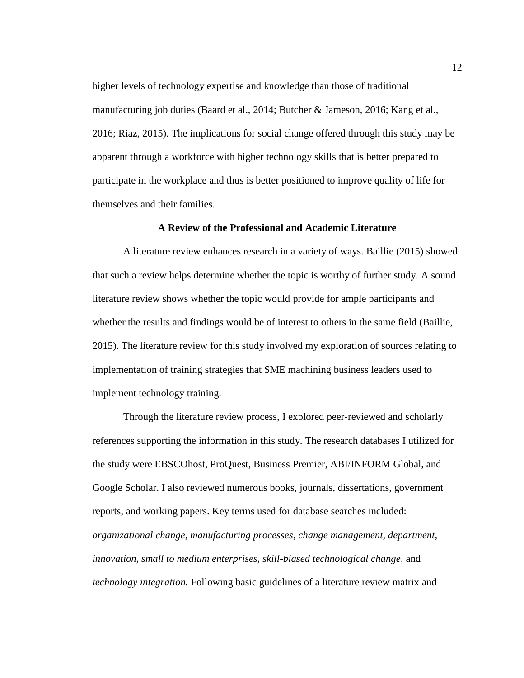higher levels of technology expertise and knowledge than those of traditional manufacturing job duties (Baard et al., 2014; Butcher & Jameson, 2016; Kang et al., 2016; Riaz, 2015). The implications for social change offered through this study may be apparent through a workforce with higher technology skills that is better prepared to participate in the workplace and thus is better positioned to improve quality of life for themselves and their families.

## **A Review of the Professional and Academic Literature**

<span id="page-21-0"></span>A literature review enhances research in a variety of ways. Baillie (2015) showed that such a review helps determine whether the topic is worthy of further study. A sound literature review shows whether the topic would provide for ample participants and whether the results and findings would be of interest to others in the same field (Baillie, 2015). The literature review for this study involved my exploration of sources relating to implementation of training strategies that SME machining business leaders used to implement technology training.

Through the literature review process, I explored peer-reviewed and scholarly references supporting the information in this study. The research databases I utilized for the study were EBSCOhost, ProQuest, Business Premier, ABI/INFORM Global, and Google Scholar. I also reviewed numerous books, journals, dissertations, government reports, and working papers. Key terms used for database searches included: *organizational change, manufacturing processes, change management, department, innovation, small to medium enterprises, skill-biased technological change,* and *technology integration.* Following basic guidelines of a literature review matrix and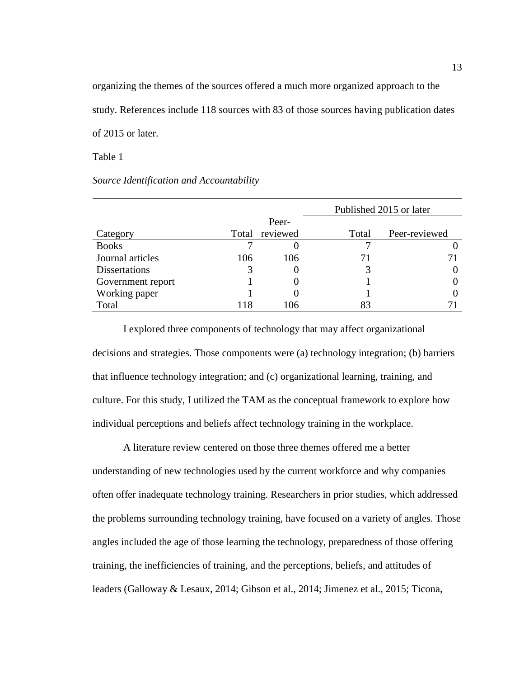organizing the themes of the sources offered a much more organized approach to the study. References include 118 sources with 83 of those sources having publication dates of 2015 or later.

Table 1

# *Source Identification and Accountability*

|                      |     |                | Published 2015 or later |               |
|----------------------|-----|----------------|-------------------------|---------------|
|                      |     | Peer-          |                         |               |
| Category             |     | Total reviewed | Total                   | Peer-reviewed |
| <b>Books</b>         |     |                |                         |               |
| Journal articles     | 106 | 106            |                         |               |
| <b>Dissertations</b> |     |                |                         |               |
| Government report    |     |                |                         |               |
| Working paper        |     |                |                         |               |
| Total                | 118 | 106            | 83                      |               |

I explored three components of technology that may affect organizational decisions and strategies. Those components were (a) technology integration; (b) barriers that influence technology integration; and (c) organizational learning, training, and culture. For this study, I utilized the TAM as the conceptual framework to explore how individual perceptions and beliefs affect technology training in the workplace.

A literature review centered on those three themes offered me a better understanding of new technologies used by the current workforce and why companies often offer inadequate technology training. Researchers in prior studies, which addressed the problems surrounding technology training, have focused on a variety of angles. Those angles included the age of those learning the technology, preparedness of those offering training, the inefficiencies of training, and the perceptions, beliefs, and attitudes of leaders (Galloway & Lesaux, 2014; Gibson et al., 2014; Jimenez et al., 2015; Ticona,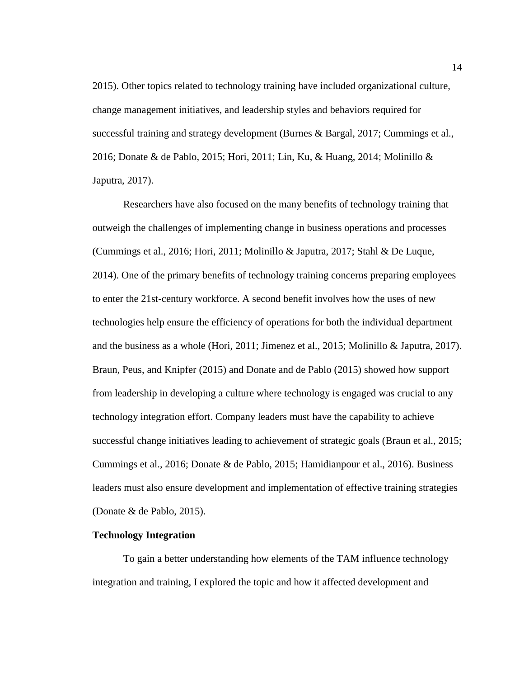2015). Other topics related to technology training have included organizational culture, change management initiatives, and leadership styles and behaviors required for successful training and strategy development (Burnes & Bargal, 2017; Cummings et al., 2016; Donate & de Pablo, 2015; Hori, 2011; Lin, Ku, & Huang, 2014; Molinillo & Japutra, 2017).

Researchers have also focused on the many benefits of technology training that outweigh the challenges of implementing change in business operations and processes (Cummings et al., 2016; Hori, 2011; Molinillo & Japutra, 2017; Stahl & De Luque, 2014). One of the primary benefits of technology training concerns preparing employees to enter the 21st-century workforce. A second benefit involves how the uses of new technologies help ensure the efficiency of operations for both the individual department and the business as a whole (Hori, 2011; Jimenez et al., 2015; Molinillo & Japutra, 2017). Braun, Peus, and Knipfer (2015) and Donate and de Pablo (2015) showed how support from leadership in developing a culture where technology is engaged was crucial to any technology integration effort. Company leaders must have the capability to achieve successful change initiatives leading to achievement of strategic goals (Braun et al., 2015; Cummings et al., 2016; Donate & de Pablo, 2015; Hamidianpour et al., 2016). Business leaders must also ensure development and implementation of effective training strategies (Donate & de Pablo, 2015).

# <span id="page-23-0"></span>**Technology Integration**

To gain a better understanding how elements of the TAM influence technology integration and training, I explored the topic and how it affected development and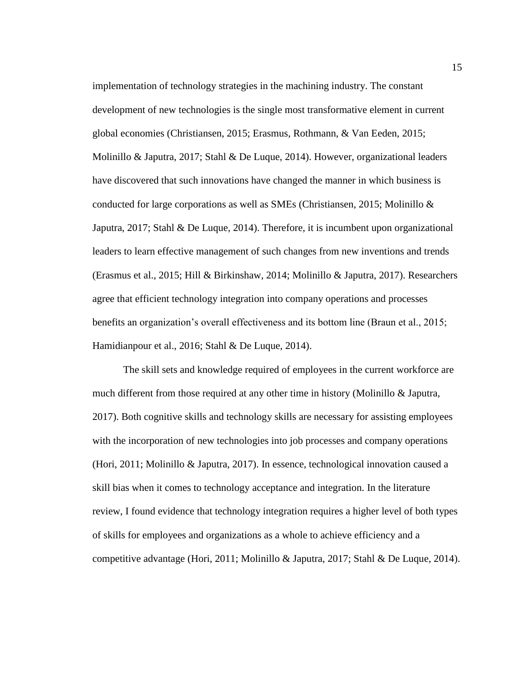implementation of technology strategies in the machining industry. The constant development of new technologies is the single most transformative element in current global economies (Christiansen, 2015; Erasmus, Rothmann, & Van Eeden, 2015; Molinillo & Japutra, 2017; Stahl & De Luque, 2014). However, organizational leaders have discovered that such innovations have changed the manner in which business is conducted for large corporations as well as SMEs (Christiansen, 2015; Molinillo & Japutra, 2017; Stahl & De Luque, 2014). Therefore, it is incumbent upon organizational leaders to learn effective management of such changes from new inventions and trends (Erasmus et al., 2015; Hill & Birkinshaw, 2014; Molinillo & Japutra, 2017). Researchers agree that efficient technology integration into company operations and processes benefits an organization's overall effectiveness and its bottom line (Braun et al., 2015; Hamidianpour et al., 2016; Stahl & De Luque, 2014).

The skill sets and knowledge required of employees in the current workforce are much different from those required at any other time in history (Molinillo & Japutra, 2017). Both cognitive skills and technology skills are necessary for assisting employees with the incorporation of new technologies into job processes and company operations (Hori, 2011; Molinillo & Japutra, 2017). In essence, technological innovation caused a skill bias when it comes to technology acceptance and integration. In the literature review, I found evidence that technology integration requires a higher level of both types of skills for employees and organizations as a whole to achieve efficiency and a competitive advantage (Hori, 2011; Molinillo & Japutra, 2017; Stahl & De Luque, 2014).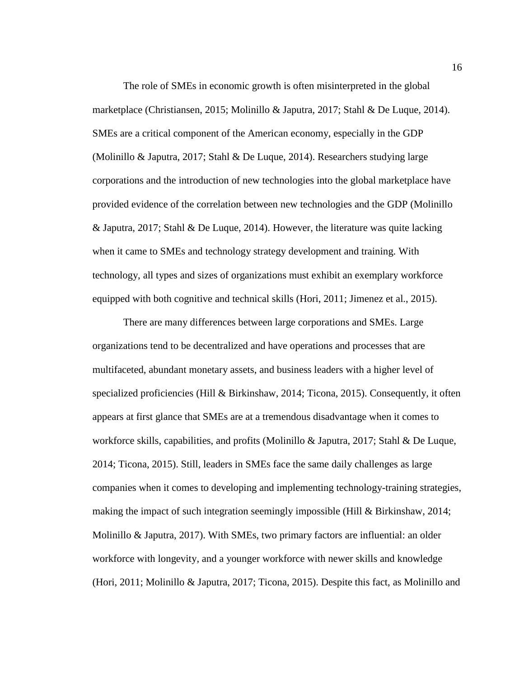The role of SMEs in economic growth is often misinterpreted in the global marketplace (Christiansen, 2015; Molinillo & Japutra, 2017; Stahl & De Luque, 2014). SMEs are a critical component of the American economy, especially in the GDP (Molinillo & Japutra, 2017; Stahl & De Luque, 2014). Researchers studying large corporations and the introduction of new technologies into the global marketplace have provided evidence of the correlation between new technologies and the GDP (Molinillo & Japutra, 2017; Stahl & De Luque, 2014). However, the literature was quite lacking when it came to SMEs and technology strategy development and training. With technology, all types and sizes of organizations must exhibit an exemplary workforce equipped with both cognitive and technical skills (Hori, 2011; Jimenez et al., 2015).

There are many differences between large corporations and SMEs. Large organizations tend to be decentralized and have operations and processes that are multifaceted, abundant monetary assets, and business leaders with a higher level of specialized proficiencies (Hill & Birkinshaw, 2014; Ticona, 2015). Consequently, it often appears at first glance that SMEs are at a tremendous disadvantage when it comes to workforce skills, capabilities, and profits (Molinillo & Japutra, 2017; Stahl & De Luque, 2014; Ticona, 2015). Still, leaders in SMEs face the same daily challenges as large companies when it comes to developing and implementing technology-training strategies, making the impact of such integration seemingly impossible (Hill & Birkinshaw, 2014; Molinillo  $\&$  Japutra, 2017). With SMEs, two primary factors are influential: an older workforce with longevity, and a younger workforce with newer skills and knowledge (Hori, 2011; Molinillo & Japutra, 2017; Ticona, 2015). Despite this fact, as Molinillo and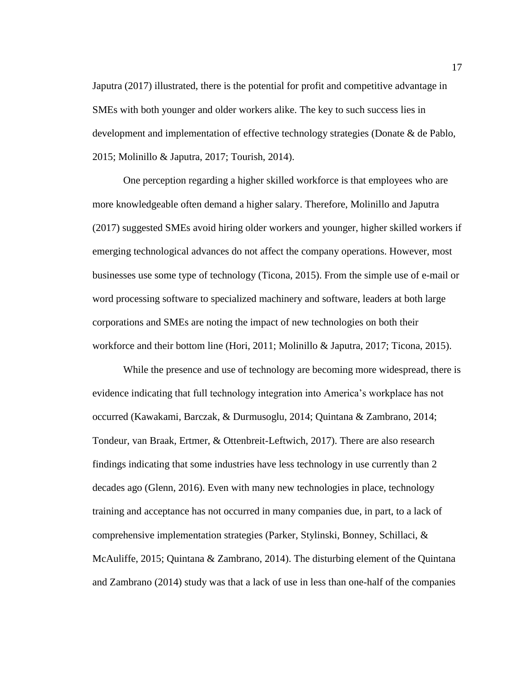Japutra (2017) illustrated, there is the potential for profit and competitive advantage in SMEs with both younger and older workers alike. The key to such success lies in development and implementation of effective technology strategies (Donate & de Pablo, 2015; Molinillo & Japutra, 2017; Tourish, 2014).

One perception regarding a higher skilled workforce is that employees who are more knowledgeable often demand a higher salary. Therefore, Molinillo and Japutra (2017) suggested SMEs avoid hiring older workers and younger, higher skilled workers if emerging technological advances do not affect the company operations. However, most businesses use some type of technology (Ticona, 2015). From the simple use of e-mail or word processing software to specialized machinery and software, leaders at both large corporations and SMEs are noting the impact of new technologies on both their workforce and their bottom line (Hori, 2011; Molinillo & Japutra, 2017; Ticona, 2015).

While the presence and use of technology are becoming more widespread, there is evidence indicating that full technology integration into America's workplace has not occurred (Kawakami, Barczak, & Durmusoglu, 2014; Quintana & Zambrano, 2014; Tondeur, van Braak, Ertmer, & Ottenbreit-Leftwich, 2017). There are also research findings indicating that some industries have less technology in use currently than 2 decades ago (Glenn, 2016). Even with many new technologies in place, technology training and acceptance has not occurred in many companies due, in part, to a lack of comprehensive implementation strategies (Parker, Stylinski, Bonney, Schillaci, & McAuliffe, 2015; Quintana & Zambrano, 2014). The disturbing element of the Quintana and Zambrano (2014) study was that a lack of use in less than one-half of the companies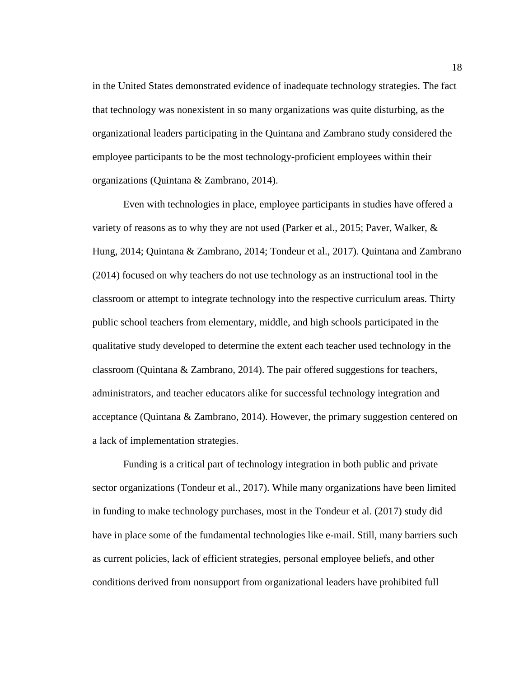in the United States demonstrated evidence of inadequate technology strategies. The fact that technology was nonexistent in so many organizations was quite disturbing, as the organizational leaders participating in the Quintana and Zambrano study considered the employee participants to be the most technology-proficient employees within their organizations (Quintana & Zambrano, 2014).

Even with technologies in place, employee participants in studies have offered a variety of reasons as to why they are not used (Parker et al., 2015; Paver, Walker, & Hung, 2014; Quintana & Zambrano, 2014; Tondeur et al., 2017). Quintana and Zambrano (2014) focused on why teachers do not use technology as an instructional tool in the classroom or attempt to integrate technology into the respective curriculum areas. Thirty public school teachers from elementary, middle, and high schools participated in the qualitative study developed to determine the extent each teacher used technology in the classroom (Quintana & Zambrano, 2014). The pair offered suggestions for teachers, administrators, and teacher educators alike for successful technology integration and acceptance (Quintana & Zambrano, 2014). However, the primary suggestion centered on a lack of implementation strategies.

Funding is a critical part of technology integration in both public and private sector organizations (Tondeur et al., 2017). While many organizations have been limited in funding to make technology purchases, most in the Tondeur et al. (2017) study did have in place some of the fundamental technologies like e-mail. Still, many barriers such as current policies, lack of efficient strategies, personal employee beliefs, and other conditions derived from nonsupport from organizational leaders have prohibited full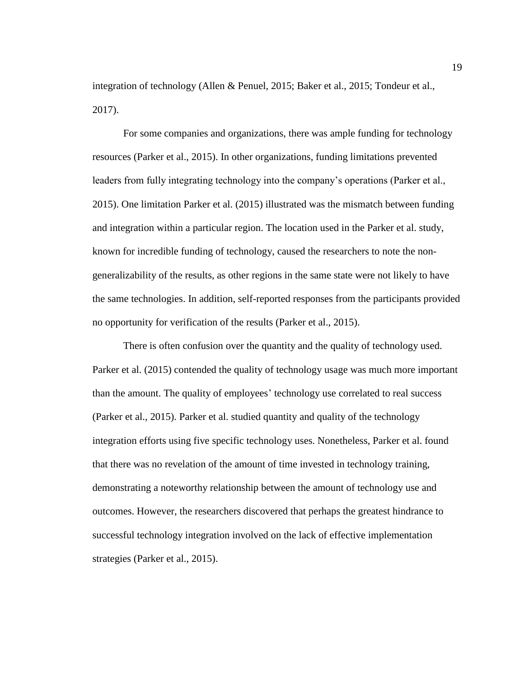integration of technology (Allen & Penuel, 2015; Baker et al., 2015; Tondeur et al., 2017).

For some companies and organizations, there was ample funding for technology resources (Parker et al., 2015). In other organizations, funding limitations prevented leaders from fully integrating technology into the company's operations (Parker et al., 2015). One limitation Parker et al. (2015) illustrated was the mismatch between funding and integration within a particular region. The location used in the Parker et al. study, known for incredible funding of technology, caused the researchers to note the nongeneralizability of the results, as other regions in the same state were not likely to have the same technologies. In addition, self-reported responses from the participants provided no opportunity for verification of the results (Parker et al., 2015).

There is often confusion over the quantity and the quality of technology used. Parker et al. (2015) contended the quality of technology usage was much more important than the amount. The quality of employees' technology use correlated to real success (Parker et al., 2015). Parker et al. studied quantity and quality of the technology integration efforts using five specific technology uses. Nonetheless, Parker et al. found that there was no revelation of the amount of time invested in technology training, demonstrating a noteworthy relationship between the amount of technology use and outcomes. However, the researchers discovered that perhaps the greatest hindrance to successful technology integration involved on the lack of effective implementation strategies (Parker et al., 2015).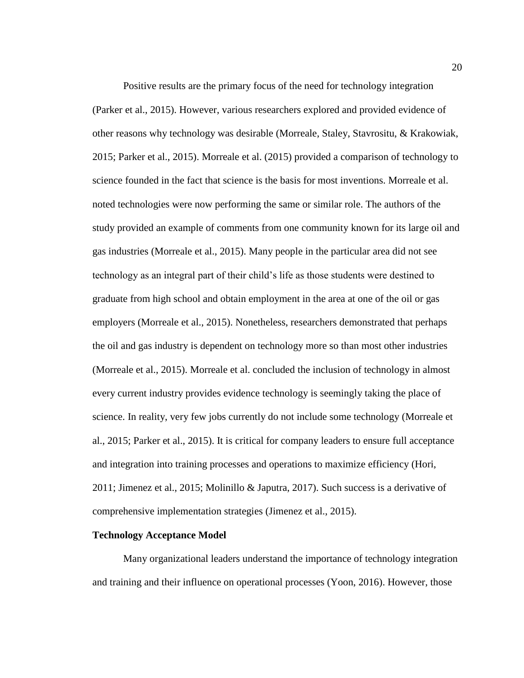Positive results are the primary focus of the need for technology integration (Parker et al., 2015). However, various researchers explored and provided evidence of other reasons why technology was desirable (Morreale, Staley, Stavrositu, & Krakowiak, 2015; Parker et al., 2015). Morreale et al. (2015) provided a comparison of technology to science founded in the fact that science is the basis for most inventions. Morreale et al. noted technologies were now performing the same or similar role. The authors of the study provided an example of comments from one community known for its large oil and gas industries (Morreale et al., 2015). Many people in the particular area did not see technology as an integral part of their child's life as those students were destined to graduate from high school and obtain employment in the area at one of the oil or gas employers (Morreale et al., 2015). Nonetheless, researchers demonstrated that perhaps the oil and gas industry is dependent on technology more so than most other industries (Morreale et al., 2015). Morreale et al. concluded the inclusion of technology in almost every current industry provides evidence technology is seemingly taking the place of science. In reality, very few jobs currently do not include some technology (Morreale et al., 2015; Parker et al., 2015). It is critical for company leaders to ensure full acceptance and integration into training processes and operations to maximize efficiency (Hori, 2011; Jimenez et al., 2015; Molinillo & Japutra, 2017). Such success is a derivative of comprehensive implementation strategies (Jimenez et al., 2015).

# <span id="page-29-0"></span>**Technology Acceptance Model**

Many organizational leaders understand the importance of technology integration and training and their influence on operational processes (Yoon, 2016). However, those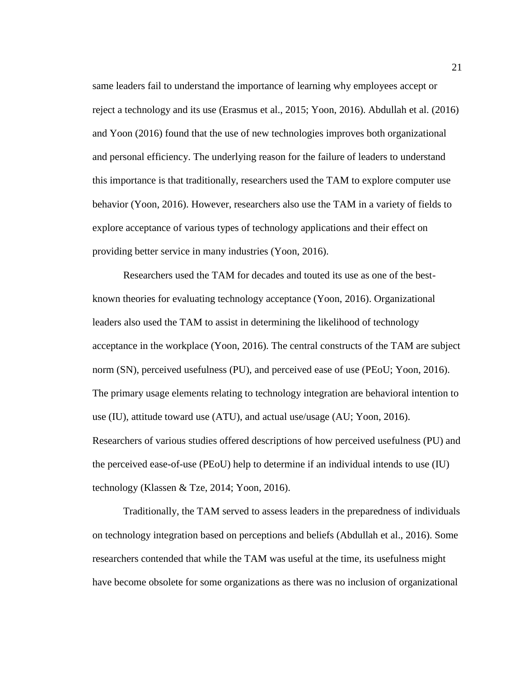same leaders fail to understand the importance of learning why employees accept or reject a technology and its use (Erasmus et al., 2015; Yoon, 2016). Abdullah et al. (2016) and Yoon (2016) found that the use of new technologies improves both organizational and personal efficiency. The underlying reason for the failure of leaders to understand this importance is that traditionally, researchers used the TAM to explore computer use behavior (Yoon, 2016). However, researchers also use the TAM in a variety of fields to explore acceptance of various types of technology applications and their effect on providing better service in many industries (Yoon, 2016).

Researchers used the TAM for decades and touted its use as one of the bestknown theories for evaluating technology acceptance (Yoon, 2016). Organizational leaders also used the TAM to assist in determining the likelihood of technology acceptance in the workplace (Yoon, 2016). The central constructs of the TAM are subject norm (SN), perceived usefulness (PU), and perceived ease of use (PEoU; Yoon, 2016). The primary usage elements relating to technology integration are behavioral intention to use (IU), attitude toward use (ATU), and actual use/usage (AU; Yoon, 2016). Researchers of various studies offered descriptions of how perceived usefulness (PU) and the perceived ease-of-use (PEoU) help to determine if an individual intends to use (IU) technology (Klassen & Tze, 2014; Yoon, 2016).

Traditionally, the TAM served to assess leaders in the preparedness of individuals on technology integration based on perceptions and beliefs (Abdullah et al., 2016). Some researchers contended that while the TAM was useful at the time, its usefulness might have become obsolete for some organizations as there was no inclusion of organizational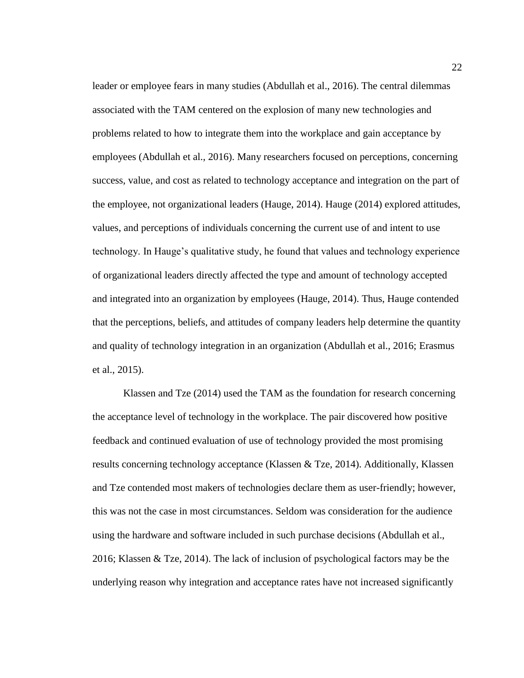leader or employee fears in many studies (Abdullah et al., 2016). The central dilemmas associated with the TAM centered on the explosion of many new technologies and problems related to how to integrate them into the workplace and gain acceptance by employees (Abdullah et al., 2016). Many researchers focused on perceptions, concerning success, value, and cost as related to technology acceptance and integration on the part of the employee, not organizational leaders (Hauge, 2014). Hauge (2014) explored attitudes, values, and perceptions of individuals concerning the current use of and intent to use technology. In Hauge's qualitative study, he found that values and technology experience of organizational leaders directly affected the type and amount of technology accepted and integrated into an organization by employees (Hauge, 2014). Thus, Hauge contended that the perceptions, beliefs, and attitudes of company leaders help determine the quantity and quality of technology integration in an organization (Abdullah et al., 2016; Erasmus et al., 2015).

Klassen and Tze (2014) used the TAM as the foundation for research concerning the acceptance level of technology in the workplace. The pair discovered how positive feedback and continued evaluation of use of technology provided the most promising results concerning technology acceptance (Klassen & Tze, 2014). Additionally, Klassen and Tze contended most makers of technologies declare them as user-friendly; however, this was not the case in most circumstances. Seldom was consideration for the audience using the hardware and software included in such purchase decisions (Abdullah et al., 2016; Klassen & Tze, 2014). The lack of inclusion of psychological factors may be the underlying reason why integration and acceptance rates have not increased significantly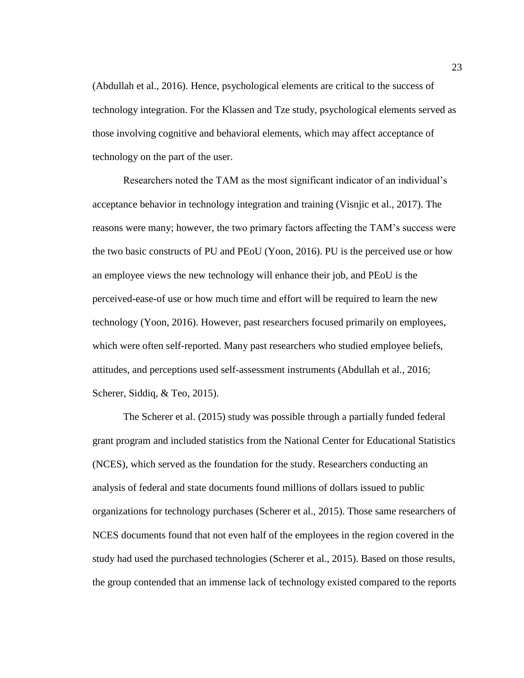(Abdullah et al., 2016). Hence, psychological elements are critical to the success of technology integration. For the Klassen and Tze study, psychological elements served as those involving cognitive and behavioral elements, which may affect acceptance of technology on the part of the user.

Researchers noted the TAM as the most significant indicator of an individual's acceptance behavior in technology integration and training (Visnjic et al., 2017). The reasons were many; however, the two primary factors affecting the TAM's success were the two basic constructs of PU and PEoU (Yoon, 2016). PU is the perceived use or how an employee views the new technology will enhance their job, and PEoU is the perceived-ease-of use or how much time and effort will be required to learn the new technology (Yoon, 2016). However, past researchers focused primarily on employees, which were often self-reported. Many past researchers who studied employee beliefs, attitudes, and perceptions used self-assessment instruments (Abdullah et al., 2016; Scherer, Siddiq, & Teo, 2015).

The Scherer et al. (2015) study was possible through a partially funded federal grant program and included statistics from the National Center for Educational Statistics (NCES), which served as the foundation for the study. Researchers conducting an analysis of federal and state documents found millions of dollars issued to public organizations for technology purchases (Scherer et al., 2015). Those same researchers of NCES documents found that not even half of the employees in the region covered in the study had used the purchased technologies (Scherer et al., 2015). Based on those results, the group contended that an immense lack of technology existed compared to the reports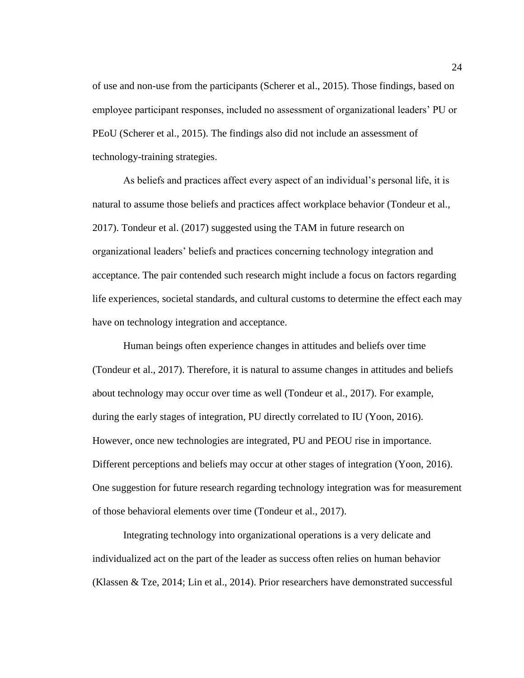of use and non-use from the participants (Scherer et al., 2015). Those findings, based on employee participant responses, included no assessment of organizational leaders' PU or PEoU (Scherer et al., 2015). The findings also did not include an assessment of technology-training strategies.

As beliefs and practices affect every aspect of an individual's personal life, it is natural to assume those beliefs and practices affect workplace behavior (Tondeur et al., 2017). Tondeur et al. (2017) suggested using the TAM in future research on organizational leaders' beliefs and practices concerning technology integration and acceptance. The pair contended such research might include a focus on factors regarding life experiences, societal standards, and cultural customs to determine the effect each may have on technology integration and acceptance.

Human beings often experience changes in attitudes and beliefs over time (Tondeur et al., 2017). Therefore, it is natural to assume changes in attitudes and beliefs about technology may occur over time as well (Tondeur et al., 2017). For example, during the early stages of integration, PU directly correlated to IU (Yoon, 2016). However, once new technologies are integrated, PU and PEOU rise in importance. Different perceptions and beliefs may occur at other stages of integration (Yoon, 2016). One suggestion for future research regarding technology integration was for measurement of those behavioral elements over time (Tondeur et al., 2017).

Integrating technology into organizational operations is a very delicate and individualized act on the part of the leader as success often relies on human behavior (Klassen & Tze, 2014; Lin et al., 2014). Prior researchers have demonstrated successful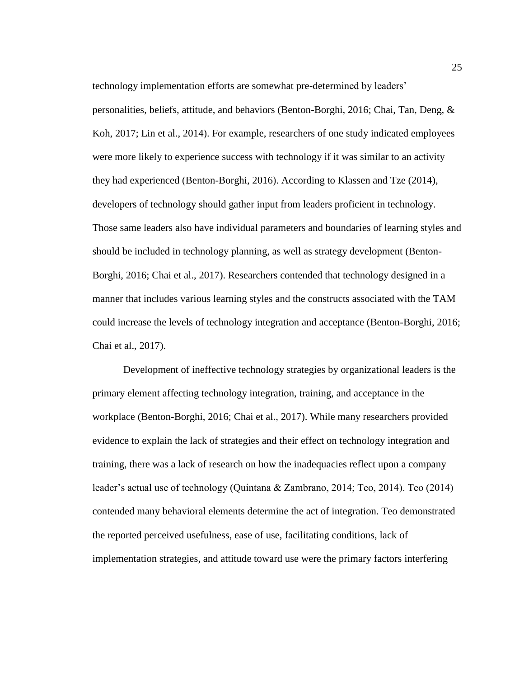technology implementation efforts are somewhat pre-determined by leaders' personalities, beliefs, attitude, and behaviors (Benton-Borghi, 2016; Chai, Tan, Deng, & Koh, 2017; Lin et al., 2014). For example, researchers of one study indicated employees were more likely to experience success with technology if it was similar to an activity they had experienced (Benton-Borghi, 2016). According to Klassen and Tze (2014), developers of technology should gather input from leaders proficient in technology. Those same leaders also have individual parameters and boundaries of learning styles and should be included in technology planning, as well as strategy development (Benton-Borghi, 2016; Chai et al., 2017). Researchers contended that technology designed in a manner that includes various learning styles and the constructs associated with the TAM could increase the levels of technology integration and acceptance (Benton-Borghi, 2016; Chai et al., 2017).

Development of ineffective technology strategies by organizational leaders is the primary element affecting technology integration, training, and acceptance in the workplace (Benton-Borghi, 2016; Chai et al., 2017). While many researchers provided evidence to explain the lack of strategies and their effect on technology integration and training, there was a lack of research on how the inadequacies reflect upon a company leader's actual use of technology (Quintana & Zambrano, 2014; Teo, 2014). Teo (2014) contended many behavioral elements determine the act of integration. Teo demonstrated the reported perceived usefulness, ease of use, facilitating conditions, lack of implementation strategies, and attitude toward use were the primary factors interfering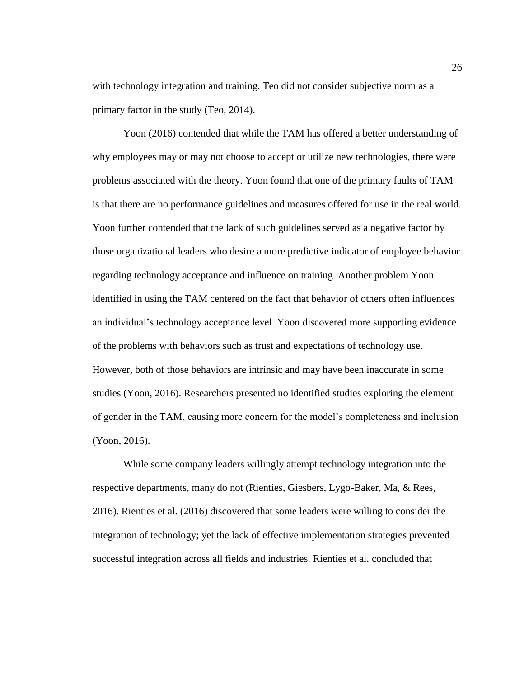with technology integration and training. Teo did not consider subjective norm as a primary factor in the study (Teo, 2014).

Yoon (2016) contended that while the TAM has offered a better understanding of why employees may or may not choose to accept or utilize new technologies, there were problems associated with the theory. Yoon found that one of the primary faults of TAM is that there are no performance guidelines and measures offered for use in the real world. Yoon further contended that the lack of such guidelines served as a negative factor by those organizational leaders who desire a more predictive indicator of employee behavior regarding technology acceptance and influence on training. Another problem Yoon identified in using the TAM centered on the fact that behavior of others often influences an individual's technology acceptance level. Yoon discovered more supporting evidence of the problems with behaviors such as trust and expectations of technology use. However, both of those behaviors are intrinsic and may have been inaccurate in some studies (Yoon, 2016). Researchers presented no identified studies exploring the element of gender in the TAM, causing more concern for the model's completeness and inclusion (Yoon, 2016).

While some company leaders willingly attempt technology integration into the respective departments, many do not (Rienties, Giesbers, Lygo-Baker, Ma, & Rees, 2016). Rienties et al. (2016) discovered that some leaders were willing to consider the integration of technology; yet the lack of effective implementation strategies prevented successful integration across all fields and industries. Rienties et al. concluded that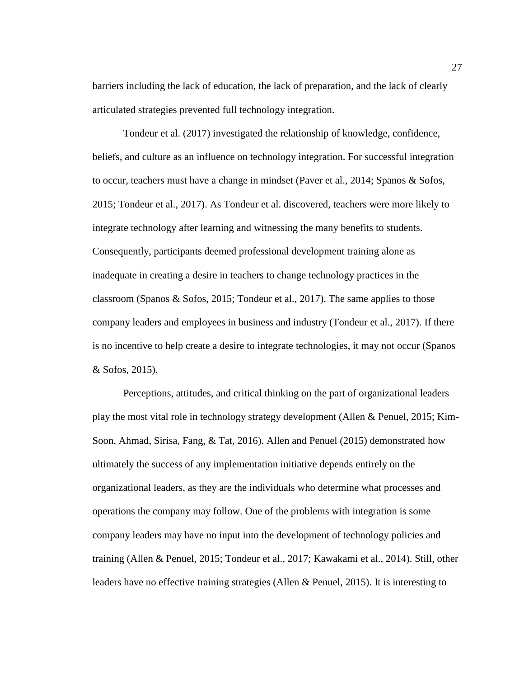barriers including the lack of education, the lack of preparation, and the lack of clearly articulated strategies prevented full technology integration.

Tondeur et al. (2017) investigated the relationship of knowledge, confidence, beliefs, and culture as an influence on technology integration. For successful integration to occur, teachers must have a change in mindset (Paver et al., 2014; Spanos & Sofos, 2015; Tondeur et al., 2017). As Tondeur et al. discovered, teachers were more likely to integrate technology after learning and witnessing the many benefits to students. Consequently, participants deemed professional development training alone as inadequate in creating a desire in teachers to change technology practices in the classroom (Spanos & Sofos, 2015; Tondeur et al., 2017). The same applies to those company leaders and employees in business and industry (Tondeur et al., 2017). If there is no incentive to help create a desire to integrate technologies, it may not occur (Spanos & Sofos, 2015).

Perceptions, attitudes, and critical thinking on the part of organizational leaders play the most vital role in technology strategy development (Allen & Penuel, 2015; Kim-Soon, Ahmad, Sirisa, Fang, & Tat, 2016). Allen and Penuel (2015) demonstrated how ultimately the success of any implementation initiative depends entirely on the organizational leaders, as they are the individuals who determine what processes and operations the company may follow. One of the problems with integration is some company leaders may have no input into the development of technology policies and training (Allen & Penuel, 2015; Tondeur et al., 2017; Kawakami et al., 2014). Still, other leaders have no effective training strategies (Allen & Penuel, 2015). It is interesting to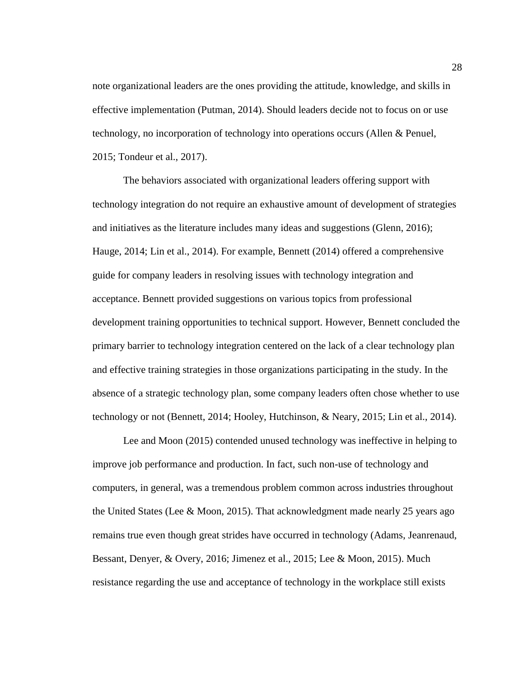note organizational leaders are the ones providing the attitude, knowledge, and skills in effective implementation (Putman, 2014). Should leaders decide not to focus on or use technology, no incorporation of technology into operations occurs (Allen & Penuel, 2015; Tondeur et al., 2017).

The behaviors associated with organizational leaders offering support with technology integration do not require an exhaustive amount of development of strategies and initiatives as the literature includes many ideas and suggestions (Glenn, 2016); Hauge, 2014; Lin et al., 2014). For example, Bennett (2014) offered a comprehensive guide for company leaders in resolving issues with technology integration and acceptance. Bennett provided suggestions on various topics from professional development training opportunities to technical support. However, Bennett concluded the primary barrier to technology integration centered on the lack of a clear technology plan and effective training strategies in those organizations participating in the study. In the absence of a strategic technology plan, some company leaders often chose whether to use technology or not (Bennett, 2014; Hooley, Hutchinson, & Neary, 2015; Lin et al., 2014).

Lee and Moon (2015) contended unused technology was ineffective in helping to improve job performance and production. In fact, such non-use of technology and computers, in general, was a tremendous problem common across industries throughout the United States (Lee & Moon, 2015). That acknowledgment made nearly 25 years ago remains true even though great strides have occurred in technology (Adams, Jeanrenaud, Bessant, Denyer, & Overy, 2016; Jimenez et al., 2015; Lee & Moon, 2015). Much resistance regarding the use and acceptance of technology in the workplace still exists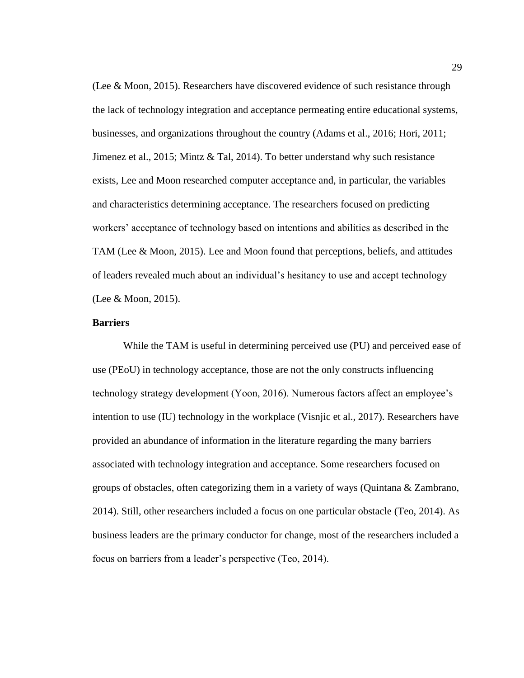(Lee & Moon, 2015). Researchers have discovered evidence of such resistance through the lack of technology integration and acceptance permeating entire educational systems, businesses, and organizations throughout the country (Adams et al., 2016; Hori, 2011; Jimenez et al., 2015; Mintz & Tal, 2014). To better understand why such resistance exists, Lee and Moon researched computer acceptance and, in particular, the variables and characteristics determining acceptance. The researchers focused on predicting workers' acceptance of technology based on intentions and abilities as described in the TAM (Lee & Moon, 2015). Lee and Moon found that perceptions, beliefs, and attitudes of leaders revealed much about an individual's hesitancy to use and accept technology (Lee & Moon, 2015).

# **Barriers**

While the TAM is useful in determining perceived use (PU) and perceived ease of use (PEoU) in technology acceptance, those are not the only constructs influencing technology strategy development (Yoon, 2016). Numerous factors affect an employee's intention to use (IU) technology in the workplace (Visnjic et al., 2017). Researchers have provided an abundance of information in the literature regarding the many barriers associated with technology integration and acceptance. Some researchers focused on groups of obstacles, often categorizing them in a variety of ways (Quintana & Zambrano, 2014). Still, other researchers included a focus on one particular obstacle (Teo, 2014). As business leaders are the primary conductor for change, most of the researchers included a focus on barriers from a leader's perspective (Teo, 2014).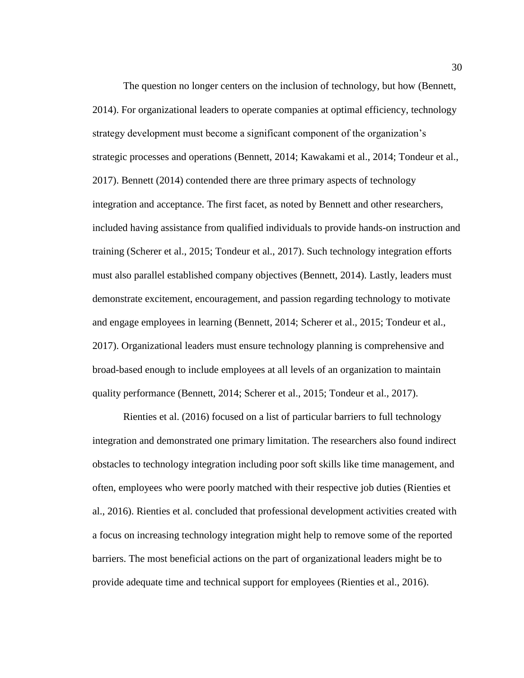The question no longer centers on the inclusion of technology, but how (Bennett, 2014). For organizational leaders to operate companies at optimal efficiency, technology strategy development must become a significant component of the organization's strategic processes and operations (Bennett, 2014; Kawakami et al., 2014; Tondeur et al., 2017). Bennett (2014) contended there are three primary aspects of technology integration and acceptance. The first facet, as noted by Bennett and other researchers, included having assistance from qualified individuals to provide hands-on instruction and training (Scherer et al., 2015; Tondeur et al., 2017). Such technology integration efforts must also parallel established company objectives (Bennett, 2014). Lastly, leaders must demonstrate excitement, encouragement, and passion regarding technology to motivate and engage employees in learning (Bennett, 2014; Scherer et al., 2015; Tondeur et al., 2017). Organizational leaders must ensure technology planning is comprehensive and broad-based enough to include employees at all levels of an organization to maintain quality performance (Bennett, 2014; Scherer et al., 2015; Tondeur et al., 2017).

Rienties et al. (2016) focused on a list of particular barriers to full technology integration and demonstrated one primary limitation. The researchers also found indirect obstacles to technology integration including poor soft skills like time management, and often, employees who were poorly matched with their respective job duties (Rienties et al., 2016). Rienties et al. concluded that professional development activities created with a focus on increasing technology integration might help to remove some of the reported barriers. The most beneficial actions on the part of organizational leaders might be to provide adequate time and technical support for employees (Rienties et al., 2016).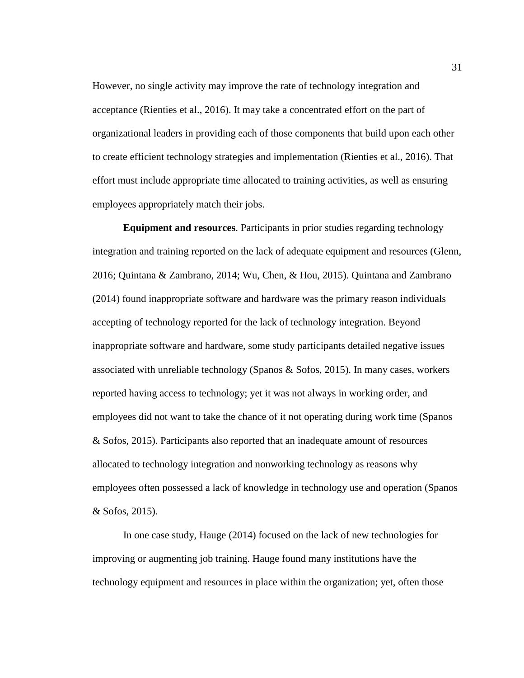However, no single activity may improve the rate of technology integration and acceptance (Rienties et al., 2016). It may take a concentrated effort on the part of organizational leaders in providing each of those components that build upon each other to create efficient technology strategies and implementation (Rienties et al., 2016). That effort must include appropriate time allocated to training activities, as well as ensuring employees appropriately match their jobs.

**Equipment and resources**. Participants in prior studies regarding technology integration and training reported on the lack of adequate equipment and resources (Glenn, 2016; Quintana & Zambrano, 2014; Wu, Chen, & Hou, 2015). Quintana and Zambrano (2014) found inappropriate software and hardware was the primary reason individuals accepting of technology reported for the lack of technology integration. Beyond inappropriate software and hardware, some study participants detailed negative issues associated with unreliable technology (Spanos & Sofos, 2015). In many cases, workers reported having access to technology; yet it was not always in working order, and employees did not want to take the chance of it not operating during work time (Spanos & Sofos, 2015). Participants also reported that an inadequate amount of resources allocated to technology integration and nonworking technology as reasons why employees often possessed a lack of knowledge in technology use and operation (Spanos & Sofos, 2015).

In one case study, Hauge (2014) focused on the lack of new technologies for improving or augmenting job training. Hauge found many institutions have the technology equipment and resources in place within the organization; yet, often those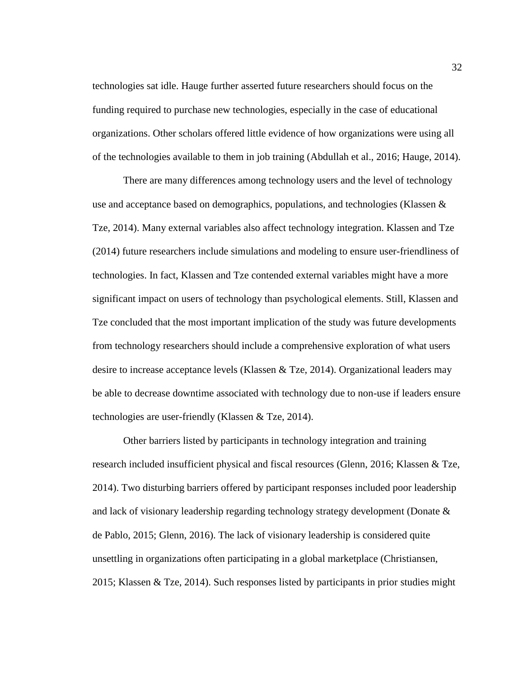technologies sat idle. Hauge further asserted future researchers should focus on the funding required to purchase new technologies, especially in the case of educational organizations. Other scholars offered little evidence of how organizations were using all of the technologies available to them in job training (Abdullah et al., 2016; Hauge, 2014).

There are many differences among technology users and the level of technology use and acceptance based on demographics, populations, and technologies (Klassen  $\&$ Tze, 2014). Many external variables also affect technology integration. Klassen and Tze (2014) future researchers include simulations and modeling to ensure user-friendliness of technologies. In fact, Klassen and Tze contended external variables might have a more significant impact on users of technology than psychological elements. Still, Klassen and Tze concluded that the most important implication of the study was future developments from technology researchers should include a comprehensive exploration of what users desire to increase acceptance levels (Klassen & Tze, 2014). Organizational leaders may be able to decrease downtime associated with technology due to non-use if leaders ensure technologies are user-friendly (Klassen & Tze, 2014).

Other barriers listed by participants in technology integration and training research included insufficient physical and fiscal resources (Glenn, 2016; Klassen & Tze, 2014). Two disturbing barriers offered by participant responses included poor leadership and lack of visionary leadership regarding technology strategy development (Donate & de Pablo, 2015; Glenn, 2016). The lack of visionary leadership is considered quite unsettling in organizations often participating in a global marketplace (Christiansen, 2015; Klassen & Tze, 2014). Such responses listed by participants in prior studies might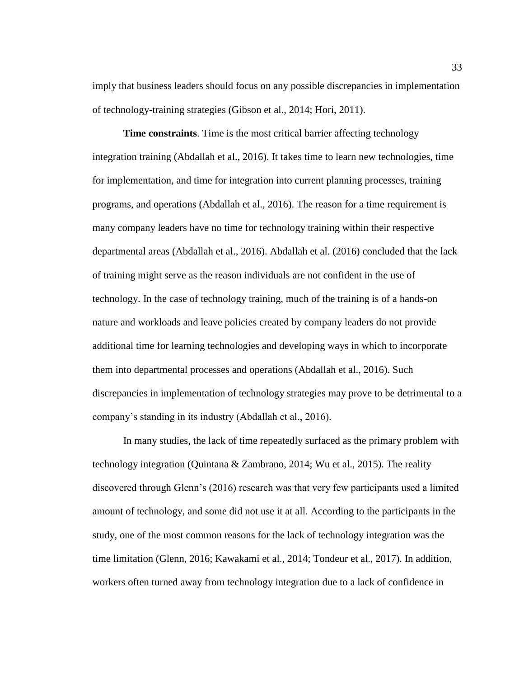imply that business leaders should focus on any possible discrepancies in implementation of technology-training strategies (Gibson et al., 2014; Hori, 2011).

**Time constraints**. Time is the most critical barrier affecting technology integration training (Abdallah et al., 2016). It takes time to learn new technologies, time for implementation, and time for integration into current planning processes, training programs, and operations (Abdallah et al., 2016). The reason for a time requirement is many company leaders have no time for technology training within their respective departmental areas (Abdallah et al., 2016). Abdallah et al. (2016) concluded that the lack of training might serve as the reason individuals are not confident in the use of technology. In the case of technology training, much of the training is of a hands-on nature and workloads and leave policies created by company leaders do not provide additional time for learning technologies and developing ways in which to incorporate them into departmental processes and operations (Abdallah et al., 2016). Such discrepancies in implementation of technology strategies may prove to be detrimental to a company's standing in its industry (Abdallah et al., 2016).

In many studies, the lack of time repeatedly surfaced as the primary problem with technology integration (Quintana & Zambrano, 2014; Wu et al., 2015). The reality discovered through Glenn's (2016) research was that very few participants used a limited amount of technology, and some did not use it at all. According to the participants in the study, one of the most common reasons for the lack of technology integration was the time limitation (Glenn, 2016; Kawakami et al., 2014; Tondeur et al., 2017). In addition, workers often turned away from technology integration due to a lack of confidence in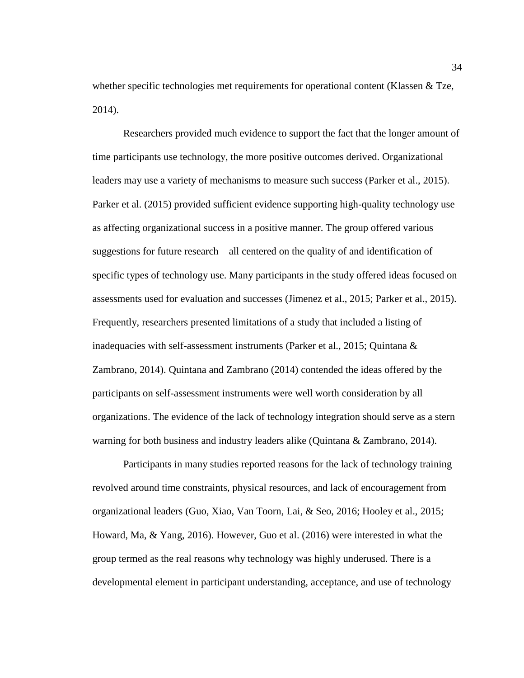whether specific technologies met requirements for operational content (Klassen & Tze, 2014).

Researchers provided much evidence to support the fact that the longer amount of time participants use technology, the more positive outcomes derived. Organizational leaders may use a variety of mechanisms to measure such success (Parker et al., 2015). Parker et al. (2015) provided sufficient evidence supporting high-quality technology use as affecting organizational success in a positive manner. The group offered various suggestions for future research – all centered on the quality of and identification of specific types of technology use. Many participants in the study offered ideas focused on assessments used for evaluation and successes (Jimenez et al., 2015; Parker et al., 2015). Frequently, researchers presented limitations of a study that included a listing of inadequacies with self-assessment instruments (Parker et al., 2015; Quintana  $\&$ Zambrano, 2014). Quintana and Zambrano (2014) contended the ideas offered by the participants on self-assessment instruments were well worth consideration by all organizations. The evidence of the lack of technology integration should serve as a stern warning for both business and industry leaders alike (Quintana  $\&$  Zambrano, 2014).

Participants in many studies reported reasons for the lack of technology training revolved around time constraints, physical resources, and lack of encouragement from organizational leaders (Guo, Xiao, Van Toorn, Lai, & Seo, 2016; Hooley et al., 2015; Howard, Ma, & Yang, 2016). However, Guo et al. (2016) were interested in what the group termed as the real reasons why technology was highly underused. There is a developmental element in participant understanding, acceptance, and use of technology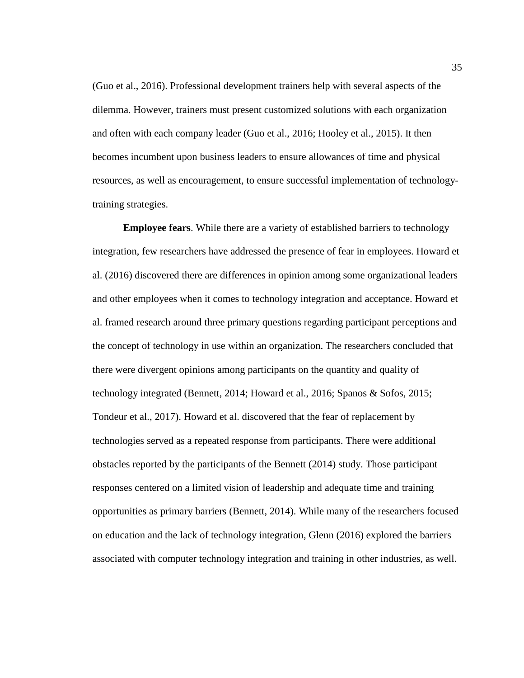(Guo et al., 2016). Professional development trainers help with several aspects of the dilemma. However, trainers must present customized solutions with each organization and often with each company leader (Guo et al., 2016; Hooley et al., 2015). It then becomes incumbent upon business leaders to ensure allowances of time and physical resources, as well as encouragement, to ensure successful implementation of technologytraining strategies.

**Employee fears**. While there are a variety of established barriers to technology integration, few researchers have addressed the presence of fear in employees. Howard et al. (2016) discovered there are differences in opinion among some organizational leaders and other employees when it comes to technology integration and acceptance. Howard et al. framed research around three primary questions regarding participant perceptions and the concept of technology in use within an organization. The researchers concluded that there were divergent opinions among participants on the quantity and quality of technology integrated (Bennett, 2014; Howard et al., 2016; Spanos & Sofos, 2015; Tondeur et al., 2017). Howard et al. discovered that the fear of replacement by technologies served as a repeated response from participants. There were additional obstacles reported by the participants of the Bennett (2014) study. Those participant responses centered on a limited vision of leadership and adequate time and training opportunities as primary barriers (Bennett, 2014). While many of the researchers focused on education and the lack of technology integration, Glenn (2016) explored the barriers associated with computer technology integration and training in other industries, as well.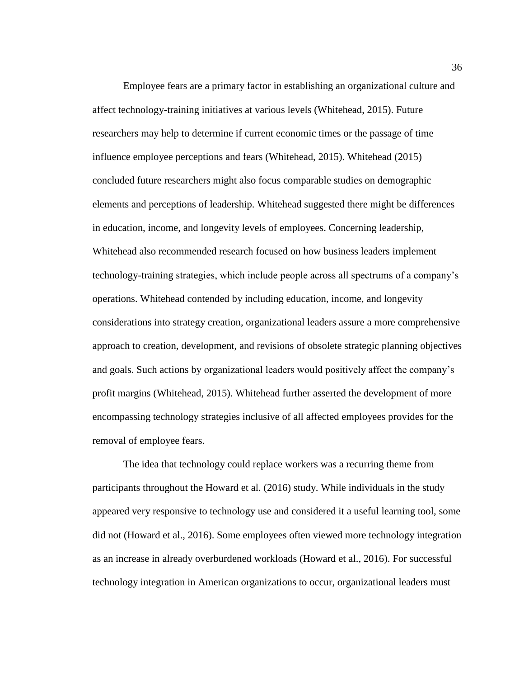Employee fears are a primary factor in establishing an organizational culture and affect technology-training initiatives at various levels (Whitehead, 2015). Future researchers may help to determine if current economic times or the passage of time influence employee perceptions and fears (Whitehead, 2015). Whitehead (2015) concluded future researchers might also focus comparable studies on demographic elements and perceptions of leadership. Whitehead suggested there might be differences in education, income, and longevity levels of employees. Concerning leadership, Whitehead also recommended research focused on how business leaders implement technology-training strategies, which include people across all spectrums of a company's operations. Whitehead contended by including education, income, and longevity considerations into strategy creation, organizational leaders assure a more comprehensive approach to creation, development, and revisions of obsolete strategic planning objectives and goals. Such actions by organizational leaders would positively affect the company's profit margins (Whitehead, 2015). Whitehead further asserted the development of more encompassing technology strategies inclusive of all affected employees provides for the removal of employee fears.

The idea that technology could replace workers was a recurring theme from participants throughout the Howard et al. (2016) study. While individuals in the study appeared very responsive to technology use and considered it a useful learning tool, some did not (Howard et al., 2016). Some employees often viewed more technology integration as an increase in already overburdened workloads (Howard et al., 2016). For successful technology integration in American organizations to occur, organizational leaders must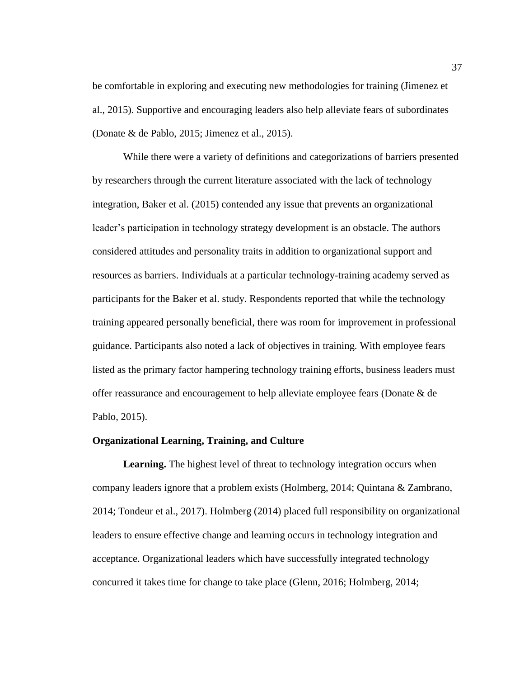be comfortable in exploring and executing new methodologies for training (Jimenez et al., 2015). Supportive and encouraging leaders also help alleviate fears of subordinates (Donate & de Pablo, 2015; Jimenez et al., 2015).

While there were a variety of definitions and categorizations of barriers presented by researchers through the current literature associated with the lack of technology integration, Baker et al. (2015) contended any issue that prevents an organizational leader's participation in technology strategy development is an obstacle. The authors considered attitudes and personality traits in addition to organizational support and resources as barriers. Individuals at a particular technology-training academy served as participants for the Baker et al. study. Respondents reported that while the technology training appeared personally beneficial, there was room for improvement in professional guidance. Participants also noted a lack of objectives in training. With employee fears listed as the primary factor hampering technology training efforts, business leaders must offer reassurance and encouragement to help alleviate employee fears (Donate & de Pablo, 2015).

## **Organizational Learning, Training, and Culture**

**Learning.** The highest level of threat to technology integration occurs when company leaders ignore that a problem exists (Holmberg, 2014; Quintana & Zambrano, 2014; Tondeur et al., 2017). Holmberg (2014) placed full responsibility on organizational leaders to ensure effective change and learning occurs in technology integration and acceptance. Organizational leaders which have successfully integrated technology concurred it takes time for change to take place (Glenn, 2016; Holmberg, 2014;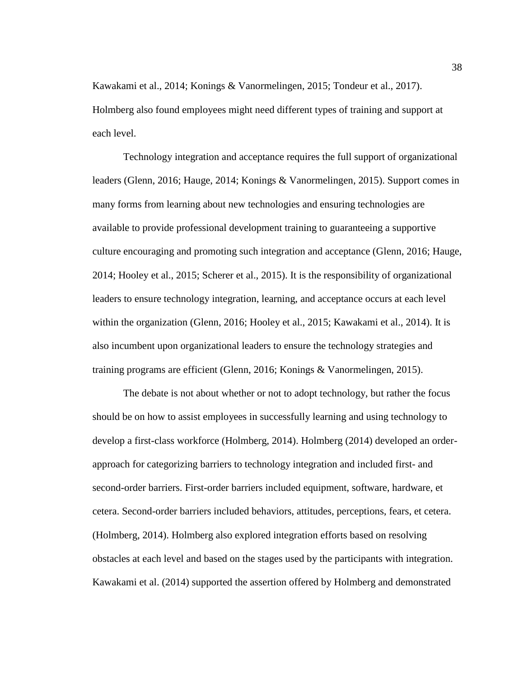Kawakami et al., 2014; Konings & Vanormelingen, 2015; Tondeur et al., 2017). Holmberg also found employees might need different types of training and support at each level.

Technology integration and acceptance requires the full support of organizational leaders (Glenn, 2016; Hauge, 2014; Konings & Vanormelingen, 2015). Support comes in many forms from learning about new technologies and ensuring technologies are available to provide professional development training to guaranteeing a supportive culture encouraging and promoting such integration and acceptance (Glenn, 2016; Hauge, 2014; Hooley et al., 2015; Scherer et al., 2015). It is the responsibility of organizational leaders to ensure technology integration, learning, and acceptance occurs at each level within the organization (Glenn, 2016; Hooley et al., 2015; Kawakami et al., 2014). It is also incumbent upon organizational leaders to ensure the technology strategies and training programs are efficient (Glenn, 2016; Konings & Vanormelingen, 2015).

The debate is not about whether or not to adopt technology, but rather the focus should be on how to assist employees in successfully learning and using technology to develop a first-class workforce (Holmberg, 2014). Holmberg (2014) developed an orderapproach for categorizing barriers to technology integration and included first- and second-order barriers. First-order barriers included equipment, software, hardware, et cetera. Second-order barriers included behaviors, attitudes, perceptions, fears, et cetera. (Holmberg, 2014). Holmberg also explored integration efforts based on resolving obstacles at each level and based on the stages used by the participants with integration. Kawakami et al. (2014) supported the assertion offered by Holmberg and demonstrated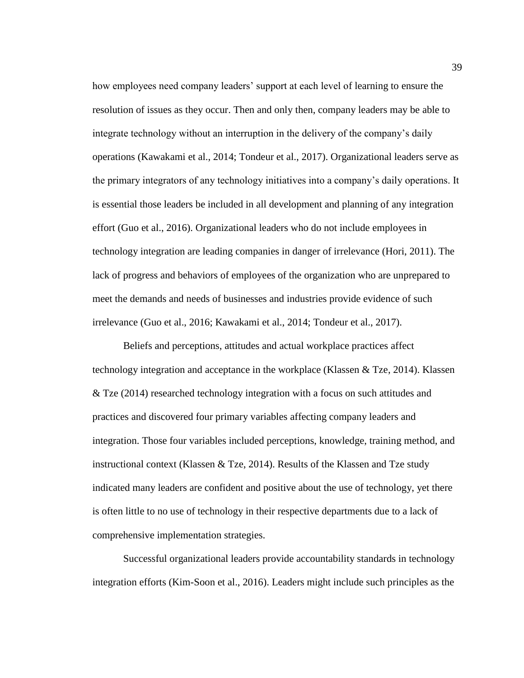how employees need company leaders' support at each level of learning to ensure the resolution of issues as they occur. Then and only then, company leaders may be able to integrate technology without an interruption in the delivery of the company's daily operations (Kawakami et al., 2014; Tondeur et al., 2017). Organizational leaders serve as the primary integrators of any technology initiatives into a company's daily operations. It is essential those leaders be included in all development and planning of any integration effort (Guo et al., 2016). Organizational leaders who do not include employees in technology integration are leading companies in danger of irrelevance (Hori, 2011). The lack of progress and behaviors of employees of the organization who are unprepared to meet the demands and needs of businesses and industries provide evidence of such irrelevance (Guo et al., 2016; Kawakami et al., 2014; Tondeur et al., 2017).

Beliefs and perceptions, attitudes and actual workplace practices affect technology integration and acceptance in the workplace (Klassen  $\&$  Tze, 2014). Klassen  $&$  Tze (2014) researched technology integration with a focus on such attitudes and practices and discovered four primary variables affecting company leaders and integration. Those four variables included perceptions, knowledge, training method, and instructional context (Klassen & Tze, 2014). Results of the Klassen and Tze study indicated many leaders are confident and positive about the use of technology, yet there is often little to no use of technology in their respective departments due to a lack of comprehensive implementation strategies.

Successful organizational leaders provide accountability standards in technology integration efforts (Kim-Soon et al., 2016). Leaders might include such principles as the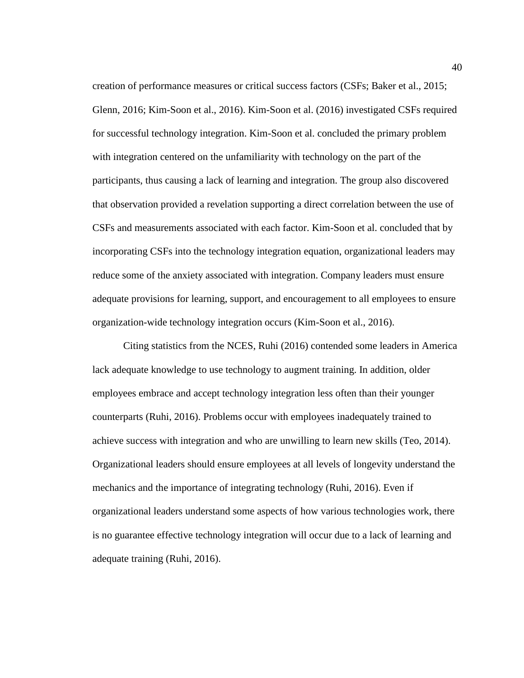creation of performance measures or critical success factors (CSFs; Baker et al., 2015; Glenn, 2016; Kim-Soon et al., 2016). Kim-Soon et al. (2016) investigated CSFs required for successful technology integration. Kim-Soon et al. concluded the primary problem with integration centered on the unfamiliarity with technology on the part of the participants, thus causing a lack of learning and integration. The group also discovered that observation provided a revelation supporting a direct correlation between the use of CSFs and measurements associated with each factor. Kim-Soon et al. concluded that by incorporating CSFs into the technology integration equation, organizational leaders may reduce some of the anxiety associated with integration. Company leaders must ensure adequate provisions for learning, support, and encouragement to all employees to ensure organization-wide technology integration occurs (Kim-Soon et al., 2016).

Citing statistics from the NCES, Ruhi (2016) contended some leaders in America lack adequate knowledge to use technology to augment training. In addition, older employees embrace and accept technology integration less often than their younger counterparts (Ruhi, 2016). Problems occur with employees inadequately trained to achieve success with integration and who are unwilling to learn new skills (Teo, 2014). Organizational leaders should ensure employees at all levels of longevity understand the mechanics and the importance of integrating technology (Ruhi, 2016). Even if organizational leaders understand some aspects of how various technologies work, there is no guarantee effective technology integration will occur due to a lack of learning and adequate training (Ruhi, 2016).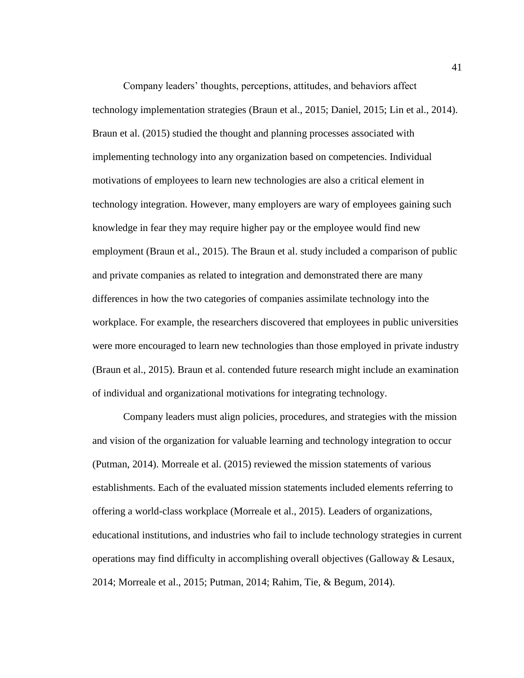Company leaders' thoughts, perceptions, attitudes, and behaviors affect technology implementation strategies (Braun et al., 2015; Daniel, 2015; Lin et al., 2014). Braun et al. (2015) studied the thought and planning processes associated with implementing technology into any organization based on competencies. Individual motivations of employees to learn new technologies are also a critical element in technology integration. However, many employers are wary of employees gaining such knowledge in fear they may require higher pay or the employee would find new employment (Braun et al., 2015). The Braun et al. study included a comparison of public and private companies as related to integration and demonstrated there are many differences in how the two categories of companies assimilate technology into the workplace. For example, the researchers discovered that employees in public universities were more encouraged to learn new technologies than those employed in private industry (Braun et al., 2015). Braun et al. contended future research might include an examination of individual and organizational motivations for integrating technology.

Company leaders must align policies, procedures, and strategies with the mission and vision of the organization for valuable learning and technology integration to occur (Putman, 2014). Morreale et al. (2015) reviewed the mission statements of various establishments. Each of the evaluated mission statements included elements referring to offering a world-class workplace (Morreale et al., 2015). Leaders of organizations, educational institutions, and industries who fail to include technology strategies in current operations may find difficulty in accomplishing overall objectives (Galloway & Lesaux, 2014; Morreale et al., 2015; Putman, 2014; Rahim, Tie, & Begum, 2014).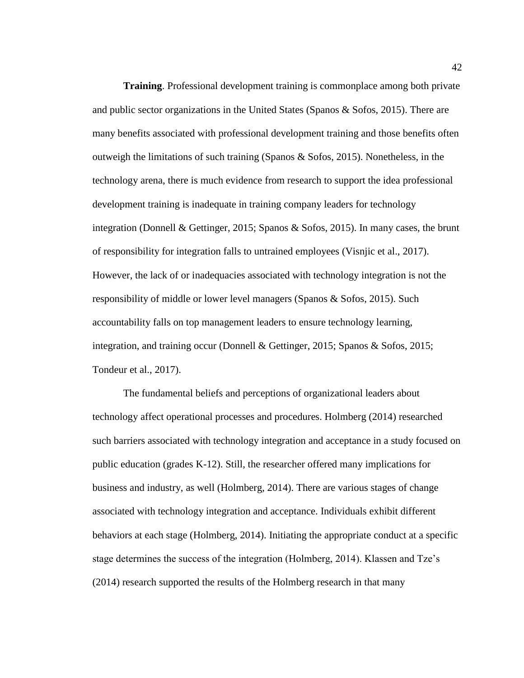**Training**. Professional development training is commonplace among both private and public sector organizations in the United States (Spanos & Sofos, 2015). There are many benefits associated with professional development training and those benefits often outweigh the limitations of such training (Spanos & Sofos, 2015). Nonetheless, in the technology arena, there is much evidence from research to support the idea professional development training is inadequate in training company leaders for technology integration (Donnell & Gettinger, 2015; Spanos & Sofos, 2015). In many cases, the brunt of responsibility for integration falls to untrained employees (Visnjic et al., 2017). However, the lack of or inadequacies associated with technology integration is not the responsibility of middle or lower level managers (Spanos & Sofos, 2015). Such accountability falls on top management leaders to ensure technology learning, integration, and training occur (Donnell & Gettinger, 2015; Spanos & Sofos, 2015; Tondeur et al., 2017).

The fundamental beliefs and perceptions of organizational leaders about technology affect operational processes and procedures. Holmberg (2014) researched such barriers associated with technology integration and acceptance in a study focused on public education (grades K-12). Still, the researcher offered many implications for business and industry, as well (Holmberg, 2014). There are various stages of change associated with technology integration and acceptance. Individuals exhibit different behaviors at each stage (Holmberg, 2014). Initiating the appropriate conduct at a specific stage determines the success of the integration (Holmberg, 2014). Klassen and Tze's (2014) research supported the results of the Holmberg research in that many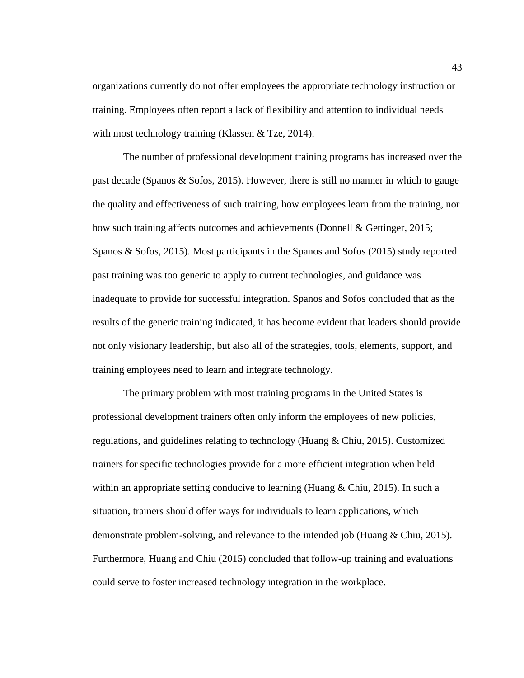organizations currently do not offer employees the appropriate technology instruction or training. Employees often report a lack of flexibility and attention to individual needs with most technology training (Klassen & Tze, 2014).

The number of professional development training programs has increased over the past decade (Spanos & Sofos, 2015). However, there is still no manner in which to gauge the quality and effectiveness of such training, how employees learn from the training, nor how such training affects outcomes and achievements (Donnell & Gettinger, 2015; Spanos & Sofos, 2015). Most participants in the Spanos and Sofos (2015) study reported past training was too generic to apply to current technologies, and guidance was inadequate to provide for successful integration. Spanos and Sofos concluded that as the results of the generic training indicated, it has become evident that leaders should provide not only visionary leadership, but also all of the strategies, tools, elements, support, and training employees need to learn and integrate technology.

The primary problem with most training programs in the United States is professional development trainers often only inform the employees of new policies, regulations, and guidelines relating to technology (Huang & Chiu, 2015). Customized trainers for specific technologies provide for a more efficient integration when held within an appropriate setting conducive to learning (Huang & Chiu, 2015). In such a situation, trainers should offer ways for individuals to learn applications, which demonstrate problem-solving, and relevance to the intended job (Huang & Chiu, 2015). Furthermore, Huang and Chiu (2015) concluded that follow-up training and evaluations could serve to foster increased technology integration in the workplace.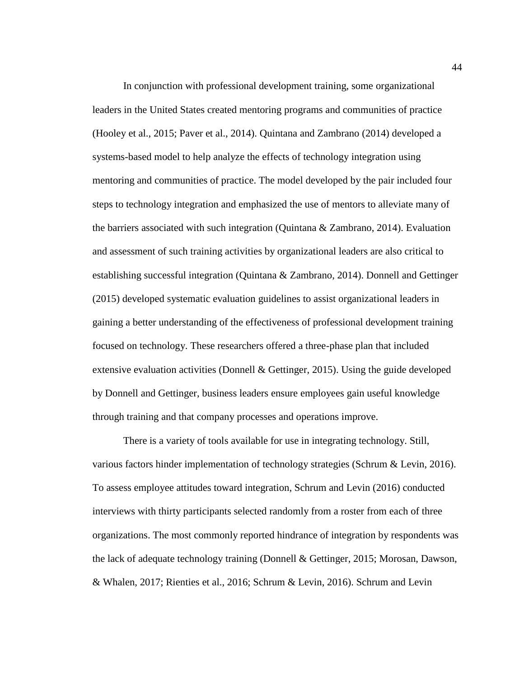In conjunction with professional development training, some organizational leaders in the United States created mentoring programs and communities of practice (Hooley et al., 2015; Paver et al., 2014). Quintana and Zambrano (2014) developed a systems-based model to help analyze the effects of technology integration using mentoring and communities of practice. The model developed by the pair included four steps to technology integration and emphasized the use of mentors to alleviate many of the barriers associated with such integration (Quintana & Zambrano, 2014). Evaluation and assessment of such training activities by organizational leaders are also critical to establishing successful integration (Quintana & Zambrano, 2014). Donnell and Gettinger (2015) developed systematic evaluation guidelines to assist organizational leaders in gaining a better understanding of the effectiveness of professional development training focused on technology. These researchers offered a three-phase plan that included extensive evaluation activities (Donnell  $&$  Gettinger, 2015). Using the guide developed by Donnell and Gettinger, business leaders ensure employees gain useful knowledge through training and that company processes and operations improve.

There is a variety of tools available for use in integrating technology. Still, various factors hinder implementation of technology strategies (Schrum & Levin, 2016). To assess employee attitudes toward integration, Schrum and Levin (2016) conducted interviews with thirty participants selected randomly from a roster from each of three organizations. The most commonly reported hindrance of integration by respondents was the lack of adequate technology training (Donnell & Gettinger, 2015; Morosan, Dawson, & Whalen, 2017; Rienties et al., 2016; Schrum & Levin, 2016). Schrum and Levin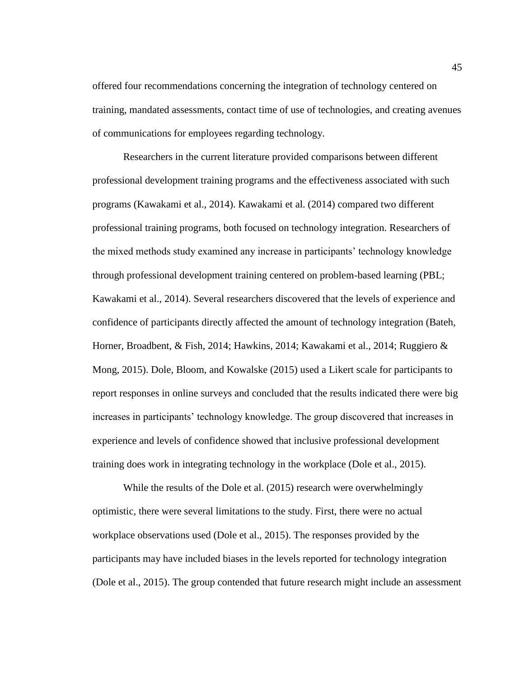offered four recommendations concerning the integration of technology centered on training, mandated assessments, contact time of use of technologies, and creating avenues of communications for employees regarding technology.

Researchers in the current literature provided comparisons between different professional development training programs and the effectiveness associated with such programs (Kawakami et al., 2014). Kawakami et al. (2014) compared two different professional training programs, both focused on technology integration. Researchers of the mixed methods study examined any increase in participants' technology knowledge through professional development training centered on problem-based learning (PBL; Kawakami et al., 2014). Several researchers discovered that the levels of experience and confidence of participants directly affected the amount of technology integration (Bateh, Horner, Broadbent, & Fish, 2014; Hawkins, 2014; Kawakami et al., 2014; Ruggiero & Mong, 2015). Dole, Bloom, and Kowalske (2015) used a Likert scale for participants to report responses in online surveys and concluded that the results indicated there were big increases in participants' technology knowledge. The group discovered that increases in experience and levels of confidence showed that inclusive professional development training does work in integrating technology in the workplace (Dole et al., 2015).

While the results of the Dole et al. (2015) research were overwhelmingly optimistic, there were several limitations to the study. First, there were no actual workplace observations used (Dole et al., 2015). The responses provided by the participants may have included biases in the levels reported for technology integration (Dole et al., 2015). The group contended that future research might include an assessment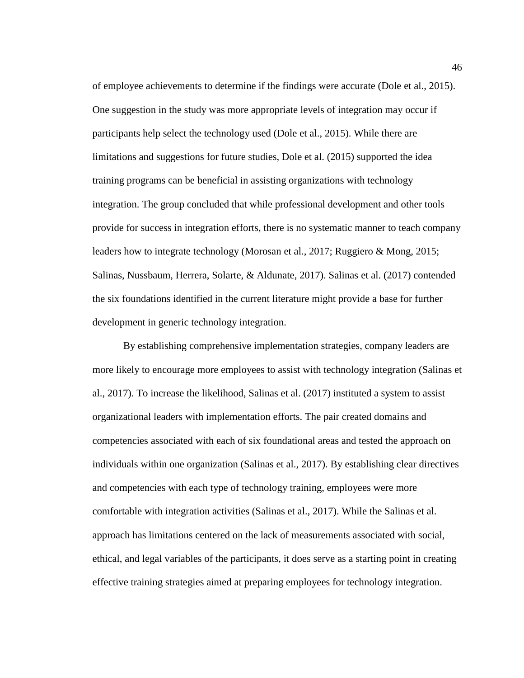of employee achievements to determine if the findings were accurate (Dole et al., 2015). One suggestion in the study was more appropriate levels of integration may occur if participants help select the technology used (Dole et al., 2015). While there are limitations and suggestions for future studies, Dole et al. (2015) supported the idea training programs can be beneficial in assisting organizations with technology integration. The group concluded that while professional development and other tools provide for success in integration efforts, there is no systematic manner to teach company leaders how to integrate technology (Morosan et al., 2017; Ruggiero & Mong, 2015; Salinas, Nussbaum, Herrera, Solarte, & Aldunate, 2017). Salinas et al. (2017) contended the six foundations identified in the current literature might provide a base for further development in generic technology integration.

By establishing comprehensive implementation strategies, company leaders are more likely to encourage more employees to assist with technology integration (Salinas et al., 2017). To increase the likelihood, Salinas et al. (2017) instituted a system to assist organizational leaders with implementation efforts. The pair created domains and competencies associated with each of six foundational areas and tested the approach on individuals within one organization (Salinas et al., 2017). By establishing clear directives and competencies with each type of technology training, employees were more comfortable with integration activities (Salinas et al., 2017). While the Salinas et al. approach has limitations centered on the lack of measurements associated with social, ethical, and legal variables of the participants, it does serve as a starting point in creating effective training strategies aimed at preparing employees for technology integration.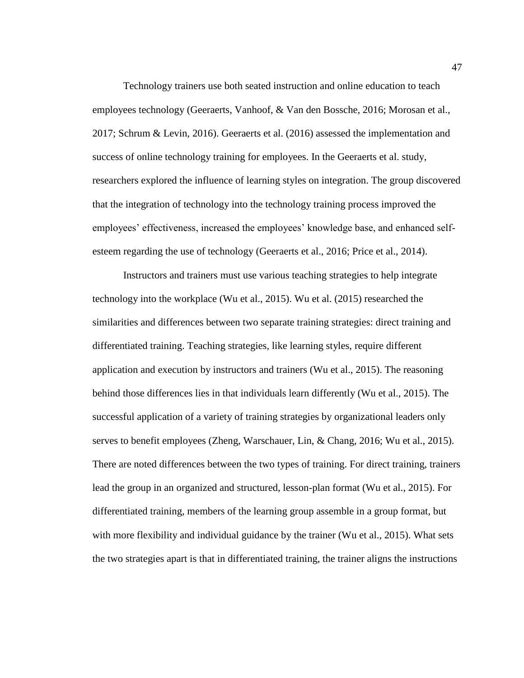Technology trainers use both seated instruction and online education to teach employees technology (Geeraerts, Vanhoof, & Van den Bossche, 2016; Morosan et al., 2017; Schrum & Levin, 2016). Geeraerts et al. (2016) assessed the implementation and success of online technology training for employees. In the Geeraerts et al. study, researchers explored the influence of learning styles on integration. The group discovered that the integration of technology into the technology training process improved the employees' effectiveness, increased the employees' knowledge base, and enhanced selfesteem regarding the use of technology (Geeraerts et al., 2016; Price et al., 2014).

Instructors and trainers must use various teaching strategies to help integrate technology into the workplace (Wu et al., 2015). Wu et al. (2015) researched the similarities and differences between two separate training strategies: direct training and differentiated training. Teaching strategies, like learning styles, require different application and execution by instructors and trainers (Wu et al., 2015). The reasoning behind those differences lies in that individuals learn differently (Wu et al., 2015). The successful application of a variety of training strategies by organizational leaders only serves to benefit employees (Zheng, Warschauer, Lin, & Chang, 2016; Wu et al., 2015). There are noted differences between the two types of training. For direct training, trainers lead the group in an organized and structured, lesson-plan format (Wu et al., 2015). For differentiated training, members of the learning group assemble in a group format, but with more flexibility and individual guidance by the trainer (Wu et al., 2015). What sets the two strategies apart is that in differentiated training, the trainer aligns the instructions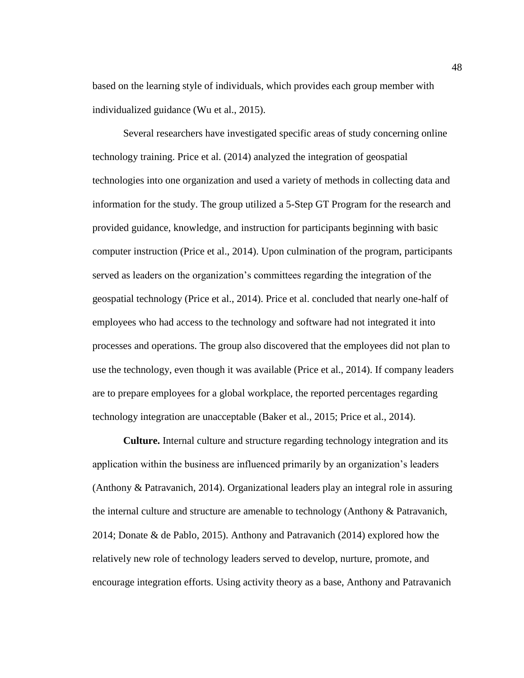based on the learning style of individuals, which provides each group member with individualized guidance (Wu et al., 2015).

Several researchers have investigated specific areas of study concerning online technology training. Price et al. (2014) analyzed the integration of geospatial technologies into one organization and used a variety of methods in collecting data and information for the study. The group utilized a 5-Step GT Program for the research and provided guidance, knowledge, and instruction for participants beginning with basic computer instruction (Price et al., 2014). Upon culmination of the program, participants served as leaders on the organization's committees regarding the integration of the geospatial technology (Price et al., 2014). Price et al. concluded that nearly one-half of employees who had access to the technology and software had not integrated it into processes and operations. The group also discovered that the employees did not plan to use the technology, even though it was available (Price et al., 2014). If company leaders are to prepare employees for a global workplace, the reported percentages regarding technology integration are unacceptable (Baker et al., 2015; Price et al., 2014).

**Culture.** Internal culture and structure regarding technology integration and its application within the business are influenced primarily by an organization's leaders (Anthony & Patravanich, 2014). Organizational leaders play an integral role in assuring the internal culture and structure are amenable to technology (Anthony & Patravanich, 2014; Donate & de Pablo, 2015). Anthony and Patravanich (2014) explored how the relatively new role of technology leaders served to develop, nurture, promote, and encourage integration efforts. Using activity theory as a base, Anthony and Patravanich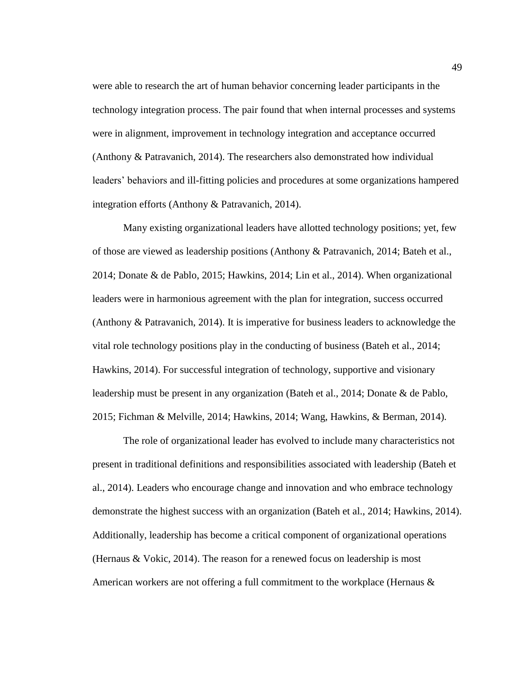were able to research the art of human behavior concerning leader participants in the technology integration process. The pair found that when internal processes and systems were in alignment, improvement in technology integration and acceptance occurred (Anthony & Patravanich, 2014). The researchers also demonstrated how individual leaders' behaviors and ill-fitting policies and procedures at some organizations hampered integration efforts (Anthony & Patravanich, 2014).

Many existing organizational leaders have allotted technology positions; yet, few of those are viewed as leadership positions (Anthony & Patravanich, 2014; Bateh et al., 2014; Donate & de Pablo, 2015; Hawkins, 2014; Lin et al., 2014). When organizational leaders were in harmonious agreement with the plan for integration, success occurred (Anthony & Patravanich, 2014). It is imperative for business leaders to acknowledge the vital role technology positions play in the conducting of business (Bateh et al., 2014; Hawkins, 2014). For successful integration of technology, supportive and visionary leadership must be present in any organization (Bateh et al., 2014; Donate & de Pablo, 2015; Fichman & Melville, 2014; Hawkins, 2014; Wang, Hawkins, & Berman, 2014).

The role of organizational leader has evolved to include many characteristics not present in traditional definitions and responsibilities associated with leadership (Bateh et al., 2014). Leaders who encourage change and innovation and who embrace technology demonstrate the highest success with an organization (Bateh et al., 2014; Hawkins, 2014). Additionally, leadership has become a critical component of organizational operations (Hernaus & Vokic, 2014). The reason for a renewed focus on leadership is most American workers are not offering a full commitment to the workplace (Hernaus &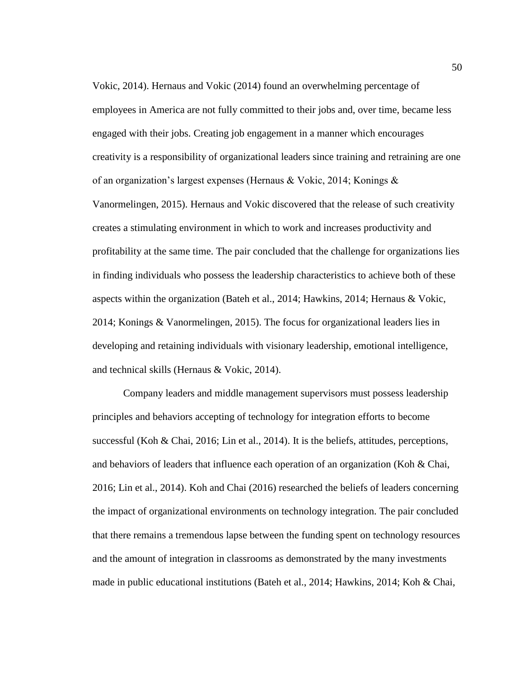Vokic, 2014). Hernaus and Vokic (2014) found an overwhelming percentage of employees in America are not fully committed to their jobs and, over time, became less engaged with their jobs. Creating job engagement in a manner which encourages creativity is a responsibility of organizational leaders since training and retraining are one of an organization's largest expenses (Hernaus & Vokic, 2014; Konings & Vanormelingen, 2015). Hernaus and Vokic discovered that the release of such creativity creates a stimulating environment in which to work and increases productivity and profitability at the same time. The pair concluded that the challenge for organizations lies in finding individuals who possess the leadership characteristics to achieve both of these aspects within the organization (Bateh et al., 2014; Hawkins, 2014; Hernaus & Vokic, 2014; Konings & Vanormelingen, 2015). The focus for organizational leaders lies in developing and retaining individuals with visionary leadership, emotional intelligence, and technical skills (Hernaus & Vokic, 2014).

Company leaders and middle management supervisors must possess leadership principles and behaviors accepting of technology for integration efforts to become successful (Koh & Chai, 2016; Lin et al., 2014). It is the beliefs, attitudes, perceptions, and behaviors of leaders that influence each operation of an organization (Koh & Chai, 2016; Lin et al., 2014). Koh and Chai (2016) researched the beliefs of leaders concerning the impact of organizational environments on technology integration. The pair concluded that there remains a tremendous lapse between the funding spent on technology resources and the amount of integration in classrooms as demonstrated by the many investments made in public educational institutions (Bateh et al., 2014; Hawkins, 2014; Koh & Chai,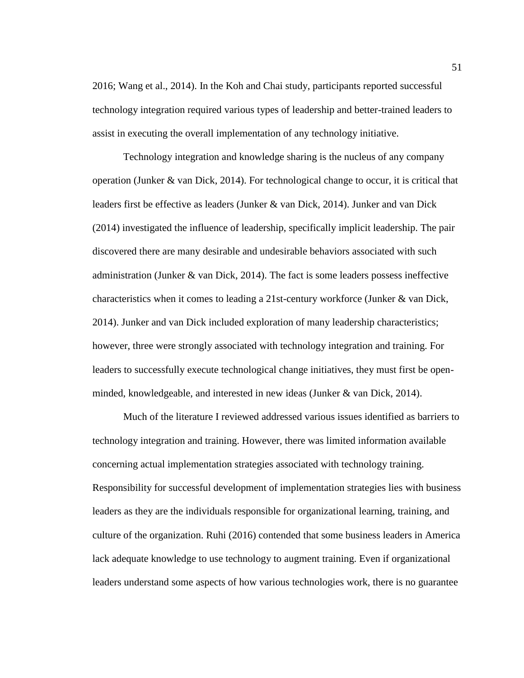2016; Wang et al., 2014). In the Koh and Chai study, participants reported successful technology integration required various types of leadership and better-trained leaders to assist in executing the overall implementation of any technology initiative.

Technology integration and knowledge sharing is the nucleus of any company operation (Junker & van Dick, 2014). For technological change to occur, it is critical that leaders first be effective as leaders (Junker & van Dick, 2014). Junker and van Dick (2014) investigated the influence of leadership, specifically implicit leadership. The pair discovered there are many desirable and undesirable behaviors associated with such administration (Junker & van Dick, 2014). The fact is some leaders possess ineffective characteristics when it comes to leading a 21st-century workforce (Junker & van Dick, 2014). Junker and van Dick included exploration of many leadership characteristics; however, three were strongly associated with technology integration and training. For leaders to successfully execute technological change initiatives, they must first be openminded, knowledgeable, and interested in new ideas (Junker & van Dick, 2014).

Much of the literature I reviewed addressed various issues identified as barriers to technology integration and training. However, there was limited information available concerning actual implementation strategies associated with technology training. Responsibility for successful development of implementation strategies lies with business leaders as they are the individuals responsible for organizational learning, training, and culture of the organization. Ruhi (2016) contended that some business leaders in America lack adequate knowledge to use technology to augment training. Even if organizational leaders understand some aspects of how various technologies work, there is no guarantee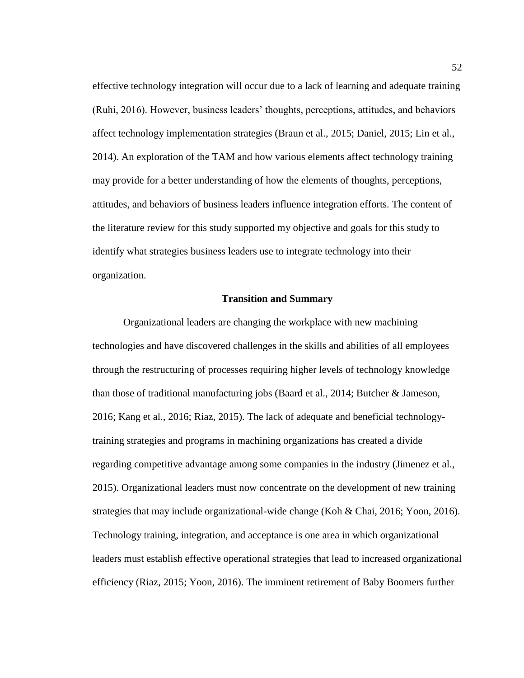effective technology integration will occur due to a lack of learning and adequate training (Ruhi, 2016). However, business leaders' thoughts, perceptions, attitudes, and behaviors affect technology implementation strategies (Braun et al., 2015; Daniel, 2015; Lin et al., 2014). An exploration of the TAM and how various elements affect technology training may provide for a better understanding of how the elements of thoughts, perceptions, attitudes, and behaviors of business leaders influence integration efforts. The content of the literature review for this study supported my objective and goals for this study to identify what strategies business leaders use to integrate technology into their organization.

# **Transition and Summary**

Organizational leaders are changing the workplace with new machining technologies and have discovered challenges in the skills and abilities of all employees through the restructuring of processes requiring higher levels of technology knowledge than those of traditional manufacturing jobs (Baard et al., 2014; Butcher & Jameson, 2016; Kang et al., 2016; Riaz, 2015). The lack of adequate and beneficial technologytraining strategies and programs in machining organizations has created a divide regarding competitive advantage among some companies in the industry (Jimenez et al., 2015). Organizational leaders must now concentrate on the development of new training strategies that may include organizational-wide change (Koh & Chai, 2016; Yoon, 2016). Technology training, integration, and acceptance is one area in which organizational leaders must establish effective operational strategies that lead to increased organizational efficiency (Riaz, 2015; Yoon, 2016). The imminent retirement of Baby Boomers further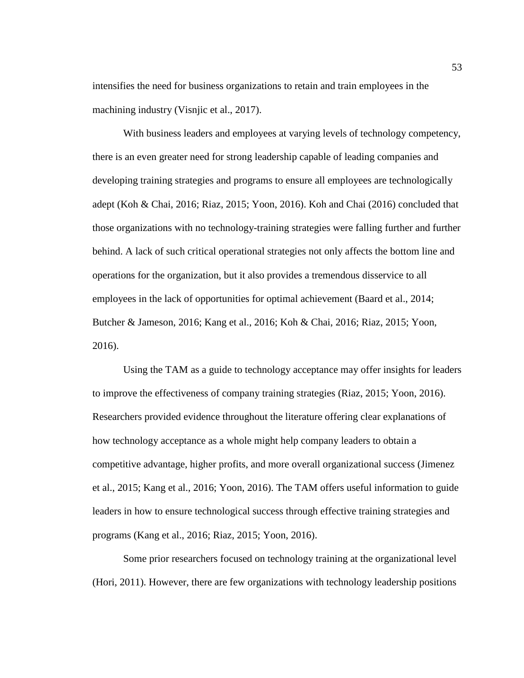intensifies the need for business organizations to retain and train employees in the machining industry (Visnjic et al., 2017).

With business leaders and employees at varying levels of technology competency, there is an even greater need for strong leadership capable of leading companies and developing training strategies and programs to ensure all employees are technologically adept (Koh & Chai, 2016; Riaz, 2015; Yoon, 2016). Koh and Chai (2016) concluded that those organizations with no technology-training strategies were falling further and further behind. A lack of such critical operational strategies not only affects the bottom line and operations for the organization, but it also provides a tremendous disservice to all employees in the lack of opportunities for optimal achievement (Baard et al., 2014; Butcher & Jameson, 2016; Kang et al., 2016; Koh & Chai, 2016; Riaz, 2015; Yoon, 2016).

Using the TAM as a guide to technology acceptance may offer insights for leaders to improve the effectiveness of company training strategies (Riaz, 2015; Yoon, 2016). Researchers provided evidence throughout the literature offering clear explanations of how technology acceptance as a whole might help company leaders to obtain a competitive advantage, higher profits, and more overall organizational success (Jimenez et al., 2015; Kang et al., 2016; Yoon, 2016). The TAM offers useful information to guide leaders in how to ensure technological success through effective training strategies and programs (Kang et al., 2016; Riaz, 2015; Yoon, 2016).

Some prior researchers focused on technology training at the organizational level (Hori, 2011). However, there are few organizations with technology leadership positions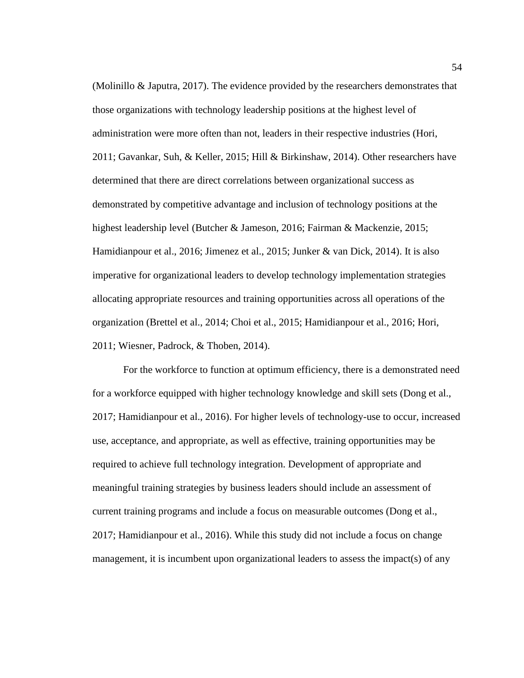(Molinillo & Japutra, 2017). The evidence provided by the researchers demonstrates that those organizations with technology leadership positions at the highest level of administration were more often than not, leaders in their respective industries (Hori, 2011; Gavankar, Suh, & Keller, 2015; Hill & Birkinshaw, 2014). Other researchers have determined that there are direct correlations between organizational success as demonstrated by competitive advantage and inclusion of technology positions at the highest leadership level (Butcher & Jameson, 2016; Fairman & Mackenzie, 2015; Hamidianpour et al., 2016; Jimenez et al., 2015; Junker & van Dick, 2014). It is also imperative for organizational leaders to develop technology implementation strategies allocating appropriate resources and training opportunities across all operations of the organization (Brettel et al., 2014; Choi et al., 2015; Hamidianpour et al., 2016; Hori, 2011; Wiesner, Padrock, & Thoben, 2014).

For the workforce to function at optimum efficiency, there is a demonstrated need for a workforce equipped with higher technology knowledge and skill sets (Dong et al., 2017; Hamidianpour et al., 2016). For higher levels of technology-use to occur, increased use, acceptance, and appropriate, as well as effective, training opportunities may be required to achieve full technology integration. Development of appropriate and meaningful training strategies by business leaders should include an assessment of current training programs and include a focus on measurable outcomes (Dong et al., 2017; Hamidianpour et al., 2016). While this study did not include a focus on change management, it is incumbent upon organizational leaders to assess the impact(s) of any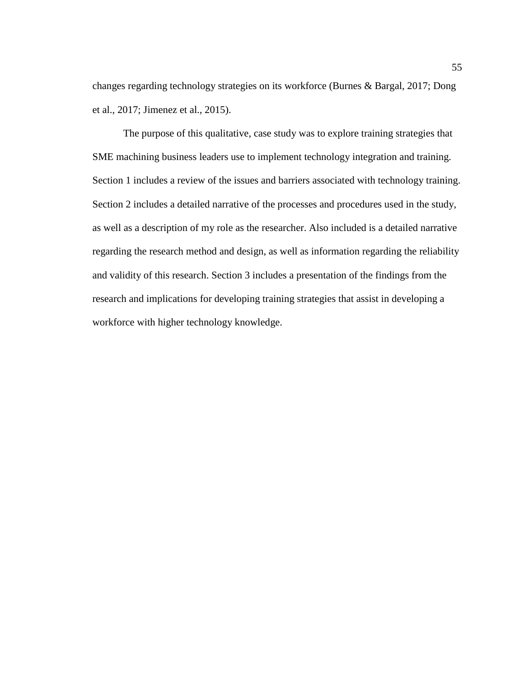changes regarding technology strategies on its workforce (Burnes & Bargal, 2017; Dong et al., 2017; Jimenez et al., 2015).

The purpose of this qualitative, case study was to explore training strategies that SME machining business leaders use to implement technology integration and training. Section 1 includes a review of the issues and barriers associated with technology training. Section 2 includes a detailed narrative of the processes and procedures used in the study, as well as a description of my role as the researcher. Also included is a detailed narrative regarding the research method and design, as well as information regarding the reliability and validity of this research. Section 3 includes a presentation of the findings from the research and implications for developing training strategies that assist in developing a workforce with higher technology knowledge.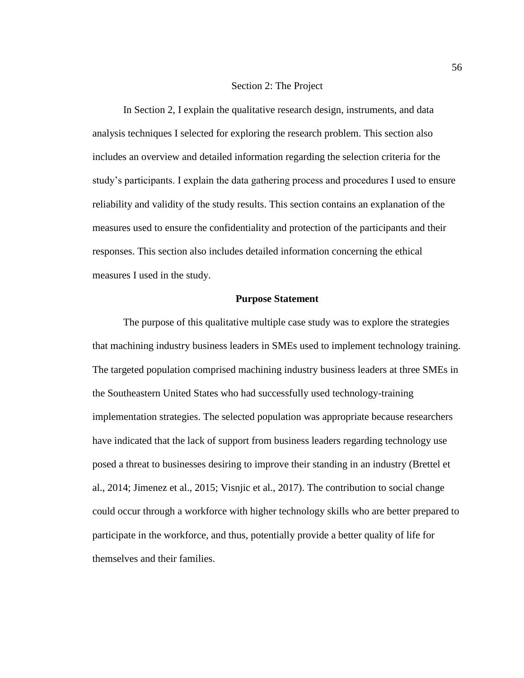#### Section 2: The Project

In Section 2, I explain the qualitative research design, instruments, and data analysis techniques I selected for exploring the research problem. This section also includes an overview and detailed information regarding the selection criteria for the study's participants. I explain the data gathering process and procedures I used to ensure reliability and validity of the study results. This section contains an explanation of the measures used to ensure the confidentiality and protection of the participants and their responses. This section also includes detailed information concerning the ethical measures I used in the study.

# **Purpose Statement**

The purpose of this qualitative multiple case study was to explore the strategies that machining industry business leaders in SMEs used to implement technology training. The targeted population comprised machining industry business leaders at three SMEs in the Southeastern United States who had successfully used technology-training implementation strategies. The selected population was appropriate because researchers have indicated that the lack of support from business leaders regarding technology use posed a threat to businesses desiring to improve their standing in an industry (Brettel et al., 2014; Jimenez et al., 2015; Visnjic et al., 2017). The contribution to social change could occur through a workforce with higher technology skills who are better prepared to participate in the workforce, and thus, potentially provide a better quality of life for themselves and their families.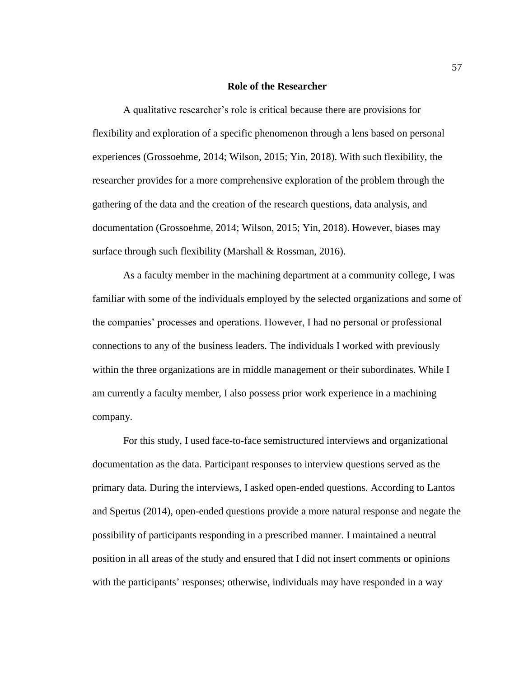#### **Role of the Researcher**

A qualitative researcher's role is critical because there are provisions for flexibility and exploration of a specific phenomenon through a lens based on personal experiences (Grossoehme, 2014; Wilson, 2015; Yin, 2018). With such flexibility, the researcher provides for a more comprehensive exploration of the problem through the gathering of the data and the creation of the research questions, data analysis, and documentation (Grossoehme, 2014; Wilson, 2015; Yin, 2018). However, biases may surface through such flexibility (Marshall & Rossman, 2016).

As a faculty member in the machining department at a community college, I was familiar with some of the individuals employed by the selected organizations and some of the companies' processes and operations. However, I had no personal or professional connections to any of the business leaders. The individuals I worked with previously within the three organizations are in middle management or their subordinates. While I am currently a faculty member, I also possess prior work experience in a machining company.

For this study, I used face-to-face semistructured interviews and organizational documentation as the data. Participant responses to interview questions served as the primary data. During the interviews, I asked open-ended questions. According to Lantos and Spertus (2014), open-ended questions provide a more natural response and negate the possibility of participants responding in a prescribed manner. I maintained a neutral position in all areas of the study and ensured that I did not insert comments or opinions with the participants' responses; otherwise, individuals may have responded in a way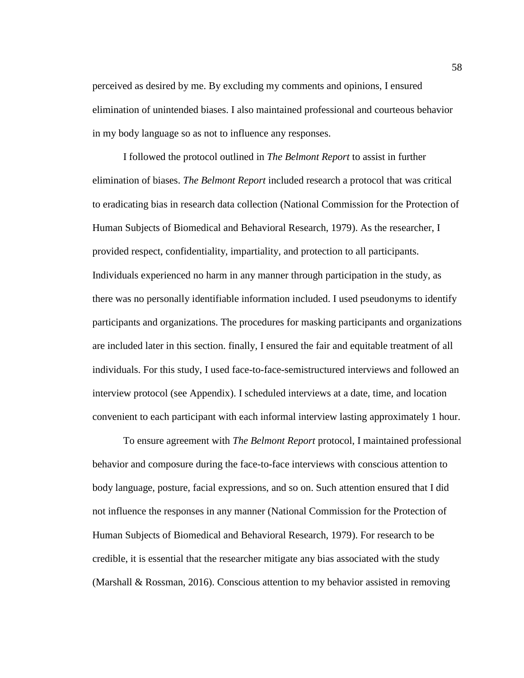perceived as desired by me. By excluding my comments and opinions, I ensured elimination of unintended biases. I also maintained professional and courteous behavior in my body language so as not to influence any responses.

I followed the protocol outlined in *The Belmont Report* to assist in further elimination of biases. *The Belmont Report* included research a protocol that was critical to eradicating bias in research data collection (National Commission for the Protection of Human Subjects of Biomedical and Behavioral Research, 1979). As the researcher, I provided respect, confidentiality, impartiality, and protection to all participants. Individuals experienced no harm in any manner through participation in the study, as there was no personally identifiable information included. I used pseudonyms to identify participants and organizations. The procedures for masking participants and organizations are included later in this section. finally, I ensured the fair and equitable treatment of all individuals. For this study, I used face-to-face-semistructured interviews and followed an interview protocol (see Appendix). I scheduled interviews at a date, time, and location convenient to each participant with each informal interview lasting approximately 1 hour.

To ensure agreement with *The Belmont Report* protocol, I maintained professional behavior and composure during the face-to-face interviews with conscious attention to body language, posture, facial expressions, and so on. Such attention ensured that I did not influence the responses in any manner (National Commission for the Protection of Human Subjects of Biomedical and Behavioral Research, 1979). For research to be credible, it is essential that the researcher mitigate any bias associated with the study (Marshall & Rossman, 2016). Conscious attention to my behavior assisted in removing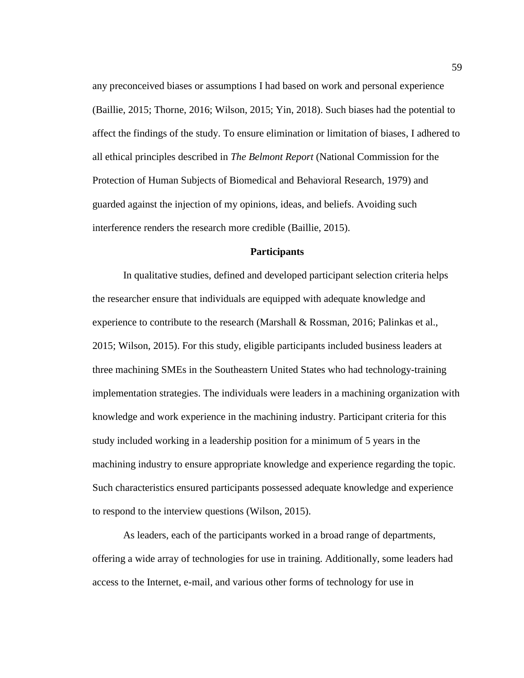any preconceived biases or assumptions I had based on work and personal experience (Baillie, 2015; Thorne, 2016; Wilson, 2015; Yin, 2018). Such biases had the potential to affect the findings of the study. To ensure elimination or limitation of biases, I adhered to all ethical principles described in *The Belmont Report* (National Commission for the Protection of Human Subjects of Biomedical and Behavioral Research, 1979) and guarded against the injection of my opinions, ideas, and beliefs. Avoiding such interference renders the research more credible (Baillie, 2015).

## **Participants**

In qualitative studies, defined and developed participant selection criteria helps the researcher ensure that individuals are equipped with adequate knowledge and experience to contribute to the research (Marshall & Rossman, 2016; Palinkas et al., 2015; Wilson, 2015). For this study, eligible participants included business leaders at three machining SMEs in the Southeastern United States who had technology-training implementation strategies. The individuals were leaders in a machining organization with knowledge and work experience in the machining industry. Participant criteria for this study included working in a leadership position for a minimum of 5 years in the machining industry to ensure appropriate knowledge and experience regarding the topic. Such characteristics ensured participants possessed adequate knowledge and experience to respond to the interview questions (Wilson, 2015).

As leaders, each of the participants worked in a broad range of departments, offering a wide array of technologies for use in training. Additionally, some leaders had access to the Internet, e-mail, and various other forms of technology for use in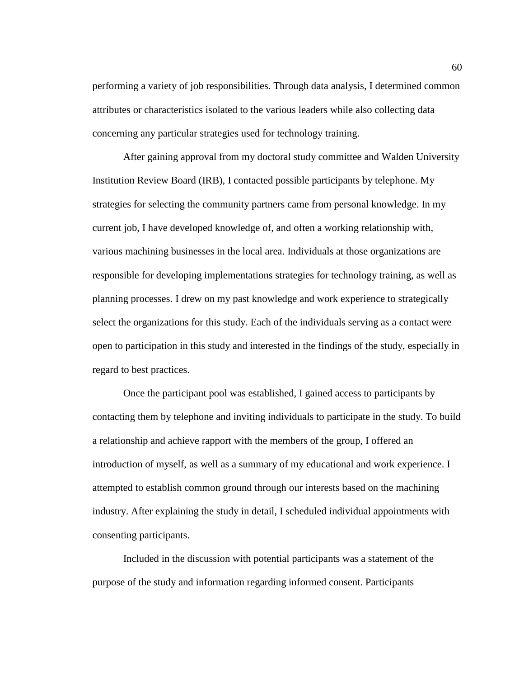performing a variety of job responsibilities. Through data analysis, I determined common attributes or characteristics isolated to the various leaders while also collecting data concerning any particular strategies used for technology training.

After gaining approval from my doctoral study committee and Walden University Institution Review Board (IRB), I contacted possible participants by telephone. My strategies for selecting the community partners came from personal knowledge. In my current job, I have developed knowledge of, and often a working relationship with, various machining businesses in the local area. Individuals at those organizations are responsible for developing implementations strategies for technology training, as well as planning processes. I drew on my past knowledge and work experience to strategically select the organizations for this study. Each of the individuals serving as a contact were open to participation in this study and interested in the findings of the study, especially in regard to best practices.

Once the participant pool was established, I gained access to participants by contacting them by telephone and inviting individuals to participate in the study. To build a relationship and achieve rapport with the members of the group, I offered an introduction of myself, as well as a summary of my educational and work experience. I attempted to establish common ground through our interests based on the machining industry. After explaining the study in detail, I scheduled individual appointments with consenting participants.

Included in the discussion with potential participants was a statement of the purpose of the study and information regarding informed consent. Participants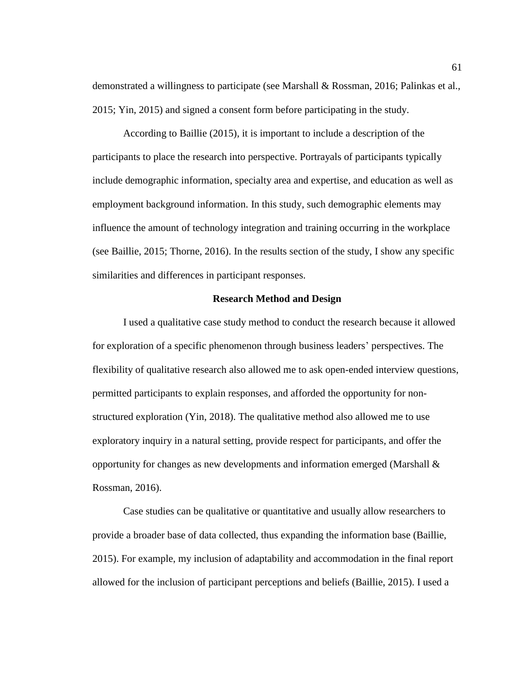demonstrated a willingness to participate (see Marshall & Rossman, 2016; Palinkas et al., 2015; Yin, 2015) and signed a consent form before participating in the study.

According to Baillie (2015), it is important to include a description of the participants to place the research into perspective. Portrayals of participants typically include demographic information, specialty area and expertise, and education as well as employment background information. In this study, such demographic elements may influence the amount of technology integration and training occurring in the workplace (see Baillie, 2015; Thorne, 2016). In the results section of the study, I show any specific similarities and differences in participant responses.

## **Research Method and Design**

I used a qualitative case study method to conduct the research because it allowed for exploration of a specific phenomenon through business leaders' perspectives. The flexibility of qualitative research also allowed me to ask open-ended interview questions, permitted participants to explain responses, and afforded the opportunity for nonstructured exploration (Yin, 2018). The qualitative method also allowed me to use exploratory inquiry in a natural setting, provide respect for participants, and offer the opportunity for changes as new developments and information emerged (Marshall & Rossman, 2016).

Case studies can be qualitative or quantitative and usually allow researchers to provide a broader base of data collected, thus expanding the information base (Baillie, 2015). For example, my inclusion of adaptability and accommodation in the final report allowed for the inclusion of participant perceptions and beliefs (Baillie, 2015). I used a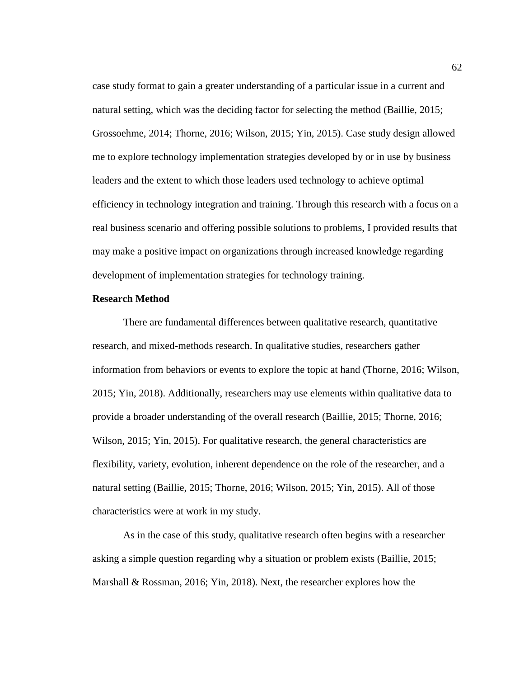case study format to gain a greater understanding of a particular issue in a current and natural setting, which was the deciding factor for selecting the method (Baillie, 2015; Grossoehme, 2014; Thorne, 2016; Wilson, 2015; Yin, 2015). Case study design allowed me to explore technology implementation strategies developed by or in use by business leaders and the extent to which those leaders used technology to achieve optimal efficiency in technology integration and training. Through this research with a focus on a real business scenario and offering possible solutions to problems, I provided results that may make a positive impact on organizations through increased knowledge regarding development of implementation strategies for technology training.

## **Research Method**

There are fundamental differences between qualitative research, quantitative research, and mixed-methods research. In qualitative studies, researchers gather information from behaviors or events to explore the topic at hand (Thorne, 2016; Wilson, 2015; Yin, 2018). Additionally, researchers may use elements within qualitative data to provide a broader understanding of the overall research (Baillie, 2015; Thorne, 2016; Wilson, 2015; Yin, 2015). For qualitative research, the general characteristics are flexibility, variety, evolution, inherent dependence on the role of the researcher, and a natural setting (Baillie, 2015; Thorne, 2016; Wilson, 2015; Yin, 2015). All of those characteristics were at work in my study.

As in the case of this study, qualitative research often begins with a researcher asking a simple question regarding why a situation or problem exists (Baillie, 2015; Marshall & Rossman, 2016; Yin, 2018). Next, the researcher explores how the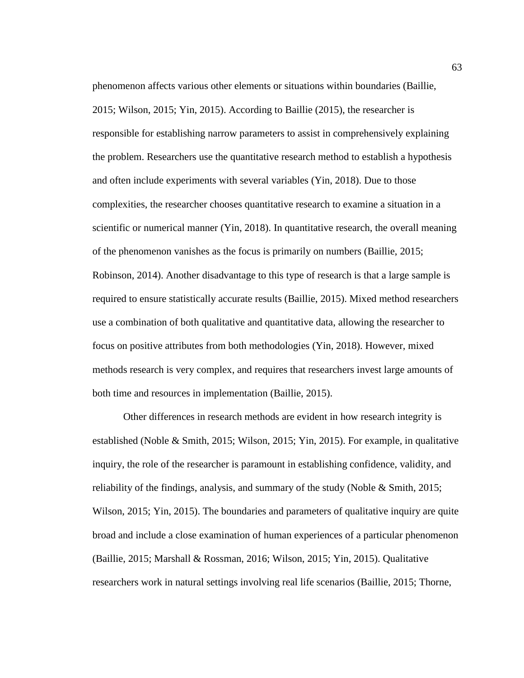phenomenon affects various other elements or situations within boundaries (Baillie, 2015; Wilson, 2015; Yin, 2015). According to Baillie (2015), the researcher is responsible for establishing narrow parameters to assist in comprehensively explaining the problem. Researchers use the quantitative research method to establish a hypothesis and often include experiments with several variables (Yin, 2018). Due to those complexities, the researcher chooses quantitative research to examine a situation in a scientific or numerical manner (Yin, 2018). In quantitative research, the overall meaning of the phenomenon vanishes as the focus is primarily on numbers (Baillie, 2015; Robinson, 2014). Another disadvantage to this type of research is that a large sample is required to ensure statistically accurate results (Baillie, 2015). Mixed method researchers use a combination of both qualitative and quantitative data, allowing the researcher to focus on positive attributes from both methodologies (Yin, 2018). However, mixed methods research is very complex, and requires that researchers invest large amounts of both time and resources in implementation (Baillie, 2015).

Other differences in research methods are evident in how research integrity is established (Noble & Smith, 2015; Wilson, 2015; Yin, 2015). For example, in qualitative inquiry, the role of the researcher is paramount in establishing confidence, validity, and reliability of the findings, analysis, and summary of the study (Noble & Smith, 2015; Wilson, 2015; Yin, 2015). The boundaries and parameters of qualitative inquiry are quite broad and include a close examination of human experiences of a particular phenomenon (Baillie, 2015; Marshall & Rossman, 2016; Wilson, 2015; Yin, 2015). Qualitative researchers work in natural settings involving real life scenarios (Baillie, 2015; Thorne,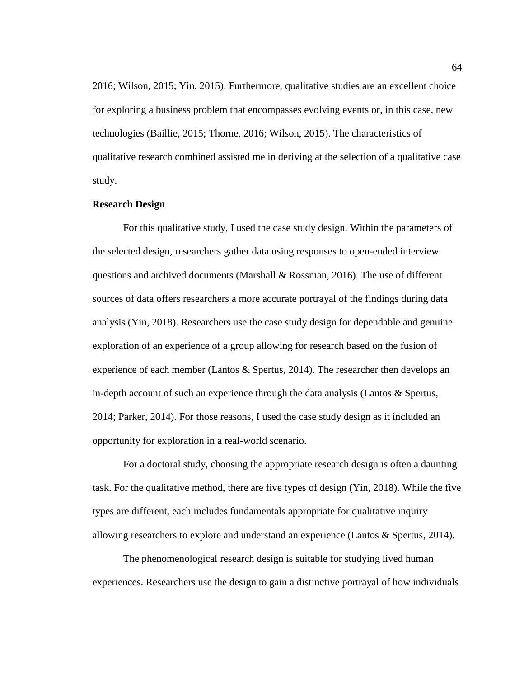2016; Wilson, 2015; Yin, 2015). Furthermore, qualitative studies are an excellent choice for exploring a business problem that encompasses evolving events or, in this case, new technologies (Baillie, 2015; Thorne, 2016; Wilson, 2015). The characteristics of qualitative research combined assisted me in deriving at the selection of a qualitative case study.

## **Research Design**

For this qualitative study, I used the case study design. Within the parameters of the selected design, researchers gather data using responses to open-ended interview questions and archived documents (Marshall & Rossman, 2016). The use of different sources of data offers researchers a more accurate portrayal of the findings during data analysis (Yin, 2018). Researchers use the case study design for dependable and genuine exploration of an experience of a group allowing for research based on the fusion of experience of each member (Lantos & Spertus, 2014). The researcher then develops an in-depth account of such an experience through the data analysis (Lantos & Spertus, 2014; Parker, 2014). For those reasons, I used the case study design as it included an opportunity for exploration in a real-world scenario.

For a doctoral study, choosing the appropriate research design is often a daunting task. For the qualitative method, there are five types of design (Yin, 2018). While the five types are different, each includes fundamentals appropriate for qualitative inquiry allowing researchers to explore and understand an experience (Lantos & Spertus, 2014).

The phenomenological research design is suitable for studying lived human experiences. Researchers use the design to gain a distinctive portrayal of how individuals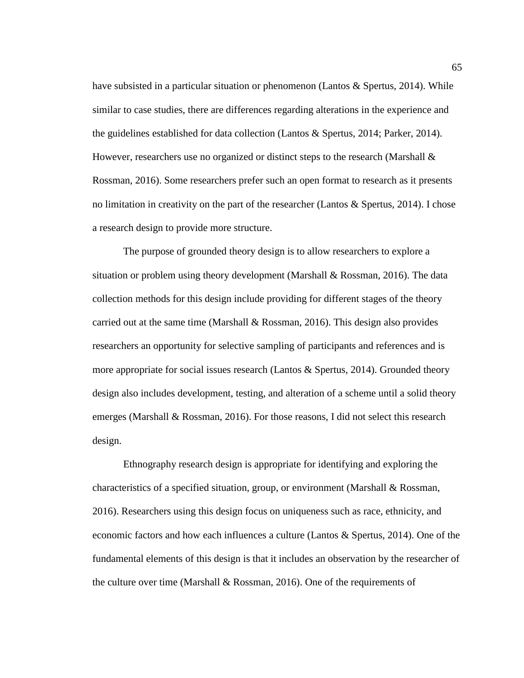have subsisted in a particular situation or phenomenon (Lantos & Spertus, 2014). While similar to case studies, there are differences regarding alterations in the experience and the guidelines established for data collection (Lantos & Spertus, 2014; Parker, 2014). However, researchers use no organized or distinct steps to the research (Marshall  $\&$ Rossman, 2016). Some researchers prefer such an open format to research as it presents no limitation in creativity on the part of the researcher (Lantos & Spertus, 2014). I chose a research design to provide more structure.

The purpose of grounded theory design is to allow researchers to explore a situation or problem using theory development (Marshall & Rossman, 2016). The data collection methods for this design include providing for different stages of the theory carried out at the same time (Marshall  $& Rossman, 2016$ ). This design also provides researchers an opportunity for selective sampling of participants and references and is more appropriate for social issues research (Lantos & Spertus, 2014). Grounded theory design also includes development, testing, and alteration of a scheme until a solid theory emerges (Marshall & Rossman, 2016). For those reasons, I did not select this research design.

Ethnography research design is appropriate for identifying and exploring the characteristics of a specified situation, group, or environment (Marshall & Rossman, 2016). Researchers using this design focus on uniqueness such as race, ethnicity, and economic factors and how each influences a culture (Lantos & Spertus, 2014). One of the fundamental elements of this design is that it includes an observation by the researcher of the culture over time (Marshall  $& Rossman, 2016$ ). One of the requirements of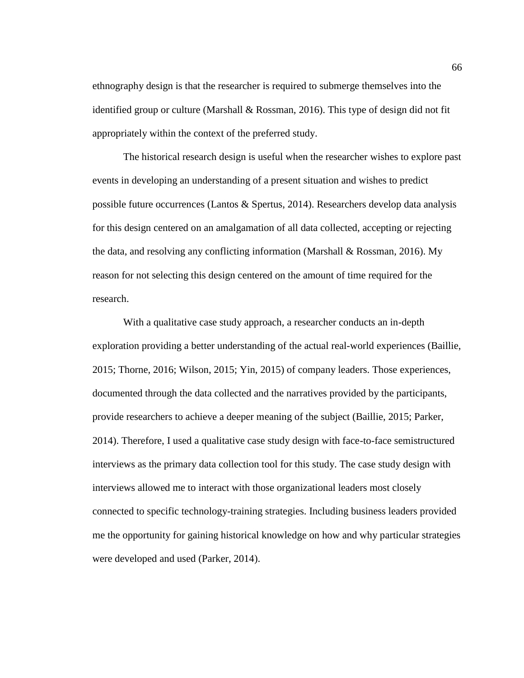ethnography design is that the researcher is required to submerge themselves into the identified group or culture (Marshall & Rossman, 2016). This type of design did not fit appropriately within the context of the preferred study.

The historical research design is useful when the researcher wishes to explore past events in developing an understanding of a present situation and wishes to predict possible future occurrences (Lantos & Spertus, 2014). Researchers develop data analysis for this design centered on an amalgamation of all data collected, accepting or rejecting the data, and resolving any conflicting information (Marshall & Rossman, 2016). My reason for not selecting this design centered on the amount of time required for the research.

With a qualitative case study approach, a researcher conducts an in-depth exploration providing a better understanding of the actual real-world experiences (Baillie, 2015; Thorne, 2016; Wilson, 2015; Yin, 2015) of company leaders. Those experiences, documented through the data collected and the narratives provided by the participants, provide researchers to achieve a deeper meaning of the subject (Baillie, 2015; Parker, 2014). Therefore, I used a qualitative case study design with face-to-face semistructured interviews as the primary data collection tool for this study. The case study design with interviews allowed me to interact with those organizational leaders most closely connected to specific technology-training strategies. Including business leaders provided me the opportunity for gaining historical knowledge on how and why particular strategies were developed and used (Parker, 2014).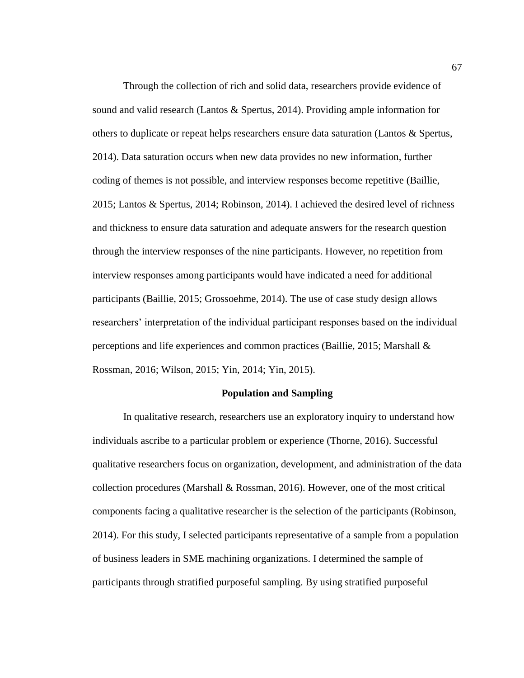Through the collection of rich and solid data, researchers provide evidence of sound and valid research (Lantos & Spertus, 2014). Providing ample information for others to duplicate or repeat helps researchers ensure data saturation (Lantos & Spertus, 2014). Data saturation occurs when new data provides no new information, further coding of themes is not possible, and interview responses become repetitive (Baillie, 2015; Lantos & Spertus, 2014; Robinson, 2014). I achieved the desired level of richness and thickness to ensure data saturation and adequate answers for the research question through the interview responses of the nine participants. However, no repetition from interview responses among participants would have indicated a need for additional participants (Baillie, 2015; Grossoehme, 2014). The use of case study design allows researchers' interpretation of the individual participant responses based on the individual perceptions and life experiences and common practices (Baillie, 2015; Marshall & Rossman, 2016; Wilson, 2015; Yin, 2014; Yin, 2015).

## **Population and Sampling**

In qualitative research, researchers use an exploratory inquiry to understand how individuals ascribe to a particular problem or experience (Thorne, 2016). Successful qualitative researchers focus on organization, development, and administration of the data collection procedures (Marshall & Rossman, 2016). However, one of the most critical components facing a qualitative researcher is the selection of the participants (Robinson, 2014). For this study, I selected participants representative of a sample from a population of business leaders in SME machining organizations. I determined the sample of participants through stratified purposeful sampling. By using stratified purposeful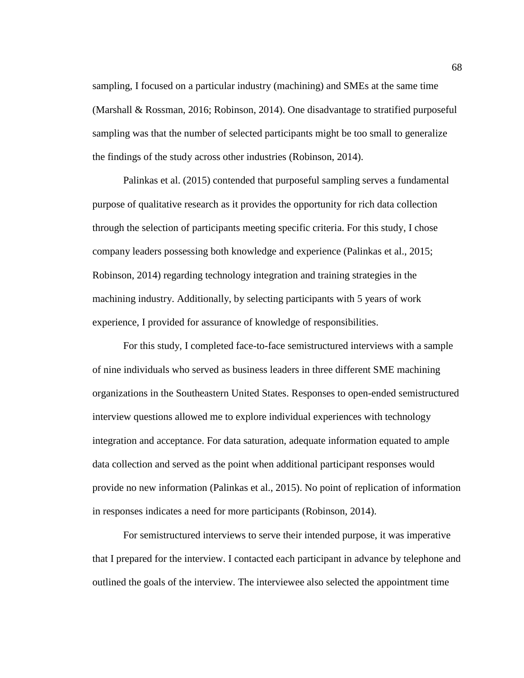sampling, I focused on a particular industry (machining) and SMEs at the same time (Marshall & Rossman, 2016; Robinson, 2014). One disadvantage to stratified purposeful sampling was that the number of selected participants might be too small to generalize the findings of the study across other industries (Robinson, 2014).

Palinkas et al. (2015) contended that purposeful sampling serves a fundamental purpose of qualitative research as it provides the opportunity for rich data collection through the selection of participants meeting specific criteria. For this study, I chose company leaders possessing both knowledge and experience (Palinkas et al., 2015; Robinson, 2014) regarding technology integration and training strategies in the machining industry. Additionally, by selecting participants with 5 years of work experience, I provided for assurance of knowledge of responsibilities.

For this study, I completed face-to-face semistructured interviews with a sample of nine individuals who served as business leaders in three different SME machining organizations in the Southeastern United States. Responses to open-ended semistructured interview questions allowed me to explore individual experiences with technology integration and acceptance. For data saturation, adequate information equated to ample data collection and served as the point when additional participant responses would provide no new information (Palinkas et al., 2015). No point of replication of information in responses indicates a need for more participants (Robinson, 2014).

For semistructured interviews to serve their intended purpose, it was imperative that I prepared for the interview. I contacted each participant in advance by telephone and outlined the goals of the interview. The interviewee also selected the appointment time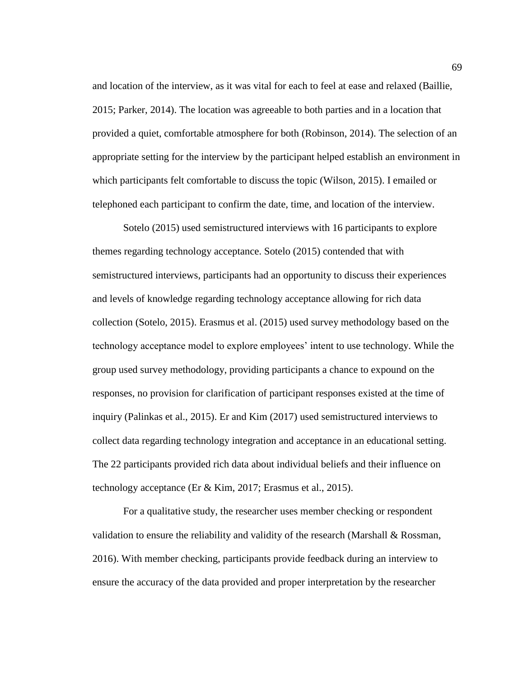and location of the interview, as it was vital for each to feel at ease and relaxed (Baillie, 2015; Parker, 2014). The location was agreeable to both parties and in a location that provided a quiet, comfortable atmosphere for both (Robinson, 2014). The selection of an appropriate setting for the interview by the participant helped establish an environment in which participants felt comfortable to discuss the topic (Wilson, 2015). I emailed or telephoned each participant to confirm the date, time, and location of the interview.

Sotelo (2015) used semistructured interviews with 16 participants to explore themes regarding technology acceptance. Sotelo (2015) contended that with semistructured interviews, participants had an opportunity to discuss their experiences and levels of knowledge regarding technology acceptance allowing for rich data collection (Sotelo, 2015). Erasmus et al. (2015) used survey methodology based on the technology acceptance model to explore employees' intent to use technology. While the group used survey methodology, providing participants a chance to expound on the responses, no provision for clarification of participant responses existed at the time of inquiry (Palinkas et al., 2015). Er and Kim (2017) used semistructured interviews to collect data regarding technology integration and acceptance in an educational setting. The 22 participants provided rich data about individual beliefs and their influence on technology acceptance (Er & Kim, 2017; Erasmus et al., 2015).

For a qualitative study, the researcher uses member checking or respondent validation to ensure the reliability and validity of the research (Marshall  $\&$  Rossman, 2016). With member checking, participants provide feedback during an interview to ensure the accuracy of the data provided and proper interpretation by the researcher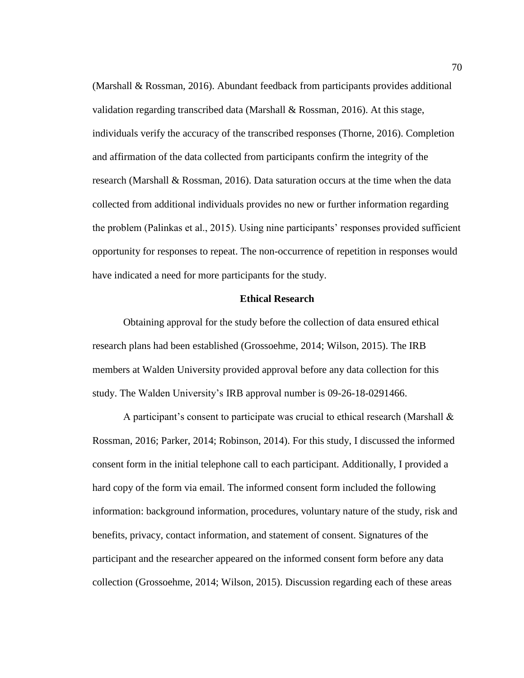(Marshall & Rossman, 2016). Abundant feedback from participants provides additional validation regarding transcribed data (Marshall  $\&$  Rossman, 2016). At this stage, individuals verify the accuracy of the transcribed responses (Thorne, 2016). Completion and affirmation of the data collected from participants confirm the integrity of the research (Marshall & Rossman, 2016). Data saturation occurs at the time when the data collected from additional individuals provides no new or further information regarding the problem (Palinkas et al., 2015). Using nine participants' responses provided sufficient opportunity for responses to repeat. The non-occurrence of repetition in responses would have indicated a need for more participants for the study.

## **Ethical Research**

Obtaining approval for the study before the collection of data ensured ethical research plans had been established (Grossoehme, 2014; Wilson, 2015). The IRB members at Walden University provided approval before any data collection for this study. The Walden University's IRB approval number is 09-26-18-0291466.

A participant's consent to participate was crucial to ethical research (Marshall  $\&$ Rossman, 2016; Parker, 2014; Robinson, 2014). For this study, I discussed the informed consent form in the initial telephone call to each participant. Additionally, I provided a hard copy of the form via email. The informed consent form included the following information: background information, procedures, voluntary nature of the study, risk and benefits, privacy, contact information, and statement of consent. Signatures of the participant and the researcher appeared on the informed consent form before any data collection (Grossoehme, 2014; Wilson, 2015). Discussion regarding each of these areas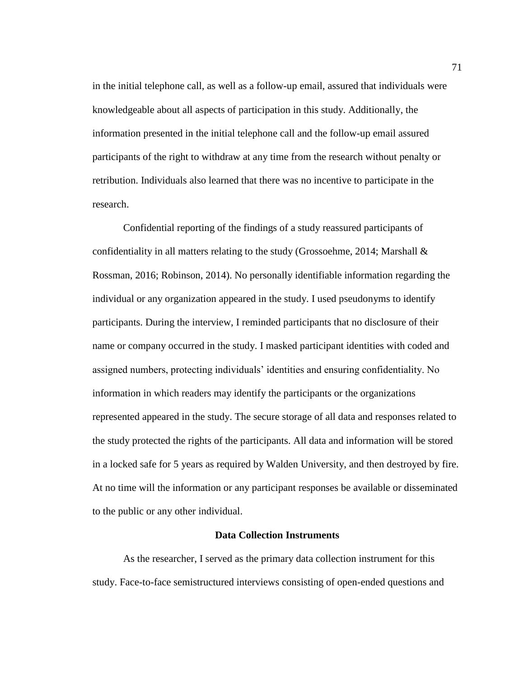in the initial telephone call, as well as a follow-up email, assured that individuals were knowledgeable about all aspects of participation in this study. Additionally, the information presented in the initial telephone call and the follow-up email assured participants of the right to withdraw at any time from the research without penalty or retribution. Individuals also learned that there was no incentive to participate in the research.

Confidential reporting of the findings of a study reassured participants of confidentiality in all matters relating to the study (Grossoehme, 2014; Marshall  $\&$ Rossman, 2016; Robinson, 2014). No personally identifiable information regarding the individual or any organization appeared in the study. I used pseudonyms to identify participants. During the interview, I reminded participants that no disclosure of their name or company occurred in the study. I masked participant identities with coded and assigned numbers, protecting individuals' identities and ensuring confidentiality. No information in which readers may identify the participants or the organizations represented appeared in the study. The secure storage of all data and responses related to the study protected the rights of the participants. All data and information will be stored in a locked safe for 5 years as required by Walden University, and then destroyed by fire. At no time will the information or any participant responses be available or disseminated to the public or any other individual.

## **Data Collection Instruments**

As the researcher, I served as the primary data collection instrument for this study. Face-to-face semistructured interviews consisting of open-ended questions and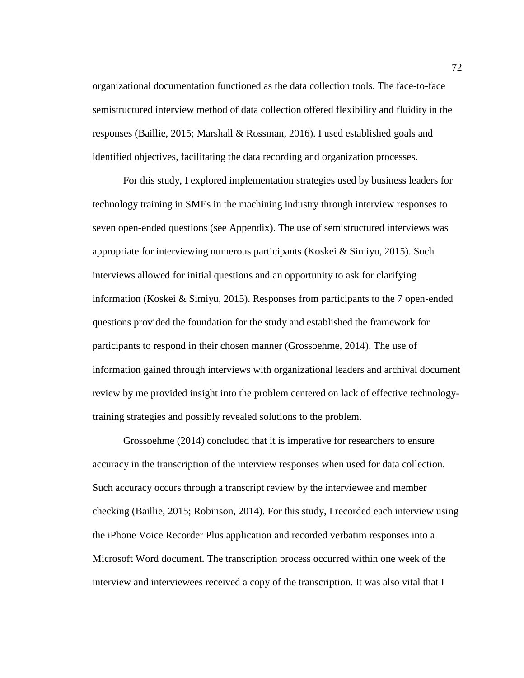organizational documentation functioned as the data collection tools. The face-to-face semistructured interview method of data collection offered flexibility and fluidity in the responses (Baillie, 2015; Marshall & Rossman, 2016). I used established goals and identified objectives, facilitating the data recording and organization processes.

For this study, I explored implementation strategies used by business leaders for technology training in SMEs in the machining industry through interview responses to seven open-ended questions (see Appendix). The use of semistructured interviews was appropriate for interviewing numerous participants (Koskei & Simiyu, 2015). Such interviews allowed for initial questions and an opportunity to ask for clarifying information (Koskei & Simiyu, 2015). Responses from participants to the 7 open-ended questions provided the foundation for the study and established the framework for participants to respond in their chosen manner (Grossoehme, 2014). The use of information gained through interviews with organizational leaders and archival document review by me provided insight into the problem centered on lack of effective technologytraining strategies and possibly revealed solutions to the problem.

Grossoehme (2014) concluded that it is imperative for researchers to ensure accuracy in the transcription of the interview responses when used for data collection. Such accuracy occurs through a transcript review by the interviewee and member checking (Baillie, 2015; Robinson, 2014). For this study, I recorded each interview using the iPhone Voice Recorder Plus application and recorded verbatim responses into a Microsoft Word document. The transcription process occurred within one week of the interview and interviewees received a copy of the transcription. It was also vital that I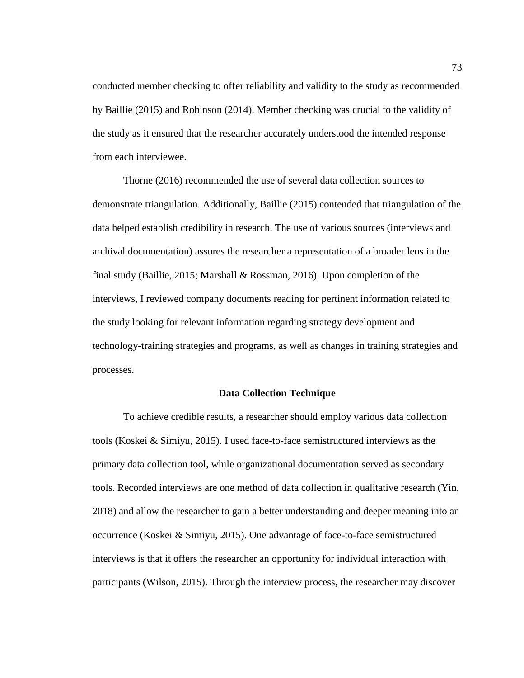conducted member checking to offer reliability and validity to the study as recommended by Baillie (2015) and Robinson (2014). Member checking was crucial to the validity of the study as it ensured that the researcher accurately understood the intended response from each interviewee.

Thorne (2016) recommended the use of several data collection sources to demonstrate triangulation. Additionally, Baillie (2015) contended that triangulation of the data helped establish credibility in research. The use of various sources (interviews and archival documentation) assures the researcher a representation of a broader lens in the final study (Baillie, 2015; Marshall & Rossman, 2016). Upon completion of the interviews, I reviewed company documents reading for pertinent information related to the study looking for relevant information regarding strategy development and technology-training strategies and programs, as well as changes in training strategies and processes.

#### **Data Collection Technique**

To achieve credible results, a researcher should employ various data collection tools (Koskei & Simiyu, 2015). I used face-to-face semistructured interviews as the primary data collection tool, while organizational documentation served as secondary tools. Recorded interviews are one method of data collection in qualitative research (Yin, 2018) and allow the researcher to gain a better understanding and deeper meaning into an occurrence (Koskei & Simiyu, 2015). One advantage of face-to-face semistructured interviews is that it offers the researcher an opportunity for individual interaction with participants (Wilson, 2015). Through the interview process, the researcher may discover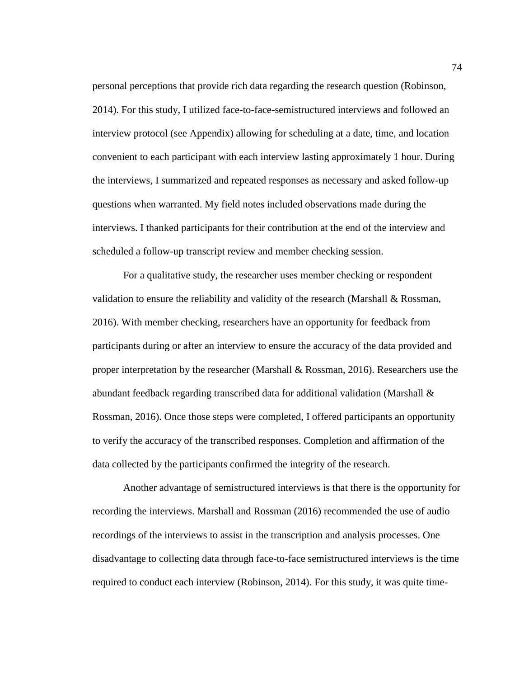personal perceptions that provide rich data regarding the research question (Robinson, 2014). For this study, I utilized face-to-face-semistructured interviews and followed an interview protocol (see Appendix) allowing for scheduling at a date, time, and location convenient to each participant with each interview lasting approximately 1 hour. During the interviews, I summarized and repeated responses as necessary and asked follow-up questions when warranted. My field notes included observations made during the interviews. I thanked participants for their contribution at the end of the interview and scheduled a follow-up transcript review and member checking session.

For a qualitative study, the researcher uses member checking or respondent validation to ensure the reliability and validity of the research (Marshall & Rossman, 2016). With member checking, researchers have an opportunity for feedback from participants during or after an interview to ensure the accuracy of the data provided and proper interpretation by the researcher (Marshall & Rossman, 2016). Researchers use the abundant feedback regarding transcribed data for additional validation (Marshall & Rossman, 2016). Once those steps were completed, I offered participants an opportunity to verify the accuracy of the transcribed responses. Completion and affirmation of the data collected by the participants confirmed the integrity of the research.

Another advantage of semistructured interviews is that there is the opportunity for recording the interviews. Marshall and Rossman (2016) recommended the use of audio recordings of the interviews to assist in the transcription and analysis processes. One disadvantage to collecting data through face-to-face semistructured interviews is the time required to conduct each interview (Robinson, 2014). For this study, it was quite time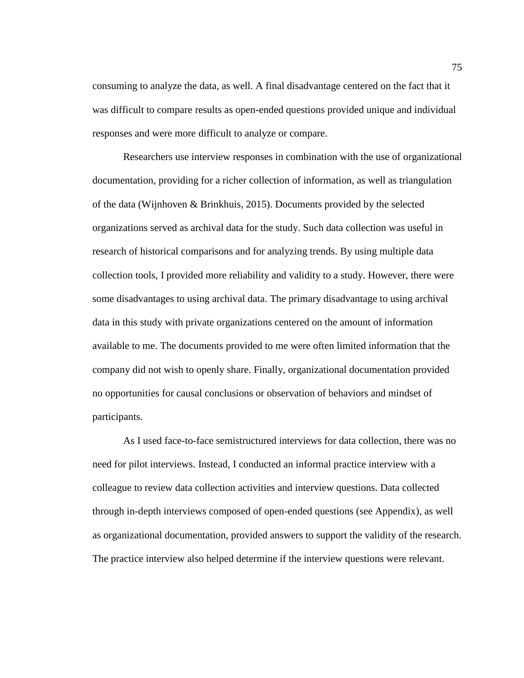consuming to analyze the data, as well. A final disadvantage centered on the fact that it was difficult to compare results as open-ended questions provided unique and individual responses and were more difficult to analyze or compare.

Researchers use interview responses in combination with the use of organizational documentation, providing for a richer collection of information, as well as triangulation of the data (Wijnhoven & Brinkhuis, 2015). Documents provided by the selected organizations served as archival data for the study. Such data collection was useful in research of historical comparisons and for analyzing trends. By using multiple data collection tools, I provided more reliability and validity to a study. However, there were some disadvantages to using archival data. The primary disadvantage to using archival data in this study with private organizations centered on the amount of information available to me. The documents provided to me were often limited information that the company did not wish to openly share. Finally, organizational documentation provided no opportunities for causal conclusions or observation of behaviors and mindset of participants.

As I used face-to-face semistructured interviews for data collection, there was no need for pilot interviews. Instead, I conducted an informal practice interview with a colleague to review data collection activities and interview questions. Data collected through in-depth interviews composed of open-ended questions (see Appendix), as well as organizational documentation, provided answers to support the validity of the research. The practice interview also helped determine if the interview questions were relevant.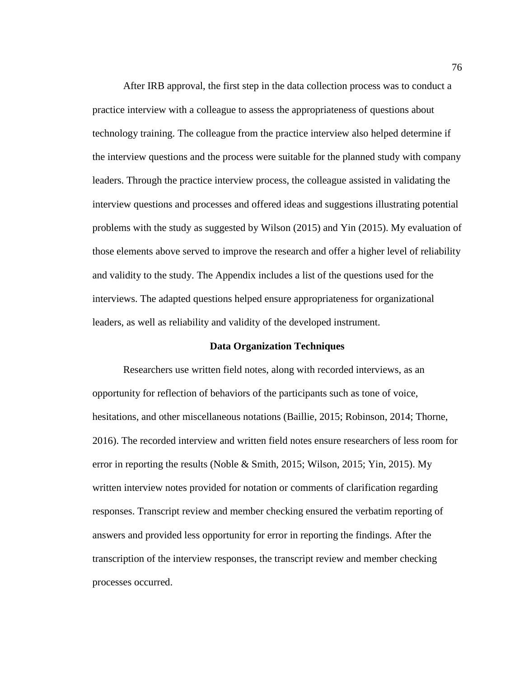After IRB approval, the first step in the data collection process was to conduct a practice interview with a colleague to assess the appropriateness of questions about technology training. The colleague from the practice interview also helped determine if the interview questions and the process were suitable for the planned study with company leaders. Through the practice interview process, the colleague assisted in validating the interview questions and processes and offered ideas and suggestions illustrating potential problems with the study as suggested by Wilson (2015) and Yin (2015). My evaluation of those elements above served to improve the research and offer a higher level of reliability and validity to the study. The Appendix includes a list of the questions used for the interviews. The adapted questions helped ensure appropriateness for organizational leaders, as well as reliability and validity of the developed instrument.

### **Data Organization Techniques**

Researchers use written field notes, along with recorded interviews, as an opportunity for reflection of behaviors of the participants such as tone of voice, hesitations, and other miscellaneous notations (Baillie, 2015; Robinson, 2014; Thorne, 2016). The recorded interview and written field notes ensure researchers of less room for error in reporting the results (Noble & Smith, 2015; Wilson, 2015; Yin, 2015). My written interview notes provided for notation or comments of clarification regarding responses. Transcript review and member checking ensured the verbatim reporting of answers and provided less opportunity for error in reporting the findings. After the transcription of the interview responses, the transcript review and member checking processes occurred.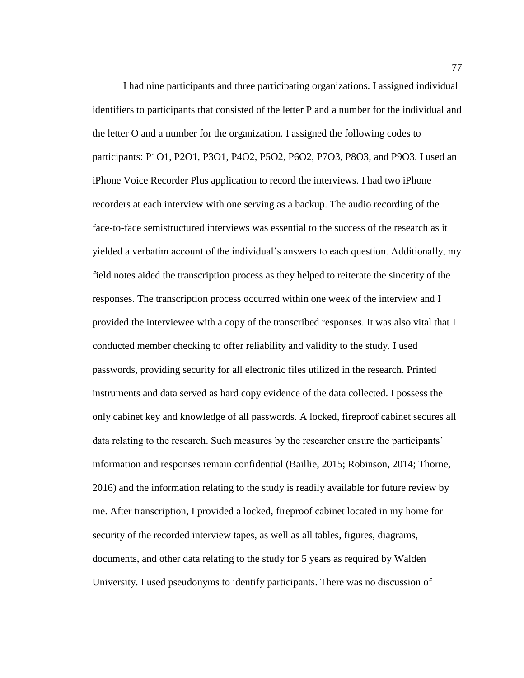I had nine participants and three participating organizations. I assigned individual identifiers to participants that consisted of the letter P and a number for the individual and the letter O and a number for the organization. I assigned the following codes to participants: P1O1, P2O1, P3O1, P4O2, P5O2, P6O2, P7O3, P8O3, and P9O3. I used an iPhone Voice Recorder Plus application to record the interviews. I had two iPhone recorders at each interview with one serving as a backup. The audio recording of the face-to-face semistructured interviews was essential to the success of the research as it yielded a verbatim account of the individual's answers to each question. Additionally, my field notes aided the transcription process as they helped to reiterate the sincerity of the responses. The transcription process occurred within one week of the interview and I provided the interviewee with a copy of the transcribed responses. It was also vital that I conducted member checking to offer reliability and validity to the study. I used passwords, providing security for all electronic files utilized in the research. Printed instruments and data served as hard copy evidence of the data collected. I possess the only cabinet key and knowledge of all passwords. A locked, fireproof cabinet secures all data relating to the research. Such measures by the researcher ensure the participants' information and responses remain confidential (Baillie, 2015; Robinson, 2014; Thorne, 2016) and the information relating to the study is readily available for future review by me. After transcription, I provided a locked, fireproof cabinet located in my home for security of the recorded interview tapes, as well as all tables, figures, diagrams, documents, and other data relating to the study for 5 years as required by Walden University. I used pseudonyms to identify participants. There was no discussion of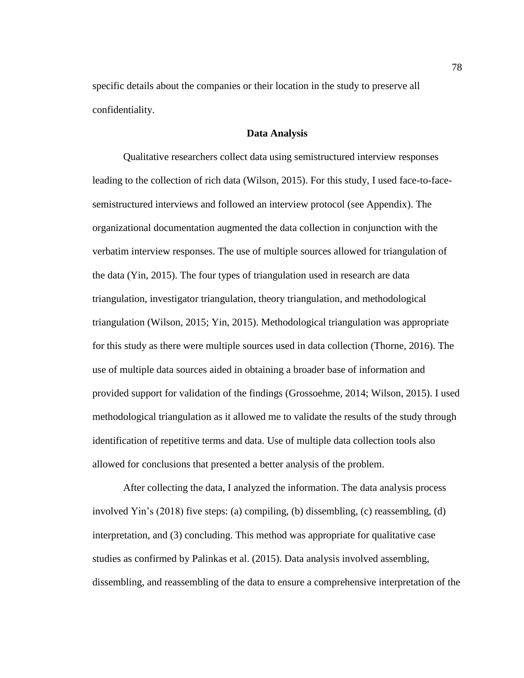specific details about the companies or their location in the study to preserve all confidentiality.

# **Data Analysis**

Qualitative researchers collect data using semistructured interview responses leading to the collection of rich data (Wilson, 2015). For this study, I used face-to-facesemistructured interviews and followed an interview protocol (see Appendix). The organizational documentation augmented the data collection in conjunction with the verbatim interview responses. The use of multiple sources allowed for triangulation of the data (Yin, 2015). The four types of triangulation used in research are data triangulation, investigator triangulation, theory triangulation, and methodological triangulation (Wilson, 2015; Yin, 2015). Methodological triangulation was appropriate for this study as there were multiple sources used in data collection (Thorne, 2016). The use of multiple data sources aided in obtaining a broader base of information and provided support for validation of the findings (Grossoehme, 2014; Wilson, 2015). I used methodological triangulation as it allowed me to validate the results of the study through identification of repetitive terms and data. Use of multiple data collection tools also allowed for conclusions that presented a better analysis of the problem.

After collecting the data, I analyzed the information. The data analysis process involved Yin's (2018) five steps: (a) compiling, (b) dissembling, (c) reassembling, (d) interpretation, and (3) concluding. This method was appropriate for qualitative case studies as confirmed by Palinkas et al. (2015). Data analysis involved assembling, dissembling, and reassembling of the data to ensure a comprehensive interpretation of the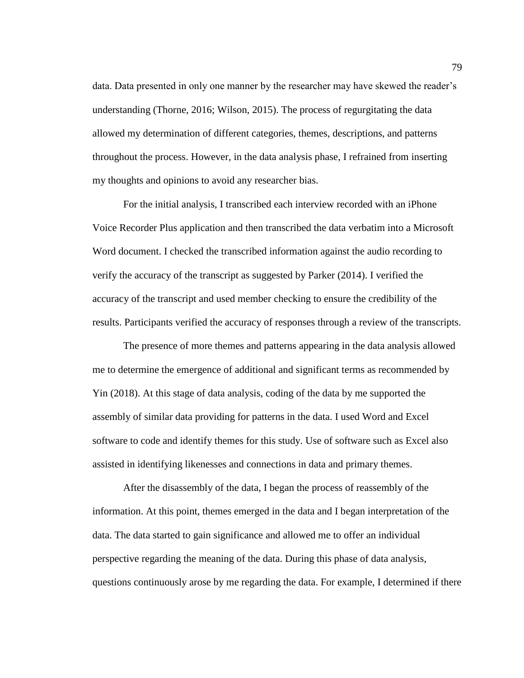data. Data presented in only one manner by the researcher may have skewed the reader's understanding (Thorne, 2016; Wilson, 2015). The process of regurgitating the data allowed my determination of different categories, themes, descriptions, and patterns throughout the process. However, in the data analysis phase, I refrained from inserting my thoughts and opinions to avoid any researcher bias.

For the initial analysis, I transcribed each interview recorded with an iPhone Voice Recorder Plus application and then transcribed the data verbatim into a Microsoft Word document. I checked the transcribed information against the audio recording to verify the accuracy of the transcript as suggested by Parker (2014). I verified the accuracy of the transcript and used member checking to ensure the credibility of the results. Participants verified the accuracy of responses through a review of the transcripts.

The presence of more themes and patterns appearing in the data analysis allowed me to determine the emergence of additional and significant terms as recommended by Yin (2018). At this stage of data analysis, coding of the data by me supported the assembly of similar data providing for patterns in the data. I used Word and Excel software to code and identify themes for this study. Use of software such as Excel also assisted in identifying likenesses and connections in data and primary themes.

After the disassembly of the data, I began the process of reassembly of the information. At this point, themes emerged in the data and I began interpretation of the data. The data started to gain significance and allowed me to offer an individual perspective regarding the meaning of the data. During this phase of data analysis, questions continuously arose by me regarding the data. For example, I determined if there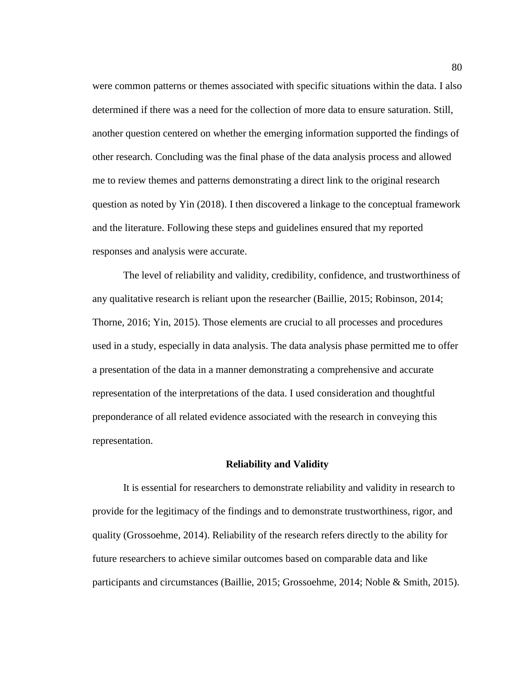were common patterns or themes associated with specific situations within the data. I also determined if there was a need for the collection of more data to ensure saturation. Still, another question centered on whether the emerging information supported the findings of other research. Concluding was the final phase of the data analysis process and allowed me to review themes and patterns demonstrating a direct link to the original research question as noted by Yin (2018). I then discovered a linkage to the conceptual framework and the literature. Following these steps and guidelines ensured that my reported responses and analysis were accurate.

The level of reliability and validity, credibility, confidence, and trustworthiness of any qualitative research is reliant upon the researcher (Baillie, 2015; Robinson, 2014; Thorne, 2016; Yin, 2015). Those elements are crucial to all processes and procedures used in a study, especially in data analysis. The data analysis phase permitted me to offer a presentation of the data in a manner demonstrating a comprehensive and accurate representation of the interpretations of the data. I used consideration and thoughtful preponderance of all related evidence associated with the research in conveying this representation.

### **Reliability and Validity**

It is essential for researchers to demonstrate reliability and validity in research to provide for the legitimacy of the findings and to demonstrate trustworthiness, rigor, and quality (Grossoehme, 2014). Reliability of the research refers directly to the ability for future researchers to achieve similar outcomes based on comparable data and like participants and circumstances (Baillie, 2015; Grossoehme, 2014; Noble & Smith, 2015).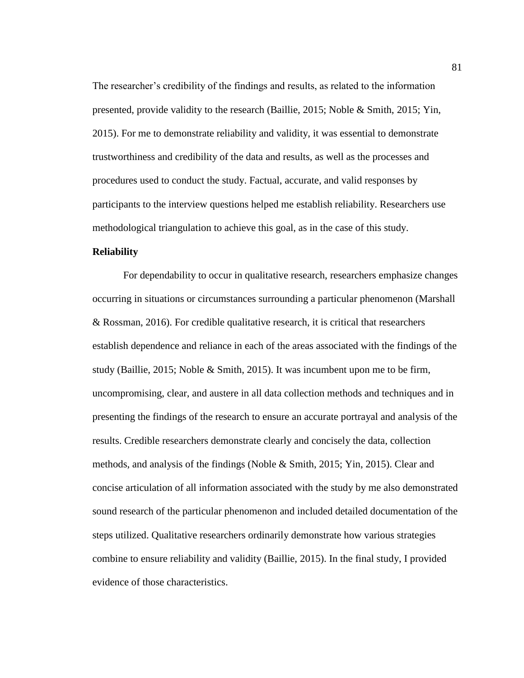The researcher's credibility of the findings and results, as related to the information presented, provide validity to the research (Baillie, 2015; Noble & Smith, 2015; Yin, 2015). For me to demonstrate reliability and validity, it was essential to demonstrate trustworthiness and credibility of the data and results, as well as the processes and procedures used to conduct the study. Factual, accurate, and valid responses by participants to the interview questions helped me establish reliability. Researchers use methodological triangulation to achieve this goal, as in the case of this study.

## **Reliability**

For dependability to occur in qualitative research, researchers emphasize changes occurring in situations or circumstances surrounding a particular phenomenon (Marshall & Rossman, 2016). For credible qualitative research, it is critical that researchers establish dependence and reliance in each of the areas associated with the findings of the study (Baillie, 2015; Noble & Smith, 2015). It was incumbent upon me to be firm, uncompromising, clear, and austere in all data collection methods and techniques and in presenting the findings of the research to ensure an accurate portrayal and analysis of the results. Credible researchers demonstrate clearly and concisely the data, collection methods, and analysis of the findings (Noble & Smith, 2015; Yin, 2015). Clear and concise articulation of all information associated with the study by me also demonstrated sound research of the particular phenomenon and included detailed documentation of the steps utilized. Qualitative researchers ordinarily demonstrate how various strategies combine to ensure reliability and validity (Baillie, 2015). In the final study, I provided evidence of those characteristics.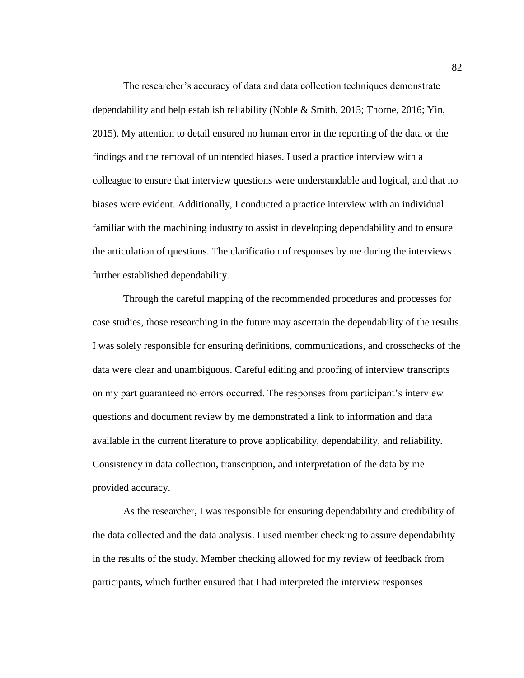The researcher's accuracy of data and data collection techniques demonstrate dependability and help establish reliability (Noble & Smith, 2015; Thorne, 2016; Yin, 2015). My attention to detail ensured no human error in the reporting of the data or the findings and the removal of unintended biases. I used a practice interview with a colleague to ensure that interview questions were understandable and logical, and that no biases were evident. Additionally, I conducted a practice interview with an individual familiar with the machining industry to assist in developing dependability and to ensure the articulation of questions. The clarification of responses by me during the interviews further established dependability.

Through the careful mapping of the recommended procedures and processes for case studies, those researching in the future may ascertain the dependability of the results. I was solely responsible for ensuring definitions, communications, and crosschecks of the data were clear and unambiguous. Careful editing and proofing of interview transcripts on my part guaranteed no errors occurred. The responses from participant's interview questions and document review by me demonstrated a link to information and data available in the current literature to prove applicability, dependability, and reliability. Consistency in data collection, transcription, and interpretation of the data by me provided accuracy.

As the researcher, I was responsible for ensuring dependability and credibility of the data collected and the data analysis. I used member checking to assure dependability in the results of the study. Member checking allowed for my review of feedback from participants, which further ensured that I had interpreted the interview responses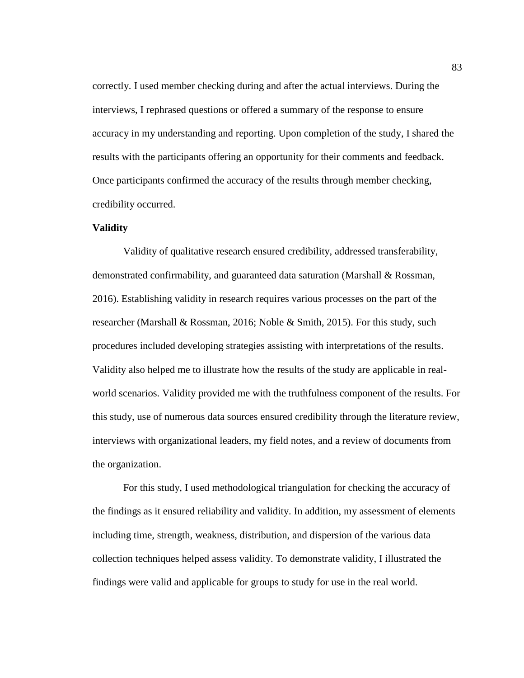correctly. I used member checking during and after the actual interviews. During the interviews, I rephrased questions or offered a summary of the response to ensure accuracy in my understanding and reporting. Upon completion of the study, I shared the results with the participants offering an opportunity for their comments and feedback. Once participants confirmed the accuracy of the results through member checking, credibility occurred.

## **Validity**

Validity of qualitative research ensured credibility, addressed transferability, demonstrated confirmability, and guaranteed data saturation (Marshall & Rossman, 2016). Establishing validity in research requires various processes on the part of the researcher (Marshall & Rossman, 2016; Noble & Smith, 2015). For this study, such procedures included developing strategies assisting with interpretations of the results. Validity also helped me to illustrate how the results of the study are applicable in realworld scenarios. Validity provided me with the truthfulness component of the results. For this study, use of numerous data sources ensured credibility through the literature review, interviews with organizational leaders, my field notes, and a review of documents from the organization.

For this study, I used methodological triangulation for checking the accuracy of the findings as it ensured reliability and validity. In addition, my assessment of elements including time, strength, weakness, distribution, and dispersion of the various data collection techniques helped assess validity. To demonstrate validity, I illustrated the findings were valid and applicable for groups to study for use in the real world.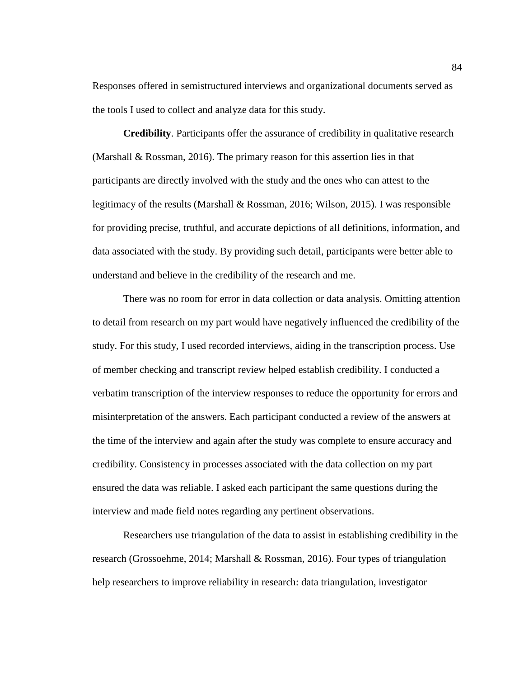Responses offered in semistructured interviews and organizational documents served as the tools I used to collect and analyze data for this study.

**Credibility**. Participants offer the assurance of credibility in qualitative research (Marshall & Rossman, 2016). The primary reason for this assertion lies in that participants are directly involved with the study and the ones who can attest to the legitimacy of the results (Marshall & Rossman, 2016; Wilson, 2015). I was responsible for providing precise, truthful, and accurate depictions of all definitions, information, and data associated with the study. By providing such detail, participants were better able to understand and believe in the credibility of the research and me.

There was no room for error in data collection or data analysis. Omitting attention to detail from research on my part would have negatively influenced the credibility of the study. For this study, I used recorded interviews, aiding in the transcription process. Use of member checking and transcript review helped establish credibility. I conducted a verbatim transcription of the interview responses to reduce the opportunity for errors and misinterpretation of the answers. Each participant conducted a review of the answers at the time of the interview and again after the study was complete to ensure accuracy and credibility. Consistency in processes associated with the data collection on my part ensured the data was reliable. I asked each participant the same questions during the interview and made field notes regarding any pertinent observations.

Researchers use triangulation of the data to assist in establishing credibility in the research (Grossoehme, 2014; Marshall & Rossman, 2016). Four types of triangulation help researchers to improve reliability in research: data triangulation, investigator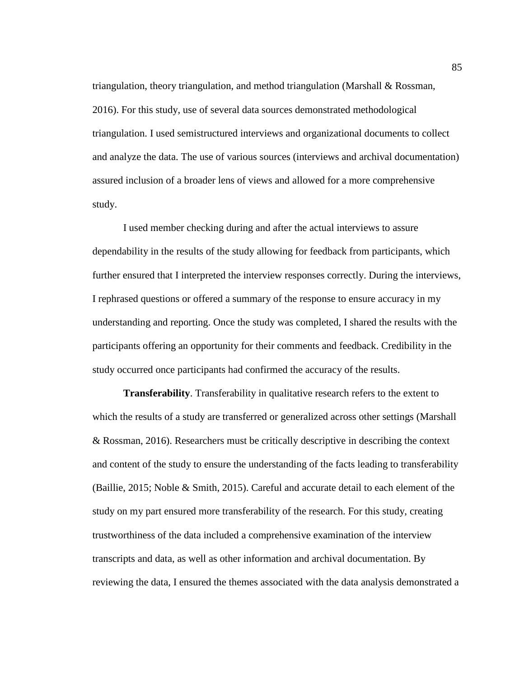triangulation, theory triangulation, and method triangulation (Marshall  $\&$  Rossman, 2016). For this study, use of several data sources demonstrated methodological triangulation. I used semistructured interviews and organizational documents to collect and analyze the data. The use of various sources (interviews and archival documentation) assured inclusion of a broader lens of views and allowed for a more comprehensive study.

I used member checking during and after the actual interviews to assure dependability in the results of the study allowing for feedback from participants, which further ensured that I interpreted the interview responses correctly. During the interviews, I rephrased questions or offered a summary of the response to ensure accuracy in my understanding and reporting. Once the study was completed, I shared the results with the participants offering an opportunity for their comments and feedback. Credibility in the study occurred once participants had confirmed the accuracy of the results.

**Transferability**. Transferability in qualitative research refers to the extent to which the results of a study are transferred or generalized across other settings (Marshall & Rossman, 2016). Researchers must be critically descriptive in describing the context and content of the study to ensure the understanding of the facts leading to transferability (Baillie, 2015; Noble & Smith, 2015). Careful and accurate detail to each element of the study on my part ensured more transferability of the research. For this study, creating trustworthiness of the data included a comprehensive examination of the interview transcripts and data, as well as other information and archival documentation. By reviewing the data, I ensured the themes associated with the data analysis demonstrated a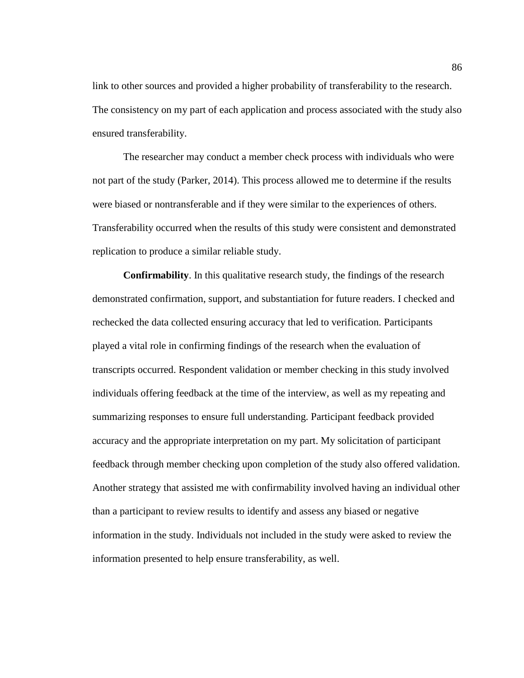link to other sources and provided a higher probability of transferability to the research. The consistency on my part of each application and process associated with the study also ensured transferability.

The researcher may conduct a member check process with individuals who were not part of the study (Parker, 2014). This process allowed me to determine if the results were biased or nontransferable and if they were similar to the experiences of others. Transferability occurred when the results of this study were consistent and demonstrated replication to produce a similar reliable study.

**Confirmability**. In this qualitative research study, the findings of the research demonstrated confirmation, support, and substantiation for future readers. I checked and rechecked the data collected ensuring accuracy that led to verification. Participants played a vital role in confirming findings of the research when the evaluation of transcripts occurred. Respondent validation or member checking in this study involved individuals offering feedback at the time of the interview, as well as my repeating and summarizing responses to ensure full understanding. Participant feedback provided accuracy and the appropriate interpretation on my part. My solicitation of participant feedback through member checking upon completion of the study also offered validation. Another strategy that assisted me with confirmability involved having an individual other than a participant to review results to identify and assess any biased or negative information in the study. Individuals not included in the study were asked to review the information presented to help ensure transferability, as well.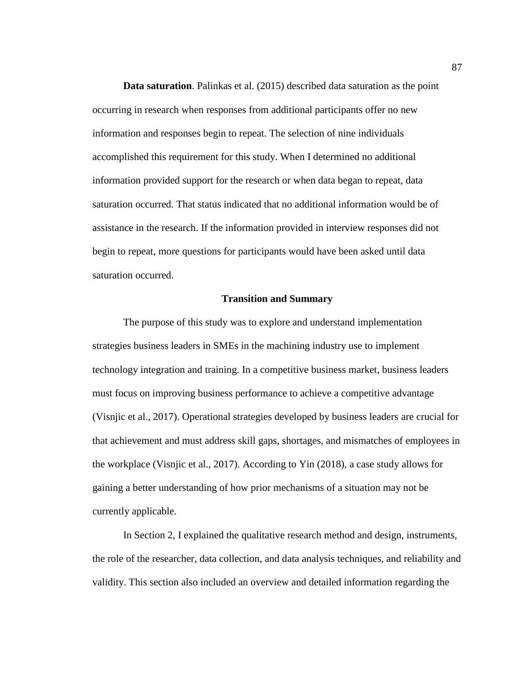**Data saturation**. Palinkas et al. (2015) described data saturation as the point occurring in research when responses from additional participants offer no new information and responses begin to repeat. The selection of nine individuals accomplished this requirement for this study. When I determined no additional information provided support for the research or when data began to repeat, data saturation occurred. That status indicated that no additional information would be of assistance in the research. If the information provided in interview responses did not begin to repeat, more questions for participants would have been asked until data saturation occurred.

## **Transition and Summary**

The purpose of this study was to explore and understand implementation strategies business leaders in SMEs in the machining industry use to implement technology integration and training. In a competitive business market, business leaders must focus on improving business performance to achieve a competitive advantage (Visnjic et al., 2017). Operational strategies developed by business leaders are crucial for that achievement and must address skill gaps, shortages, and mismatches of employees in the workplace (Visnjic et al., 2017). According to Yin (2018), a case study allows for gaining a better understanding of how prior mechanisms of a situation may not be currently applicable.

In Section 2, I explained the qualitative research method and design, instruments, the role of the researcher, data collection, and data analysis techniques, and reliability and validity. This section also included an overview and detailed information regarding the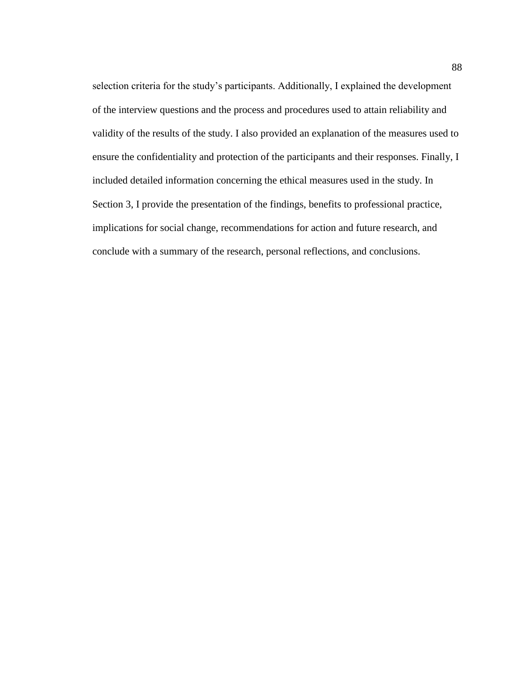selection criteria for the study's participants. Additionally, I explained the development of the interview questions and the process and procedures used to attain reliability and validity of the results of the study. I also provided an explanation of the measures used to ensure the confidentiality and protection of the participants and their responses. Finally, I included detailed information concerning the ethical measures used in the study. In Section 3, I provide the presentation of the findings, benefits to professional practice, implications for social change, recommendations for action and future research, and conclude with a summary of the research, personal reflections, and conclusions.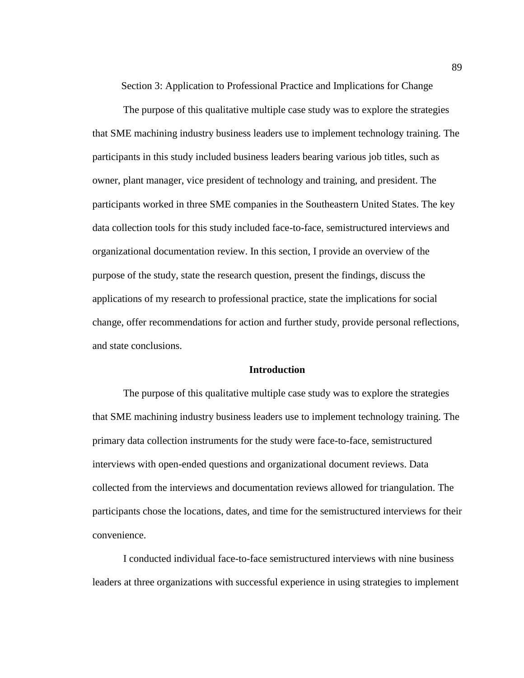Section 3: Application to Professional Practice and Implications for Change

The purpose of this qualitative multiple case study was to explore the strategies that SME machining industry business leaders use to implement technology training. The participants in this study included business leaders bearing various job titles, such as owner, plant manager, vice president of technology and training, and president. The participants worked in three SME companies in the Southeastern United States. The key data collection tools for this study included face-to-face, semistructured interviews and organizational documentation review. In this section, I provide an overview of the purpose of the study, state the research question, present the findings, discuss the applications of my research to professional practice, state the implications for social change, offer recommendations for action and further study, provide personal reflections, and state conclusions.

## **Introduction**

The purpose of this qualitative multiple case study was to explore the strategies that SME machining industry business leaders use to implement technology training. The primary data collection instruments for the study were face-to-face, semistructured interviews with open-ended questions and organizational document reviews. Data collected from the interviews and documentation reviews allowed for triangulation. The participants chose the locations, dates, and time for the semistructured interviews for their convenience.

I conducted individual face-to-face semistructured interviews with nine business leaders at three organizations with successful experience in using strategies to implement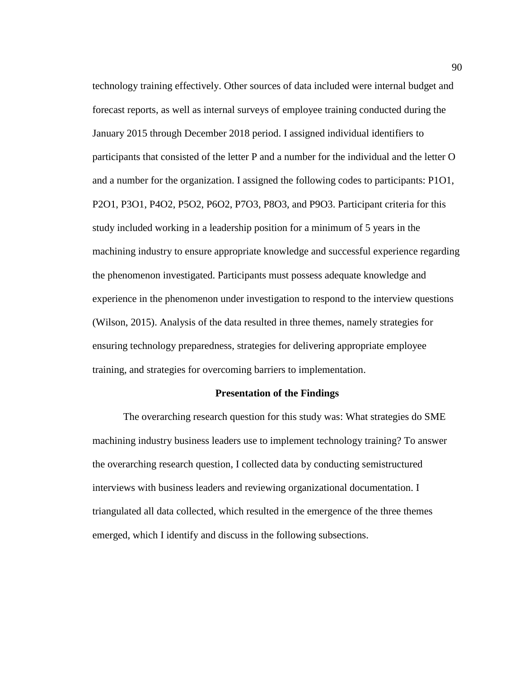technology training effectively. Other sources of data included were internal budget and forecast reports, as well as internal surveys of employee training conducted during the January 2015 through December 2018 period. I assigned individual identifiers to participants that consisted of the letter P and a number for the individual and the letter O and a number for the organization. I assigned the following codes to participants: P1O1, P2O1, P3O1, P4O2, P5O2, P6O2, P7O3, P8O3, and P9O3. Participant criteria for this study included working in a leadership position for a minimum of 5 years in the machining industry to ensure appropriate knowledge and successful experience regarding the phenomenon investigated. Participants must possess adequate knowledge and experience in the phenomenon under investigation to respond to the interview questions (Wilson, 2015). Analysis of the data resulted in three themes, namely strategies for ensuring technology preparedness, strategies for delivering appropriate employee training, and strategies for overcoming barriers to implementation.

## **Presentation of the Findings**

The overarching research question for this study was: What strategies do SME machining industry business leaders use to implement technology training? To answer the overarching research question, I collected data by conducting semistructured interviews with business leaders and reviewing organizational documentation. I triangulated all data collected, which resulted in the emergence of the three themes emerged, which I identify and discuss in the following subsections.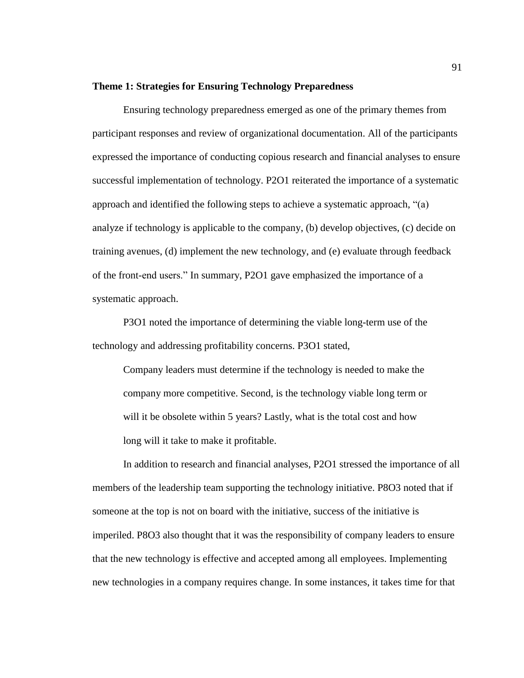### **Theme 1: Strategies for Ensuring Technology Preparedness**

Ensuring technology preparedness emerged as one of the primary themes from participant responses and review of organizational documentation. All of the participants expressed the importance of conducting copious research and financial analyses to ensure successful implementation of technology. P2O1 reiterated the importance of a systematic approach and identified the following steps to achieve a systematic approach, "(a) analyze if technology is applicable to the company, (b) develop objectives, (c) decide on training avenues, (d) implement the new technology, and (e) evaluate through feedback of the front-end users." In summary, P2O1 gave emphasized the importance of a systematic approach.

P3O1 noted the importance of determining the viable long-term use of the technology and addressing profitability concerns. P3O1 stated,

Company leaders must determine if the technology is needed to make the company more competitive. Second, is the technology viable long term or will it be obsolete within 5 years? Lastly, what is the total cost and how long will it take to make it profitable.

In addition to research and financial analyses, P2O1 stressed the importance of all members of the leadership team supporting the technology initiative. P8O3 noted that if someone at the top is not on board with the initiative, success of the initiative is imperiled. P8O3 also thought that it was the responsibility of company leaders to ensure that the new technology is effective and accepted among all employees. Implementing new technologies in a company requires change. In some instances, it takes time for that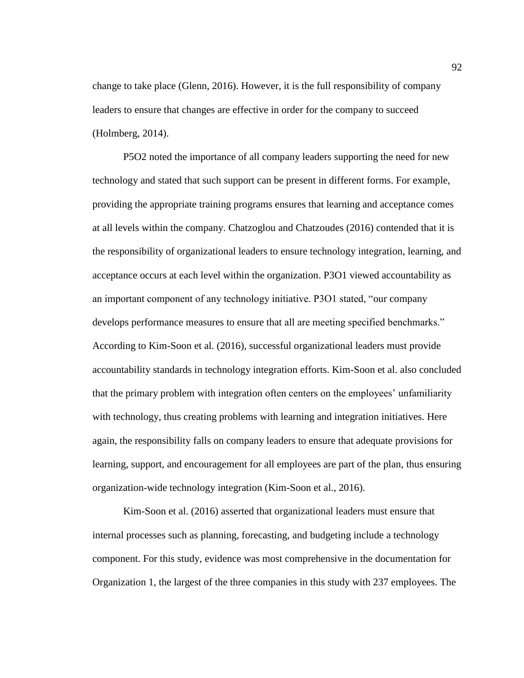change to take place (Glenn, 2016). However, it is the full responsibility of company leaders to ensure that changes are effective in order for the company to succeed (Holmberg, 2014).

P5O2 noted the importance of all company leaders supporting the need for new technology and stated that such support can be present in different forms. For example, providing the appropriate training programs ensures that learning and acceptance comes at all levels within the company. Chatzoglou and Chatzoudes (2016) contended that it is the responsibility of organizational leaders to ensure technology integration, learning, and acceptance occurs at each level within the organization. P3O1 viewed accountability as an important component of any technology initiative. P3O1 stated, "our company develops performance measures to ensure that all are meeting specified benchmarks." According to Kim-Soon et al. (2016), successful organizational leaders must provide accountability standards in technology integration efforts. Kim-Soon et al. also concluded that the primary problem with integration often centers on the employees' unfamiliarity with technology, thus creating problems with learning and integration initiatives. Here again, the responsibility falls on company leaders to ensure that adequate provisions for learning, support, and encouragement for all employees are part of the plan, thus ensuring organization-wide technology integration (Kim-Soon et al., 2016).

Kim-Soon et al. (2016) asserted that organizational leaders must ensure that internal processes such as planning, forecasting, and budgeting include a technology component. For this study, evidence was most comprehensive in the documentation for Organization 1, the largest of the three companies in this study with 237 employees. The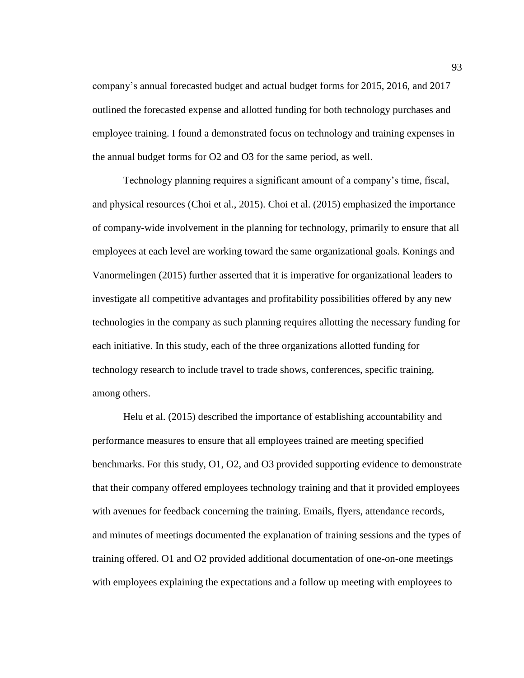company's annual forecasted budget and actual budget forms for 2015, 2016, and 2017 outlined the forecasted expense and allotted funding for both technology purchases and employee training. I found a demonstrated focus on technology and training expenses in the annual budget forms for O2 and O3 for the same period, as well.

Technology planning requires a significant amount of a company's time, fiscal, and physical resources (Choi et al., 2015). Choi et al. (2015) emphasized the importance of company-wide involvement in the planning for technology, primarily to ensure that all employees at each level are working toward the same organizational goals. Konings and Vanormelingen (2015) further asserted that it is imperative for organizational leaders to investigate all competitive advantages and profitability possibilities offered by any new technologies in the company as such planning requires allotting the necessary funding for each initiative. In this study, each of the three organizations allotted funding for technology research to include travel to trade shows, conferences, specific training, among others.

Helu et al. (2015) described the importance of establishing accountability and performance measures to ensure that all employees trained are meeting specified benchmarks. For this study, O1, O2, and O3 provided supporting evidence to demonstrate that their company offered employees technology training and that it provided employees with avenues for feedback concerning the training. Emails, flyers, attendance records, and minutes of meetings documented the explanation of training sessions and the types of training offered. O1 and O2 provided additional documentation of one-on-one meetings with employees explaining the expectations and a follow up meeting with employees to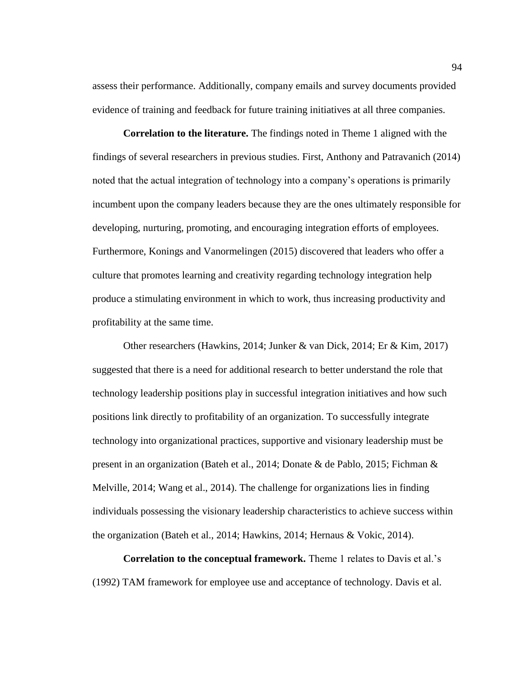assess their performance. Additionally, company emails and survey documents provided evidence of training and feedback for future training initiatives at all three companies.

**Correlation to the literature.** The findings noted in Theme 1 aligned with the findings of several researchers in previous studies. First, Anthony and Patravanich (2014) noted that the actual integration of technology into a company's operations is primarily incumbent upon the company leaders because they are the ones ultimately responsible for developing, nurturing, promoting, and encouraging integration efforts of employees. Furthermore, Konings and Vanormelingen (2015) discovered that leaders who offer a culture that promotes learning and creativity regarding technology integration help produce a stimulating environment in which to work, thus increasing productivity and profitability at the same time.

Other researchers (Hawkins, 2014; Junker & van Dick, 2014; Er & Kim, 2017) suggested that there is a need for additional research to better understand the role that technology leadership positions play in successful integration initiatives and how such positions link directly to profitability of an organization. To successfully integrate technology into organizational practices, supportive and visionary leadership must be present in an organization (Bateh et al., 2014; Donate & de Pablo, 2015; Fichman & Melville, 2014; Wang et al., 2014). The challenge for organizations lies in finding individuals possessing the visionary leadership characteristics to achieve success within the organization (Bateh et al., 2014; Hawkins, 2014; Hernaus & Vokic, 2014).

**Correlation to the conceptual framework.** Theme 1 relates to Davis et al.'s (1992) TAM framework for employee use and acceptance of technology. Davis et al.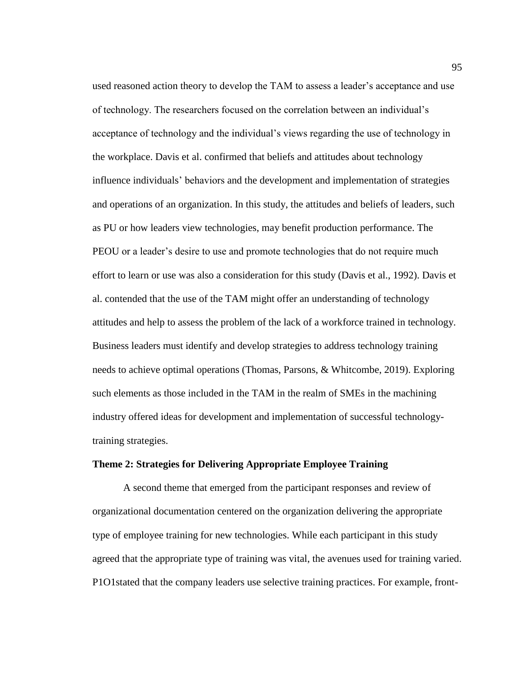used reasoned action theory to develop the TAM to assess a leader's acceptance and use of technology. The researchers focused on the correlation between an individual's acceptance of technology and the individual's views regarding the use of technology in the workplace. Davis et al. confirmed that beliefs and attitudes about technology influence individuals' behaviors and the development and implementation of strategies and operations of an organization. In this study, the attitudes and beliefs of leaders, such as PU or how leaders view technologies, may benefit production performance. The PEOU or a leader's desire to use and promote technologies that do not require much effort to learn or use was also a consideration for this study (Davis et al., 1992). Davis et al. contended that the use of the TAM might offer an understanding of technology attitudes and help to assess the problem of the lack of a workforce trained in technology. Business leaders must identify and develop strategies to address technology training needs to achieve optimal operations (Thomas, Parsons, & Whitcombe, 2019). Exploring such elements as those included in the TAM in the realm of SMEs in the machining industry offered ideas for development and implementation of successful technologytraining strategies.

### **Theme 2: Strategies for Delivering Appropriate Employee Training**

A second theme that emerged from the participant responses and review of organizational documentation centered on the organization delivering the appropriate type of employee training for new technologies. While each participant in this study agreed that the appropriate type of training was vital, the avenues used for training varied. P1O1stated that the company leaders use selective training practices. For example, front-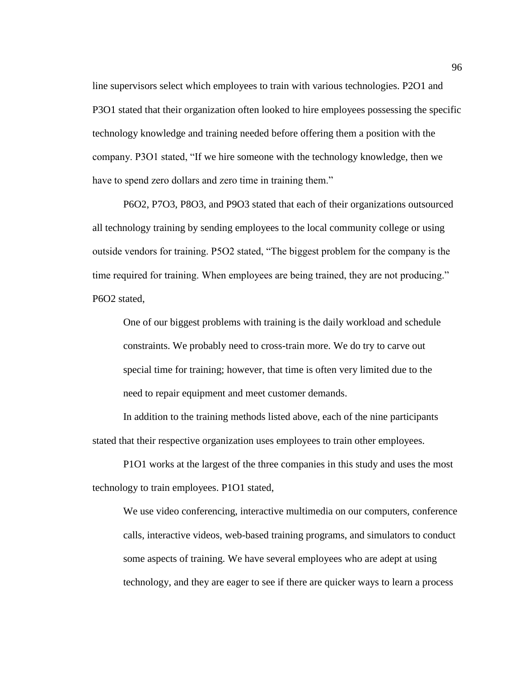line supervisors select which employees to train with various technologies. P2O1 and P3O1 stated that their organization often looked to hire employees possessing the specific technology knowledge and training needed before offering them a position with the company. P3O1 stated, "If we hire someone with the technology knowledge, then we have to spend zero dollars and zero time in training them."

P6O2, P7O3, P8O3, and P9O3 stated that each of their organizations outsourced all technology training by sending employees to the local community college or using outside vendors for training. P5O2 stated, "The biggest problem for the company is the time required for training. When employees are being trained, they are not producing." P6O2 stated,

One of our biggest problems with training is the daily workload and schedule constraints. We probably need to cross-train more. We do try to carve out special time for training; however, that time is often very limited due to the need to repair equipment and meet customer demands.

In addition to the training methods listed above, each of the nine participants stated that their respective organization uses employees to train other employees.

P1O1 works at the largest of the three companies in this study and uses the most technology to train employees. P1O1 stated,

We use video conferencing, interactive multimedia on our computers, conference calls, interactive videos, web-based training programs, and simulators to conduct some aspects of training. We have several employees who are adept at using technology, and they are eager to see if there are quicker ways to learn a process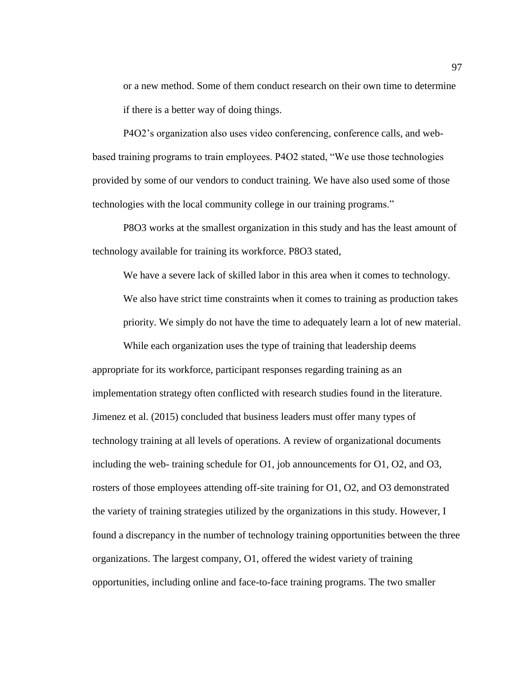or a new method. Some of them conduct research on their own time to determine if there is a better way of doing things.

P4O2's organization also uses video conferencing, conference calls, and webbased training programs to train employees. P4O2 stated, "We use those technologies provided by some of our vendors to conduct training. We have also used some of those technologies with the local community college in our training programs."

P8O3 works at the smallest organization in this study and has the least amount of technology available for training its workforce. P8O3 stated,

We have a severe lack of skilled labor in this area when it comes to technology. We also have strict time constraints when it comes to training as production takes priority. We simply do not have the time to adequately learn a lot of new material.

While each organization uses the type of training that leadership deems appropriate for its workforce, participant responses regarding training as an implementation strategy often conflicted with research studies found in the literature. Jimenez et al. (2015) concluded that business leaders must offer many types of technology training at all levels of operations. A review of organizational documents including the web- training schedule for O1, job announcements for O1, O2, and O3, rosters of those employees attending off-site training for O1, O2, and O3 demonstrated the variety of training strategies utilized by the organizations in this study. However, I found a discrepancy in the number of technology training opportunities between the three organizations. The largest company, O1, offered the widest variety of training opportunities, including online and face-to-face training programs. The two smaller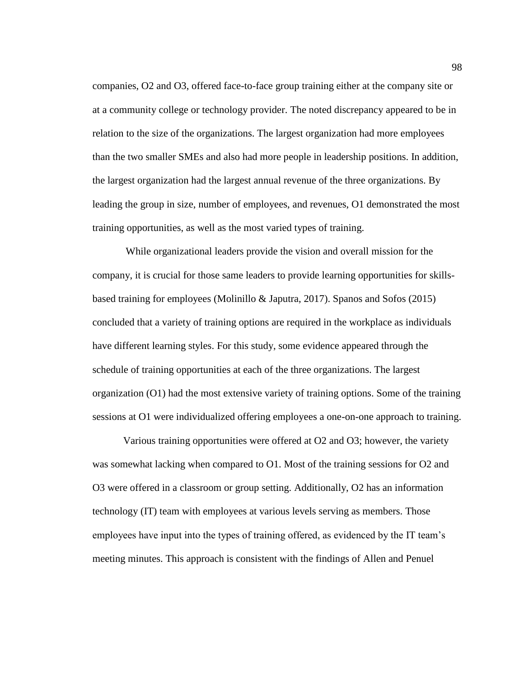companies, O2 and O3, offered face-to-face group training either at the company site or at a community college or technology provider. The noted discrepancy appeared to be in relation to the size of the organizations. The largest organization had more employees than the two smaller SMEs and also had more people in leadership positions. In addition, the largest organization had the largest annual revenue of the three organizations. By leading the group in size, number of employees, and revenues, O1 demonstrated the most training opportunities, as well as the most varied types of training.

While organizational leaders provide the vision and overall mission for the company, it is crucial for those same leaders to provide learning opportunities for skillsbased training for employees (Molinillo & Japutra, 2017). Spanos and Sofos (2015) concluded that a variety of training options are required in the workplace as individuals have different learning styles. For this study, some evidence appeared through the schedule of training opportunities at each of the three organizations. The largest organization (O1) had the most extensive variety of training options. Some of the training sessions at O1 were individualized offering employees a one-on-one approach to training.

Various training opportunities were offered at O2 and O3; however, the variety was somewhat lacking when compared to O1. Most of the training sessions for O2 and O3 were offered in a classroom or group setting. Additionally, O2 has an information technology (IT) team with employees at various levels serving as members. Those employees have input into the types of training offered, as evidenced by the IT team's meeting minutes. This approach is consistent with the findings of Allen and Penuel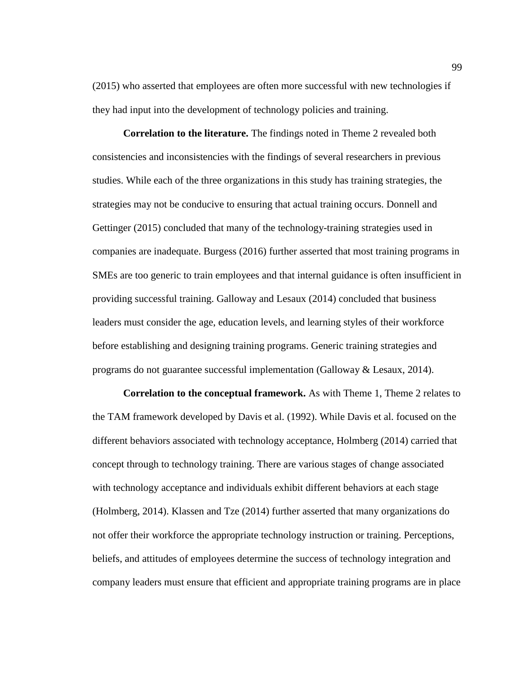(2015) who asserted that employees are often more successful with new technologies if they had input into the development of technology policies and training.

**Correlation to the literature.** The findings noted in Theme 2 revealed both consistencies and inconsistencies with the findings of several researchers in previous studies. While each of the three organizations in this study has training strategies, the strategies may not be conducive to ensuring that actual training occurs. Donnell and Gettinger (2015) concluded that many of the technology-training strategies used in companies are inadequate. Burgess (2016) further asserted that most training programs in SMEs are too generic to train employees and that internal guidance is often insufficient in providing successful training. Galloway and Lesaux (2014) concluded that business leaders must consider the age, education levels, and learning styles of their workforce before establishing and designing training programs. Generic training strategies and programs do not guarantee successful implementation (Galloway & Lesaux, 2014).

**Correlation to the conceptual framework.** As with Theme 1, Theme 2 relates to the TAM framework developed by Davis et al. (1992). While Davis et al. focused on the different behaviors associated with technology acceptance, Holmberg (2014) carried that concept through to technology training. There are various stages of change associated with technology acceptance and individuals exhibit different behaviors at each stage (Holmberg, 2014). Klassen and Tze (2014) further asserted that many organizations do not offer their workforce the appropriate technology instruction or training. Perceptions, beliefs, and attitudes of employees determine the success of technology integration and company leaders must ensure that efficient and appropriate training programs are in place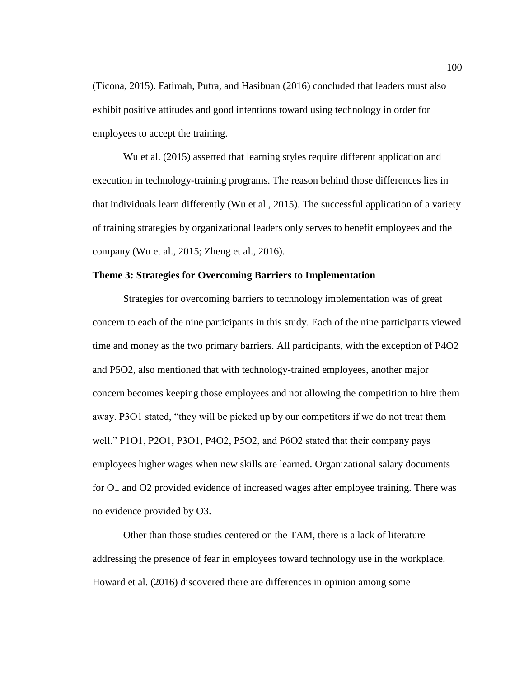(Ticona, 2015). Fatimah, Putra, and Hasibuan (2016) concluded that leaders must also exhibit positive attitudes and good intentions toward using technology in order for employees to accept the training.

Wu et al. (2015) asserted that learning styles require different application and execution in technology-training programs. The reason behind those differences lies in that individuals learn differently (Wu et al., 2015). The successful application of a variety of training strategies by organizational leaders only serves to benefit employees and the company (Wu et al., 2015; Zheng et al., 2016).

## **Theme 3: Strategies for Overcoming Barriers to Implementation**

Strategies for overcoming barriers to technology implementation was of great concern to each of the nine participants in this study. Each of the nine participants viewed time and money as the two primary barriers. All participants, with the exception of P4O2 and P5O2, also mentioned that with technology-trained employees, another major concern becomes keeping those employees and not allowing the competition to hire them away. P3O1 stated, "they will be picked up by our competitors if we do not treat them well." P1O1, P2O1, P3O1, P4O2, P5O2, and P6O2 stated that their company pays employees higher wages when new skills are learned. Organizational salary documents for O1 and O2 provided evidence of increased wages after employee training. There was no evidence provided by O3.

Other than those studies centered on the TAM, there is a lack of literature addressing the presence of fear in employees toward technology use in the workplace. Howard et al. (2016) discovered there are differences in opinion among some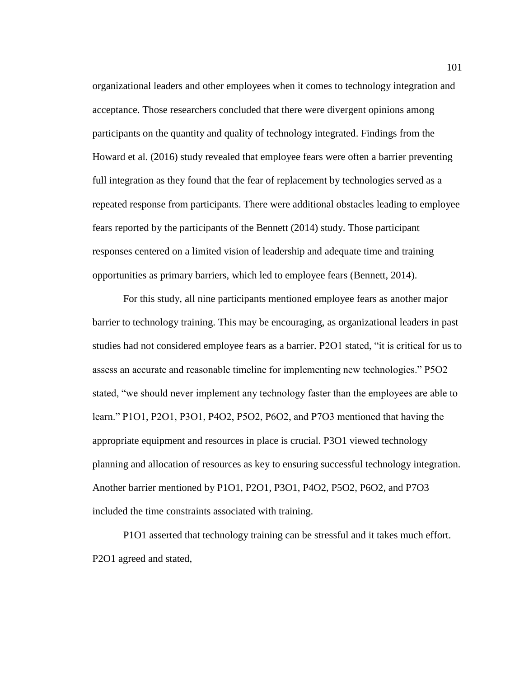organizational leaders and other employees when it comes to technology integration and acceptance. Those researchers concluded that there were divergent opinions among participants on the quantity and quality of technology integrated. Findings from the Howard et al. (2016) study revealed that employee fears were often a barrier preventing full integration as they found that the fear of replacement by technologies served as a repeated response from participants. There were additional obstacles leading to employee fears reported by the participants of the Bennett (2014) study. Those participant responses centered on a limited vision of leadership and adequate time and training opportunities as primary barriers, which led to employee fears (Bennett, 2014).

For this study, all nine participants mentioned employee fears as another major barrier to technology training. This may be encouraging, as organizational leaders in past studies had not considered employee fears as a barrier. P2O1 stated, "it is critical for us to assess an accurate and reasonable timeline for implementing new technologies." P5O2 stated, "we should never implement any technology faster than the employees are able to learn." P1O1, P2O1, P3O1, P4O2, P5O2, P6O2, and P7O3 mentioned that having the appropriate equipment and resources in place is crucial. P3O1 viewed technology planning and allocation of resources as key to ensuring successful technology integration. Another barrier mentioned by P1O1, P2O1, P3O1, P4O2, P5O2, P6O2, and P7O3 included the time constraints associated with training.

P1O1 asserted that technology training can be stressful and it takes much effort. P2O1 agreed and stated,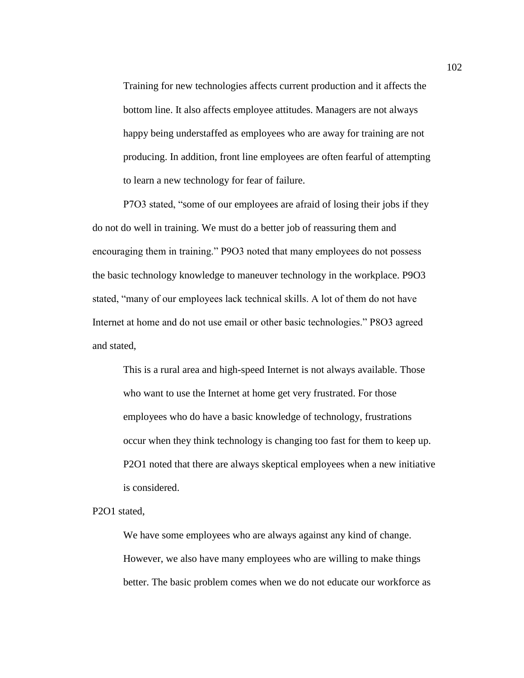Training for new technologies affects current production and it affects the bottom line. It also affects employee attitudes. Managers are not always happy being understaffed as employees who are away for training are not producing. In addition, front line employees are often fearful of attempting to learn a new technology for fear of failure.

P7O3 stated, "some of our employees are afraid of losing their jobs if they do not do well in training. We must do a better job of reassuring them and encouraging them in training." P9O3 noted that many employees do not possess the basic technology knowledge to maneuver technology in the workplace. P9O3 stated, "many of our employees lack technical skills. A lot of them do not have Internet at home and do not use email or other basic technologies." P8O3 agreed and stated,

This is a rural area and high-speed Internet is not always available. Those who want to use the Internet at home get very frustrated. For those employees who do have a basic knowledge of technology, frustrations occur when they think technology is changing too fast for them to keep up. P2O1 noted that there are always skeptical employees when a new initiative is considered.

P2O1 stated,

We have some employees who are always against any kind of change. However, we also have many employees who are willing to make things better. The basic problem comes when we do not educate our workforce as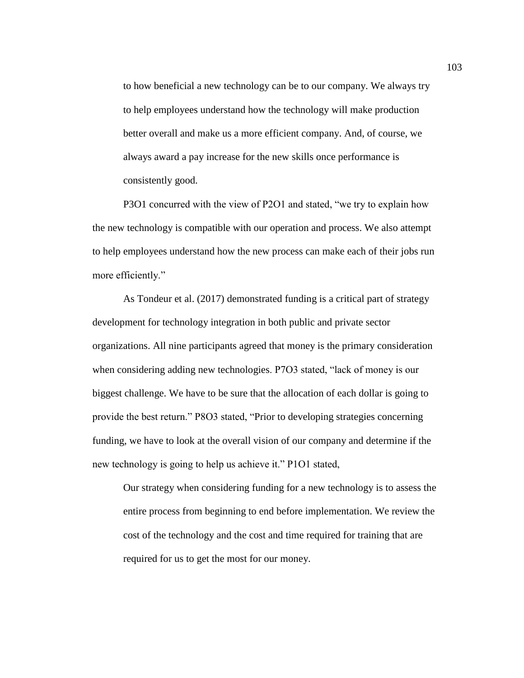to how beneficial a new technology can be to our company. We always try to help employees understand how the technology will make production better overall and make us a more efficient company. And, of course, we always award a pay increase for the new skills once performance is consistently good.

P3O1 concurred with the view of P2O1 and stated, "we try to explain how the new technology is compatible with our operation and process. We also attempt to help employees understand how the new process can make each of their jobs run more efficiently."

As Tondeur et al. (2017) demonstrated funding is a critical part of strategy development for technology integration in both public and private sector organizations. All nine participants agreed that money is the primary consideration when considering adding new technologies. P7O3 stated, "lack of money is our biggest challenge. We have to be sure that the allocation of each dollar is going to provide the best return." P8O3 stated, "Prior to developing strategies concerning funding, we have to look at the overall vision of our company and determine if the new technology is going to help us achieve it." P1O1 stated,

Our strategy when considering funding for a new technology is to assess the entire process from beginning to end before implementation. We review the cost of the technology and the cost and time required for training that are required for us to get the most for our money.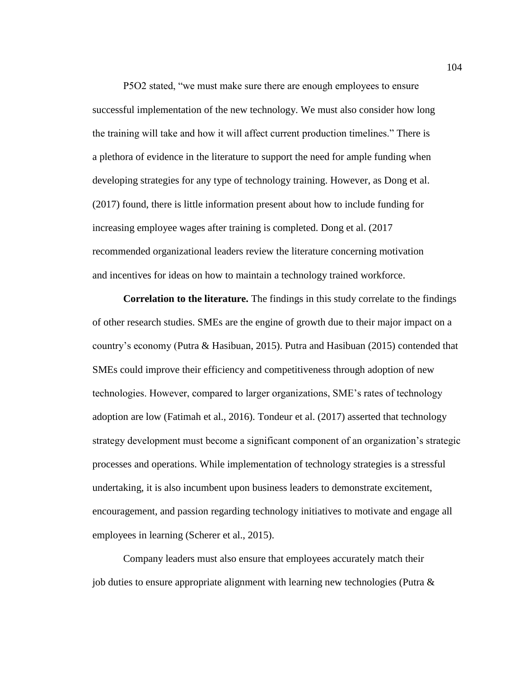P5O2 stated, "we must make sure there are enough employees to ensure successful implementation of the new technology. We must also consider how long the training will take and how it will affect current production timelines." There is a plethora of evidence in the literature to support the need for ample funding when developing strategies for any type of technology training. However, as Dong et al. (2017) found, there is little information present about how to include funding for increasing employee wages after training is completed. Dong et al. (2017 recommended organizational leaders review the literature concerning motivation and incentives for ideas on how to maintain a technology trained workforce.

**Correlation to the literature.** The findings in this study correlate to the findings of other research studies. SMEs are the engine of growth due to their major impact on a country's economy (Putra & Hasibuan, 2015). Putra and Hasibuan (2015) contended that SMEs could improve their efficiency and competitiveness through adoption of new technologies. However, compared to larger organizations, SME's rates of technology adoption are low (Fatimah et al., 2016). Tondeur et al. (2017) asserted that technology strategy development must become a significant component of an organization's strategic processes and operations. While implementation of technology strategies is a stressful undertaking, it is also incumbent upon business leaders to demonstrate excitement, encouragement, and passion regarding technology initiatives to motivate and engage all employees in learning (Scherer et al., 2015).

Company leaders must also ensure that employees accurately match their job duties to ensure appropriate alignment with learning new technologies (Putra &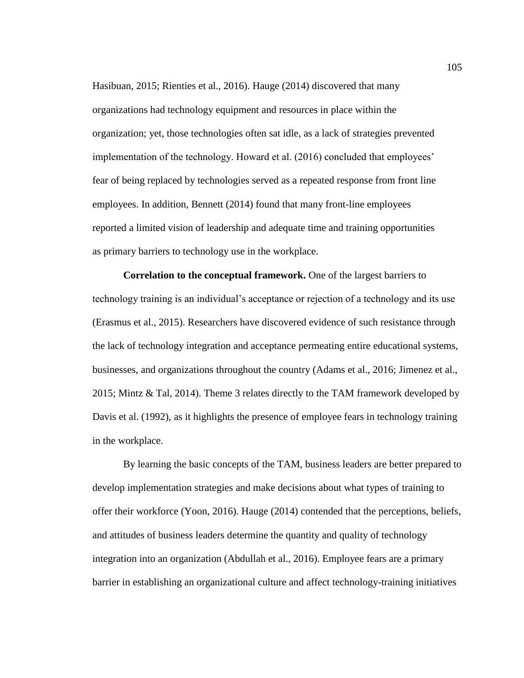Hasibuan, 2015; Rienties et al., 2016). Hauge (2014) discovered that many organizations had technology equipment and resources in place within the organization; yet, those technologies often sat idle, as a lack of strategies prevented implementation of the technology. Howard et al. (2016) concluded that employees' fear of being replaced by technologies served as a repeated response from front line employees. In addition, Bennett (2014) found that many front-line employees reported a limited vision of leadership and adequate time and training opportunities as primary barriers to technology use in the workplace.

**Correlation to the conceptual framework.** One of the largest barriers to technology training is an individual's acceptance or rejection of a technology and its use (Erasmus et al., 2015). Researchers have discovered evidence of such resistance through the lack of technology integration and acceptance permeating entire educational systems, businesses, and organizations throughout the country (Adams et al., 2016; Jimenez et al., 2015; Mintz & Tal, 2014). Theme 3 relates directly to the TAM framework developed by Davis et al. (1992), as it highlights the presence of employee fears in technology training in the workplace.

By learning the basic concepts of the TAM, business leaders are better prepared to develop implementation strategies and make decisions about what types of training to offer their workforce (Yoon, 2016). Hauge (2014) contended that the perceptions, beliefs, and attitudes of business leaders determine the quantity and quality of technology integration into an organization (Abdullah et al., 2016). Employee fears are a primary barrier in establishing an organizational culture and affect technology-training initiatives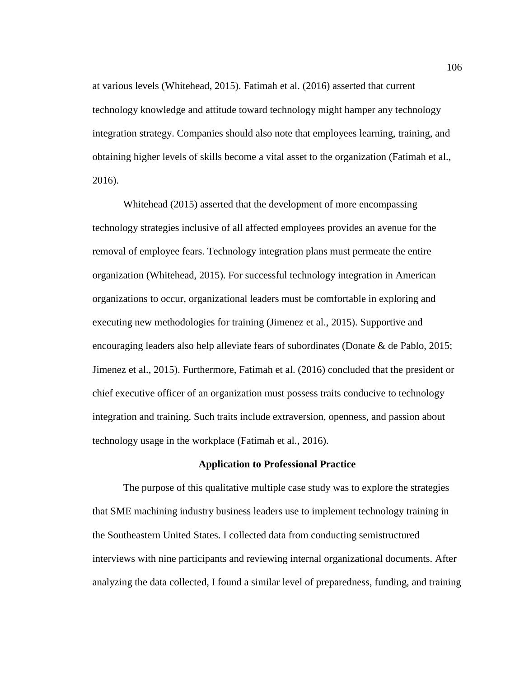at various levels (Whitehead, 2015). Fatimah et al. (2016) asserted that current technology knowledge and attitude toward technology might hamper any technology integration strategy. Companies should also note that employees learning, training, and obtaining higher levels of skills become a vital asset to the organization (Fatimah et al., 2016).

Whitehead (2015) asserted that the development of more encompassing technology strategies inclusive of all affected employees provides an avenue for the removal of employee fears. Technology integration plans must permeate the entire organization (Whitehead, 2015). For successful technology integration in American organizations to occur, organizational leaders must be comfortable in exploring and executing new methodologies for training (Jimenez et al., 2015). Supportive and encouraging leaders also help alleviate fears of subordinates (Donate & de Pablo, 2015; Jimenez et al., 2015). Furthermore, Fatimah et al. (2016) concluded that the president or chief executive officer of an organization must possess traits conducive to technology integration and training. Such traits include extraversion, openness, and passion about technology usage in the workplace (Fatimah et al., 2016).

#### **Application to Professional Practice**

The purpose of this qualitative multiple case study was to explore the strategies that SME machining industry business leaders use to implement technology training in the Southeastern United States. I collected data from conducting semistructured interviews with nine participants and reviewing internal organizational documents. After analyzing the data collected, I found a similar level of preparedness, funding, and training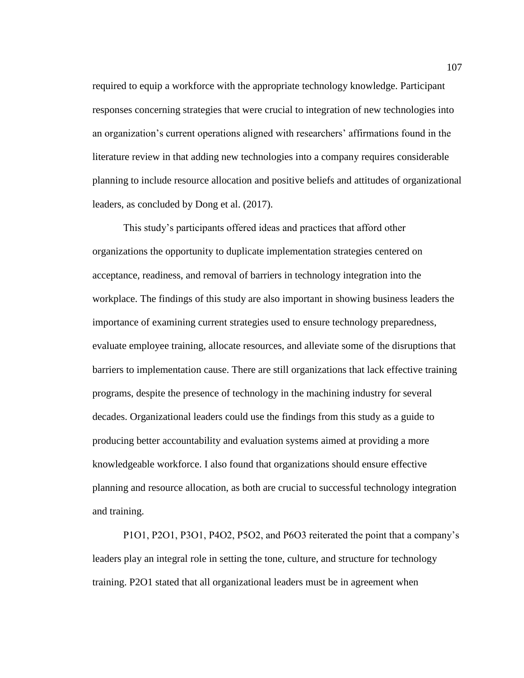required to equip a workforce with the appropriate technology knowledge. Participant responses concerning strategies that were crucial to integration of new technologies into an organization's current operations aligned with researchers' affirmations found in the literature review in that adding new technologies into a company requires considerable planning to include resource allocation and positive beliefs and attitudes of organizational leaders, as concluded by Dong et al. (2017).

This study's participants offered ideas and practices that afford other organizations the opportunity to duplicate implementation strategies centered on acceptance, readiness, and removal of barriers in technology integration into the workplace. The findings of this study are also important in showing business leaders the importance of examining current strategies used to ensure technology preparedness, evaluate employee training, allocate resources, and alleviate some of the disruptions that barriers to implementation cause. There are still organizations that lack effective training programs, despite the presence of technology in the machining industry for several decades. Organizational leaders could use the findings from this study as a guide to producing better accountability and evaluation systems aimed at providing a more knowledgeable workforce. I also found that organizations should ensure effective planning and resource allocation, as both are crucial to successful technology integration and training.

P1O1, P2O1, P3O1, P4O2, P5O2, and P6O3 reiterated the point that a company's leaders play an integral role in setting the tone, culture, and structure for technology training. P2O1 stated that all organizational leaders must be in agreement when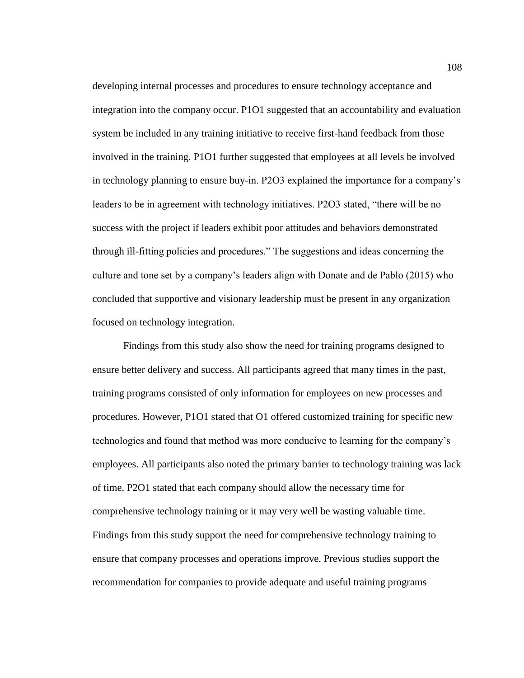developing internal processes and procedures to ensure technology acceptance and integration into the company occur. P1O1 suggested that an accountability and evaluation system be included in any training initiative to receive first-hand feedback from those involved in the training. P1O1 further suggested that employees at all levels be involved in technology planning to ensure buy-in. P2O3 explained the importance for a company's leaders to be in agreement with technology initiatives. P2O3 stated, "there will be no success with the project if leaders exhibit poor attitudes and behaviors demonstrated through ill-fitting policies and procedures." The suggestions and ideas concerning the culture and tone set by a company's leaders align with Donate and de Pablo (2015) who concluded that supportive and visionary leadership must be present in any organization focused on technology integration.

Findings from this study also show the need for training programs designed to ensure better delivery and success. All participants agreed that many times in the past, training programs consisted of only information for employees on new processes and procedures. However, P1O1 stated that O1 offered customized training for specific new technologies and found that method was more conducive to learning for the company's employees. All participants also noted the primary barrier to technology training was lack of time. P2O1 stated that each company should allow the necessary time for comprehensive technology training or it may very well be wasting valuable time. Findings from this study support the need for comprehensive technology training to ensure that company processes and operations improve. Previous studies support the recommendation for companies to provide adequate and useful training programs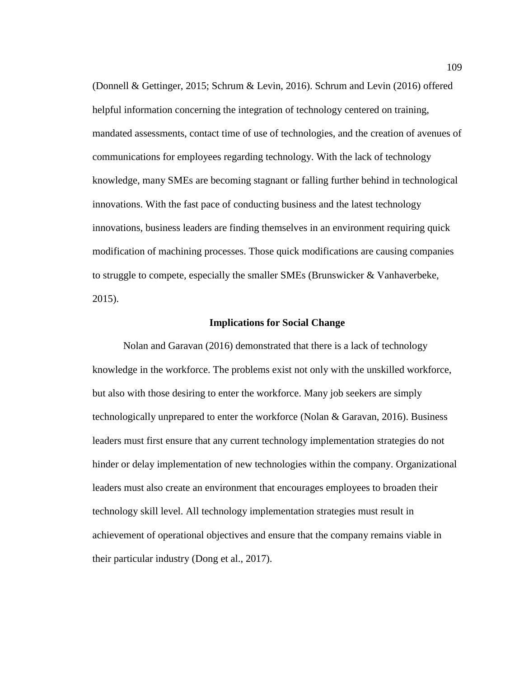(Donnell & Gettinger, 2015; Schrum & Levin, 2016). Schrum and Levin (2016) offered helpful information concerning the integration of technology centered on training, mandated assessments, contact time of use of technologies, and the creation of avenues of communications for employees regarding technology. With the lack of technology knowledge, many SMEs are becoming stagnant or falling further behind in technological innovations. With the fast pace of conducting business and the latest technology innovations, business leaders are finding themselves in an environment requiring quick modification of machining processes. Those quick modifications are causing companies to struggle to compete, especially the smaller SMEs (Brunswicker & Vanhaverbeke, 2015).

#### **Implications for Social Change**

Nolan and Garavan (2016) demonstrated that there is a lack of technology knowledge in the workforce. The problems exist not only with the unskilled workforce, but also with those desiring to enter the workforce. Many job seekers are simply technologically unprepared to enter the workforce (Nolan & Garavan, 2016). Business leaders must first ensure that any current technology implementation strategies do not hinder or delay implementation of new technologies within the company. Organizational leaders must also create an environment that encourages employees to broaden their technology skill level. All technology implementation strategies must result in achievement of operational objectives and ensure that the company remains viable in their particular industry (Dong et al., 2017).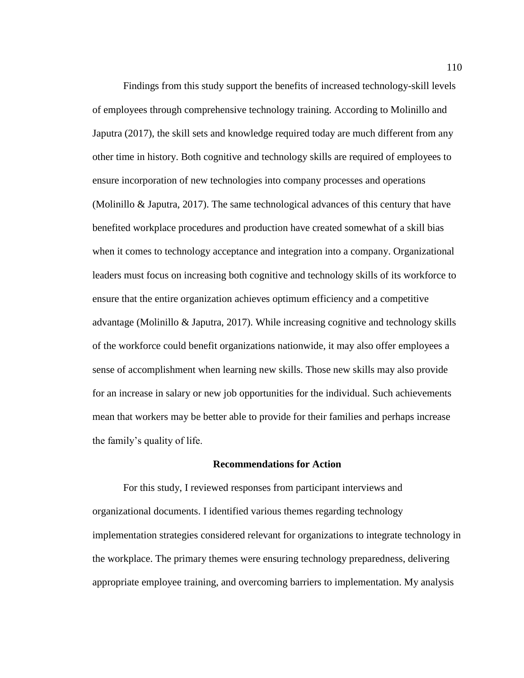Findings from this study support the benefits of increased technology-skill levels of employees through comprehensive technology training. According to Molinillo and Japutra (2017), the skill sets and knowledge required today are much different from any other time in history. Both cognitive and technology skills are required of employees to ensure incorporation of new technologies into company processes and operations (Molinillo & Japutra, 2017). The same technological advances of this century that have benefited workplace procedures and production have created somewhat of a skill bias when it comes to technology acceptance and integration into a company. Organizational leaders must focus on increasing both cognitive and technology skills of its workforce to ensure that the entire organization achieves optimum efficiency and a competitive advantage (Molinillo & Japutra, 2017). While increasing cognitive and technology skills of the workforce could benefit organizations nationwide, it may also offer employees a sense of accomplishment when learning new skills. Those new skills may also provide for an increase in salary or new job opportunities for the individual. Such achievements mean that workers may be better able to provide for their families and perhaps increase the family's quality of life.

### **Recommendations for Action**

For this study, I reviewed responses from participant interviews and organizational documents. I identified various themes regarding technology implementation strategies considered relevant for organizations to integrate technology in the workplace. The primary themes were ensuring technology preparedness, delivering appropriate employee training, and overcoming barriers to implementation. My analysis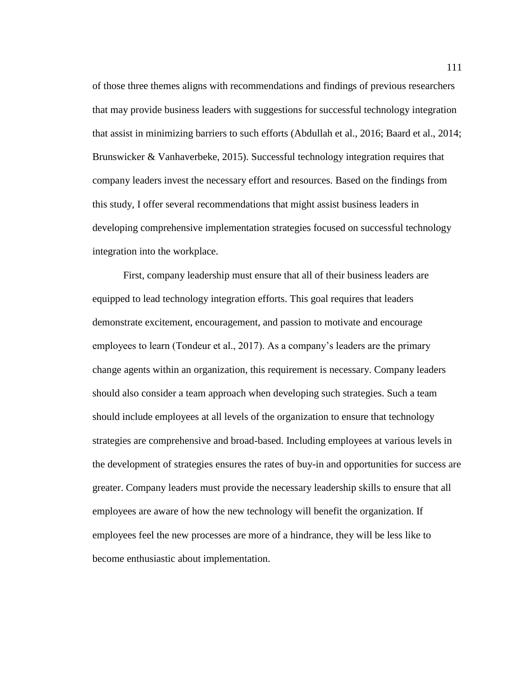of those three themes aligns with recommendations and findings of previous researchers that may provide business leaders with suggestions for successful technology integration that assist in minimizing barriers to such efforts (Abdullah et al., 2016; Baard et al., 2014; Brunswicker & Vanhaverbeke, 2015). Successful technology integration requires that company leaders invest the necessary effort and resources. Based on the findings from this study, I offer several recommendations that might assist business leaders in developing comprehensive implementation strategies focused on successful technology integration into the workplace.

First, company leadership must ensure that all of their business leaders are equipped to lead technology integration efforts. This goal requires that leaders demonstrate excitement, encouragement, and passion to motivate and encourage employees to learn (Tondeur et al., 2017). As a company's leaders are the primary change agents within an organization, this requirement is necessary. Company leaders should also consider a team approach when developing such strategies. Such a team should include employees at all levels of the organization to ensure that technology strategies are comprehensive and broad-based. Including employees at various levels in the development of strategies ensures the rates of buy-in and opportunities for success are greater. Company leaders must provide the necessary leadership skills to ensure that all employees are aware of how the new technology will benefit the organization. If employees feel the new processes are more of a hindrance, they will be less like to become enthusiastic about implementation.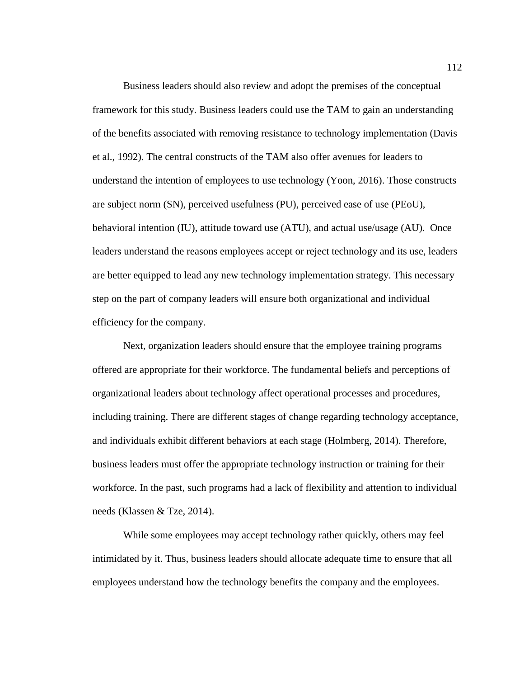Business leaders should also review and adopt the premises of the conceptual framework for this study. Business leaders could use the TAM to gain an understanding of the benefits associated with removing resistance to technology implementation (Davis et al., 1992). The central constructs of the TAM also offer avenues for leaders to understand the intention of employees to use technology (Yoon, 2016). Those constructs are subject norm (SN), perceived usefulness (PU), perceived ease of use (PEoU), behavioral intention (IU), attitude toward use (ATU), and actual use/usage (AU). Once leaders understand the reasons employees accept or reject technology and its use, leaders are better equipped to lead any new technology implementation strategy. This necessary step on the part of company leaders will ensure both organizational and individual efficiency for the company.

Next, organization leaders should ensure that the employee training programs offered are appropriate for their workforce. The fundamental beliefs and perceptions of organizational leaders about technology affect operational processes and procedures, including training. There are different stages of change regarding technology acceptance, and individuals exhibit different behaviors at each stage (Holmberg, 2014). Therefore, business leaders must offer the appropriate technology instruction or training for their workforce. In the past, such programs had a lack of flexibility and attention to individual needs (Klassen & Tze, 2014).

While some employees may accept technology rather quickly, others may feel intimidated by it. Thus, business leaders should allocate adequate time to ensure that all employees understand how the technology benefits the company and the employees.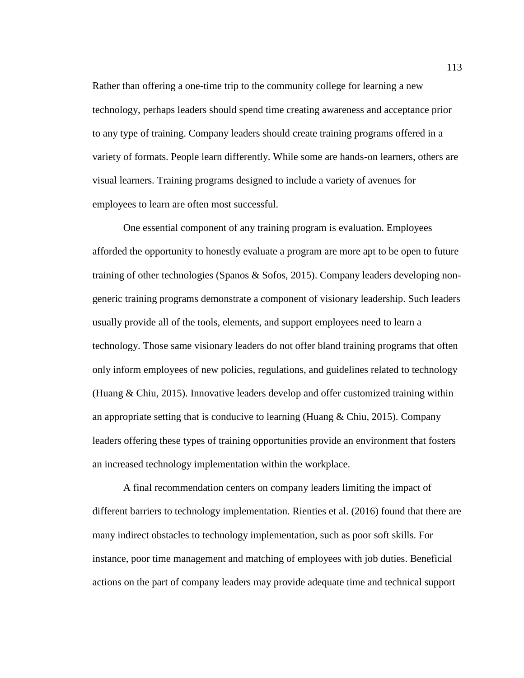Rather than offering a one-time trip to the community college for learning a new technology, perhaps leaders should spend time creating awareness and acceptance prior to any type of training. Company leaders should create training programs offered in a variety of formats. People learn differently. While some are hands-on learners, others are visual learners. Training programs designed to include a variety of avenues for employees to learn are often most successful.

One essential component of any training program is evaluation. Employees afforded the opportunity to honestly evaluate a program are more apt to be open to future training of other technologies (Spanos & Sofos, 2015). Company leaders developing nongeneric training programs demonstrate a component of visionary leadership. Such leaders usually provide all of the tools, elements, and support employees need to learn a technology. Those same visionary leaders do not offer bland training programs that often only inform employees of new policies, regulations, and guidelines related to technology (Huang  $& Chiu, 2015$ ). Innovative leaders develop and offer customized training within an appropriate setting that is conducive to learning (Huang  $& Chiu, 2015$ ). Company leaders offering these types of training opportunities provide an environment that fosters an increased technology implementation within the workplace.

A final recommendation centers on company leaders limiting the impact of different barriers to technology implementation. Rienties et al. (2016) found that there are many indirect obstacles to technology implementation, such as poor soft skills. For instance, poor time management and matching of employees with job duties. Beneficial actions on the part of company leaders may provide adequate time and technical support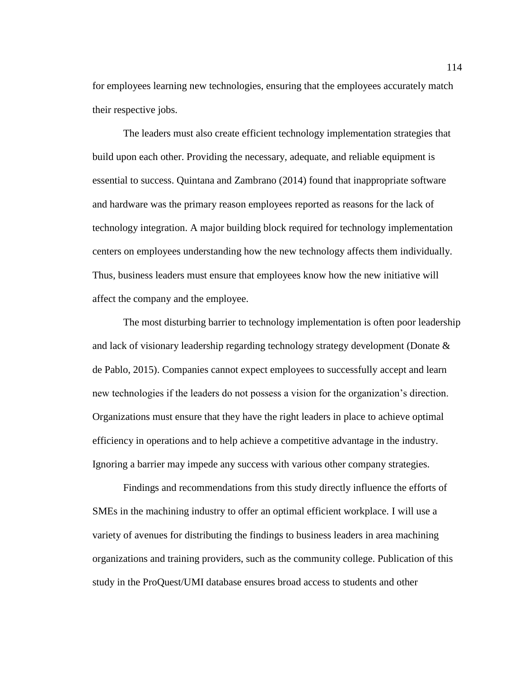for employees learning new technologies, ensuring that the employees accurately match their respective jobs.

The leaders must also create efficient technology implementation strategies that build upon each other. Providing the necessary, adequate, and reliable equipment is essential to success. Quintana and Zambrano (2014) found that inappropriate software and hardware was the primary reason employees reported as reasons for the lack of technology integration. A major building block required for technology implementation centers on employees understanding how the new technology affects them individually. Thus, business leaders must ensure that employees know how the new initiative will affect the company and the employee.

The most disturbing barrier to technology implementation is often poor leadership and lack of visionary leadership regarding technology strategy development (Donate & de Pablo, 2015). Companies cannot expect employees to successfully accept and learn new technologies if the leaders do not possess a vision for the organization's direction. Organizations must ensure that they have the right leaders in place to achieve optimal efficiency in operations and to help achieve a competitive advantage in the industry. Ignoring a barrier may impede any success with various other company strategies.

Findings and recommendations from this study directly influence the efforts of SMEs in the machining industry to offer an optimal efficient workplace. I will use a variety of avenues for distributing the findings to business leaders in area machining organizations and training providers, such as the community college. Publication of this study in the ProQuest/UMI database ensures broad access to students and other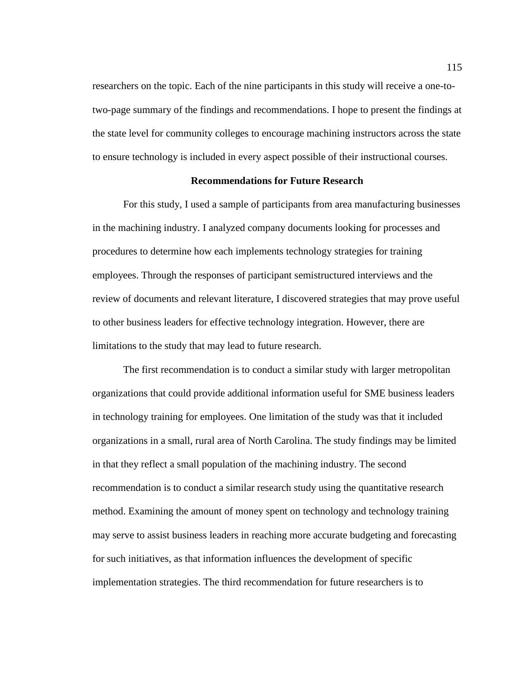researchers on the topic. Each of the nine participants in this study will receive a one-totwo-page summary of the findings and recommendations. I hope to present the findings at the state level for community colleges to encourage machining instructors across the state to ensure technology is included in every aspect possible of their instructional courses.

### **Recommendations for Future Research**

For this study, I used a sample of participants from area manufacturing businesses in the machining industry. I analyzed company documents looking for processes and procedures to determine how each implements technology strategies for training employees. Through the responses of participant semistructured interviews and the review of documents and relevant literature, I discovered strategies that may prove useful to other business leaders for effective technology integration. However, there are limitations to the study that may lead to future research.

The first recommendation is to conduct a similar study with larger metropolitan organizations that could provide additional information useful for SME business leaders in technology training for employees. One limitation of the study was that it included organizations in a small, rural area of North Carolina. The study findings may be limited in that they reflect a small population of the machining industry. The second recommendation is to conduct a similar research study using the quantitative research method. Examining the amount of money spent on technology and technology training may serve to assist business leaders in reaching more accurate budgeting and forecasting for such initiatives, as that information influences the development of specific implementation strategies. The third recommendation for future researchers is to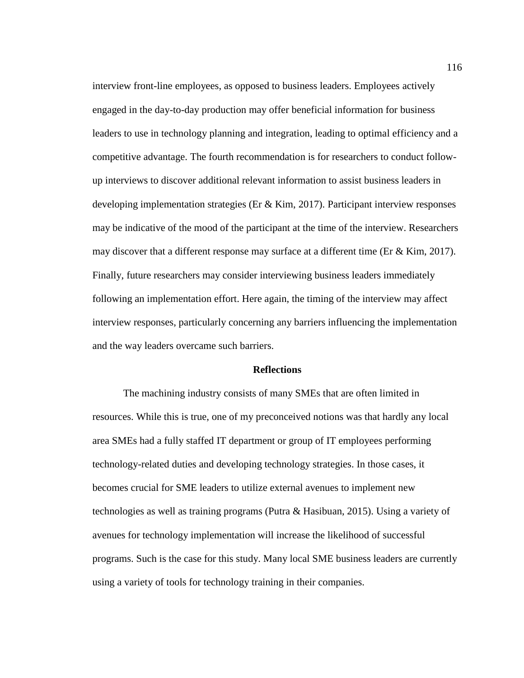interview front-line employees, as opposed to business leaders. Employees actively engaged in the day-to-day production may offer beneficial information for business leaders to use in technology planning and integration, leading to optimal efficiency and a competitive advantage. The fourth recommendation is for researchers to conduct followup interviews to discover additional relevant information to assist business leaders in developing implementation strategies (Er  $\&$  Kim, 2017). Participant interview responses may be indicative of the mood of the participant at the time of the interview. Researchers may discover that a different response may surface at a different time (Er  $&$  Kim, 2017). Finally, future researchers may consider interviewing business leaders immediately following an implementation effort. Here again, the timing of the interview may affect interview responses, particularly concerning any barriers influencing the implementation and the way leaders overcame such barriers.

### **Reflections**

The machining industry consists of many SMEs that are often limited in resources. While this is true, one of my preconceived notions was that hardly any local area SMEs had a fully staffed IT department or group of IT employees performing technology-related duties and developing technology strategies. In those cases, it becomes crucial for SME leaders to utilize external avenues to implement new technologies as well as training programs (Putra & Hasibuan, 2015). Using a variety of avenues for technology implementation will increase the likelihood of successful programs. Such is the case for this study. Many local SME business leaders are currently using a variety of tools for technology training in their companies.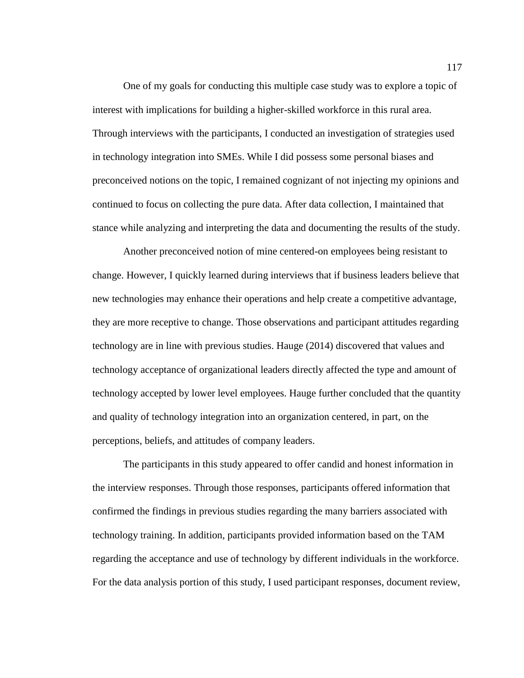One of my goals for conducting this multiple case study was to explore a topic of interest with implications for building a higher-skilled workforce in this rural area. Through interviews with the participants, I conducted an investigation of strategies used in technology integration into SMEs. While I did possess some personal biases and preconceived notions on the topic, I remained cognizant of not injecting my opinions and continued to focus on collecting the pure data. After data collection, I maintained that stance while analyzing and interpreting the data and documenting the results of the study.

Another preconceived notion of mine centered-on employees being resistant to change. However, I quickly learned during interviews that if business leaders believe that new technologies may enhance their operations and help create a competitive advantage, they are more receptive to change. Those observations and participant attitudes regarding technology are in line with previous studies. Hauge (2014) discovered that values and technology acceptance of organizational leaders directly affected the type and amount of technology accepted by lower level employees. Hauge further concluded that the quantity and quality of technology integration into an organization centered, in part, on the perceptions, beliefs, and attitudes of company leaders.

The participants in this study appeared to offer candid and honest information in the interview responses. Through those responses, participants offered information that confirmed the findings in previous studies regarding the many barriers associated with technology training. In addition, participants provided information based on the TAM regarding the acceptance and use of technology by different individuals in the workforce. For the data analysis portion of this study, I used participant responses, document review,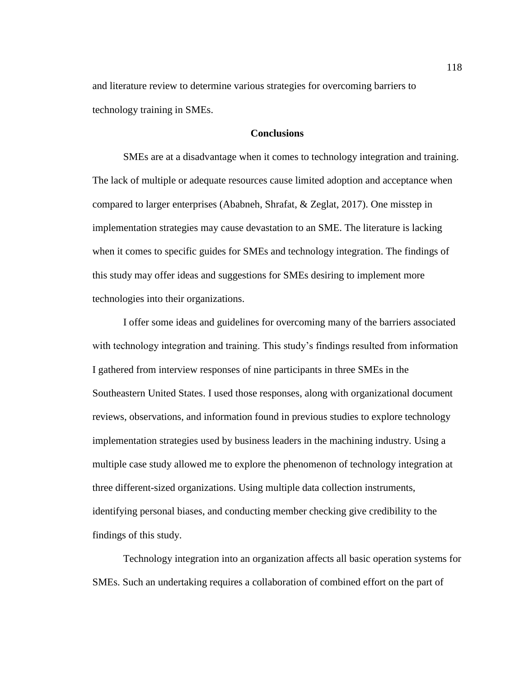and literature review to determine various strategies for overcoming barriers to technology training in SMEs.

# **Conclusions**

SMEs are at a disadvantage when it comes to technology integration and training. The lack of multiple or adequate resources cause limited adoption and acceptance when compared to larger enterprises (Ababneh, Shrafat, & Zeglat, 2017). One misstep in implementation strategies may cause devastation to an SME. The literature is lacking when it comes to specific guides for SMEs and technology integration. The findings of this study may offer ideas and suggestions for SMEs desiring to implement more technologies into their organizations.

I offer some ideas and guidelines for overcoming many of the barriers associated with technology integration and training. This study's findings resulted from information I gathered from interview responses of nine participants in three SMEs in the Southeastern United States. I used those responses, along with organizational document reviews, observations, and information found in previous studies to explore technology implementation strategies used by business leaders in the machining industry. Using a multiple case study allowed me to explore the phenomenon of technology integration at three different-sized organizations. Using multiple data collection instruments, identifying personal biases, and conducting member checking give credibility to the findings of this study.

Technology integration into an organization affects all basic operation systems for SMEs. Such an undertaking requires a collaboration of combined effort on the part of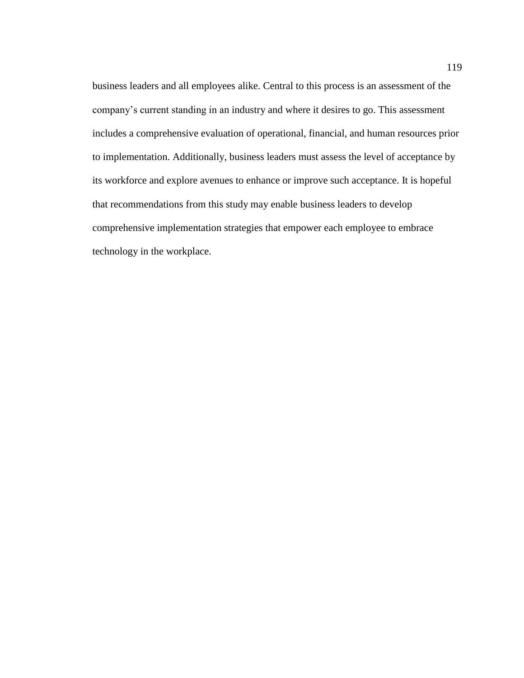business leaders and all employees alike. Central to this process is an assessment of the company's current standing in an industry and where it desires to go. This assessment includes a comprehensive evaluation of operational, financial, and human resources prior to implementation. Additionally, business leaders must assess the level of acceptance by its workforce and explore avenues to enhance or improve such acceptance. It is hopeful that recommendations from this study may enable business leaders to develop comprehensive implementation strategies that empower each employee to embrace technology in the workplace.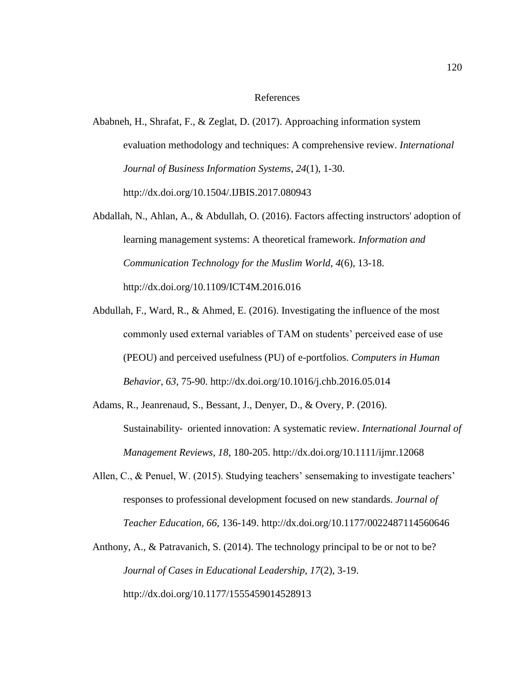#### References

- Ababneh, H., Shrafat, F., & Zeglat, D. (2017). Approaching information system evaluation methodology and techniques: A comprehensive review. *International Journal of Business Information Systems*, *24*(1), 1-30. http://dx.doi.org/10.1504/.IJBIS.2017.080943
- Abdallah, N., Ahlan, A., & Abdullah, O. (2016). Factors affecting instructors' adoption of learning management systems: A theoretical framework. *Information and Communication Technology for the Muslim World*, *4*(6), 13-18. http://dx.doi.org[/10.1109/ICT4M.2016.016](https://doi.org/10.1109/ICT4M.2016.016)
- Abdullah, F., Ward, R., & Ahmed, E. (2016). Investigating the influence of the most commonly used external variables of TAM on students' perceived ease of use (PEOU) and perceived usefulness (PU) of e-portfolios. *Computers in Human Behavior, 63,* 75-90. http://dx.doi.org/10.1016/j.chb.2016.05.014
- Adams, R., Jeanrenaud, S., Bessant, J., Denyer, D., & Overy, P. (2016). Sustainability‐ oriented innovation: A systematic review. *International Journal of Management Reviews, 18*, 180-205. http://dx.doi.org/10.1111/ijmr.12068
- Allen, C., & Penuel, W. (2015). Studying teachers' sensemaking to investigate teachers' responses to professional development focused on new standards. *Journal of Teacher Education, 66,* 136-149. http://dx.doi.org/10.1177/0022487114560646
- Anthony, A., & Patravanich, S. (2014). The technology principal to be or not to be? *Journal of Cases in Educational Leadership, 17*(2), 3-19. http://dx.doi.org/10.1177/1555459014528913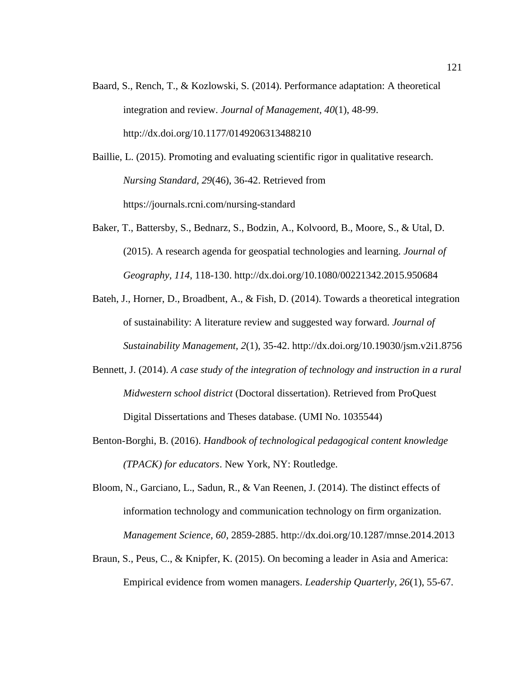Baard, S., Rench, T., & Kozlowski, S. (2014). Performance adaptation: A theoretical integration and review. *Journal of Management, 40*(1), 48-99. http://dx.doi.org/10.1177/0149206313488210

Baillie, L. (2015). Promoting and evaluating scientific rigor in qualitative research. *Nursing Standard, 29*(46), 36-42. Retrieved from https://journals.rcni.com/nursing-standard

- Baker, T., Battersby, S., Bednarz, S., Bodzin, A., Kolvoord, B., Moore, S., & Utal, D. (2015). A research agenda for geospatial technologies and learning. *Journal of Geography, 114*, 118-130. http://dx.doi.org/10.1080/00221342.2015.950684
- Bateh, J., Horner, D., Broadbent, A., & Fish, D. (2014). Towards a theoretical integration of sustainability: A literature review and suggested way forward. *Journal of Sustainability Management, 2*(1), 35-42. http://dx.doi.org/10.19030/jsm.v2i1.8756
- Bennett, J. (2014). *A case study of the integration of technology and instruction in a rural Midwestern school district* (Doctoral dissertation). Retrieved from ProQuest Digital Dissertations and Theses database. (UMI No. 1035544)
- Benton-Borghi, B. (2016). *Handbook of technological pedagogical content knowledge (TPACK) for educators*. New York, NY: Routledge.
- Bloom, N., Garciano, L., Sadun, R., & Van Reenen, J. (2014). The distinct effects of information technology and communication technology on firm organization. *Management Science, 60*, 2859-2885. http://dx.doi.org/10.1287/mnse.2014.2013
- Braun, S., Peus, C., & Knipfer, K. (2015). On becoming a leader in Asia and America: Empirical evidence from women managers. *Leadership Quarterly, 26*(1), 55-67.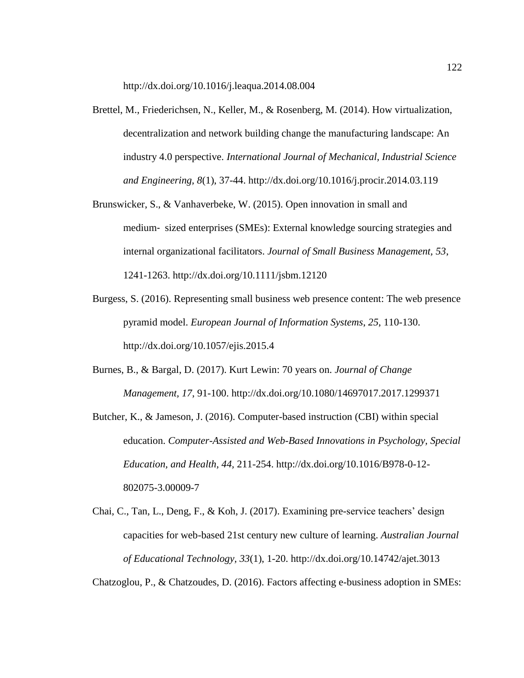http://dx.doi.org/10.1016/j.leaqua.2014.08.004

- Brettel, M., Friederichsen, N., Keller, M., & Rosenberg, M. (2014). How virtualization, decentralization and network building change the manufacturing landscape: An industry 4.0 perspective. *International Journal of Mechanical, Industrial Science and Engineering, 8*(1), 37-44. http://dx.doi.org/10.1016/j.procir.2014.03.119
- Brunswicker, S., & Vanhaverbeke, W. (2015). Open innovation in small and medium‐ sized enterprises (SMEs): External knowledge sourcing strategies and internal organizational facilitators. *Journal of Small Business Management, 53*, 1241-1263. http://dx.doi.org/10.1111/jsbm.12120
- Burgess, S. (2016). Representing small business web presence content: The web presence pyramid model. *European Journal of Information Systems*, *25*, 110-130. http://dx.doi.org/10.1057/ejis.2015.4
- Burnes, B., & Bargal, D. (2017). Kurt Lewin: 70 years on. *Journal of Change Management, 17*, 91-100. http://dx.doi.org/10.1080/14697017.2017.1299371
- Butcher, K., & Jameson, J. (2016). Computer-based instruction (CBI) within special education. *Computer-Assisted and Web-Based Innovations in Psychology, Special Education, and Health, 44,* 211-254. http://dx.doi.org/10.1016/B978-0-12- 802075-3.00009-7
- Chai, C., Tan, L., Deng, F., & Koh, J. (2017). Examining pre-service teachers' design capacities for web-based 21st century new culture of learning. *Australian Journal of Educational Technology, 33*(1), 1-20. http://dx.doi.org/10.14742/ajet.3013

Chatzoglou, P., & Chatzoudes, D. (2016). Factors affecting e-business adoption in SMEs: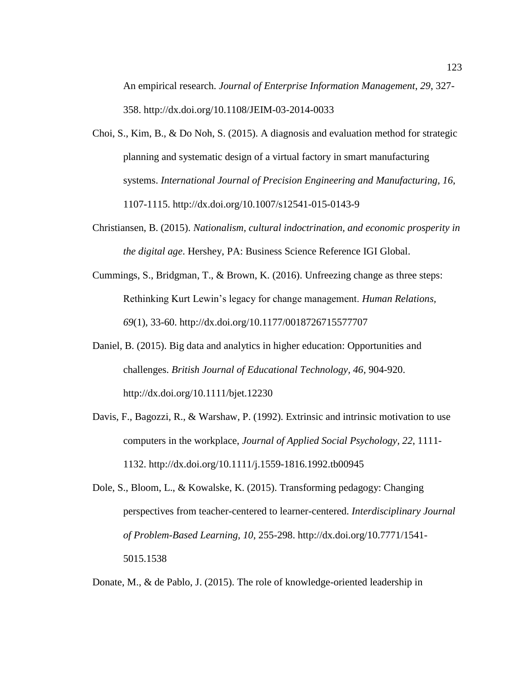An empirical research. *Journal of Enterprise Information Management*, *29*, 327- 358. http://dx.doi.org/10.1108/JEIM-03-2014-0033

- Choi, S., Kim, B., & Do Noh, S. (2015). A diagnosis and evaluation method for strategic planning and systematic design of a virtual factory in smart manufacturing systems. *International Journal of Precision Engineering and Manufacturing, 16*, 1107-1115. http://dx.doi.org/10.1007/s12541-015-0143-9
- Christiansen, B. (2015). *Nationalism, cultural indoctrination, and economic prosperity in the digital age*. Hershey, PA: Business Science Reference IGI Global.
- Cummings, S., Bridgman, T., & Brown, K. (2016). Unfreezing change as three steps: Rethinking Kurt Lewin's legacy for change management. *Human Relations, 69*(1)*,* 33-60. http://dx.doi.org/10.1177/0018726715577707
- Daniel, B. (2015). Big data and analytics in higher education: Opportunities and challenges. *British Journal of Educational Technology, 46*, 904-920. http://dx.doi.org/10.1111/bjet.12230
- Davis, F., Bagozzi, R., & Warshaw, P. (1992). Extrinsic and intrinsic motivation to use computers in the workplace, *Journal of Applied Social Psychology, 22*, 1111- 1132. http://dx.doi.org/10.1111/j.1559-1816.1992.tb00945
- Dole, S., Bloom, L., & Kowalske, K. (2015). Transforming pedagogy: Changing perspectives from teacher-centered to learner-centered. *Interdisciplinary Journal of Problem-Based Learning, 10*, 255-298. http://dx.doi.org/10.7771/1541- 5015.1538

Donate, M., & de Pablo, J. (2015). The role of knowledge-oriented leadership in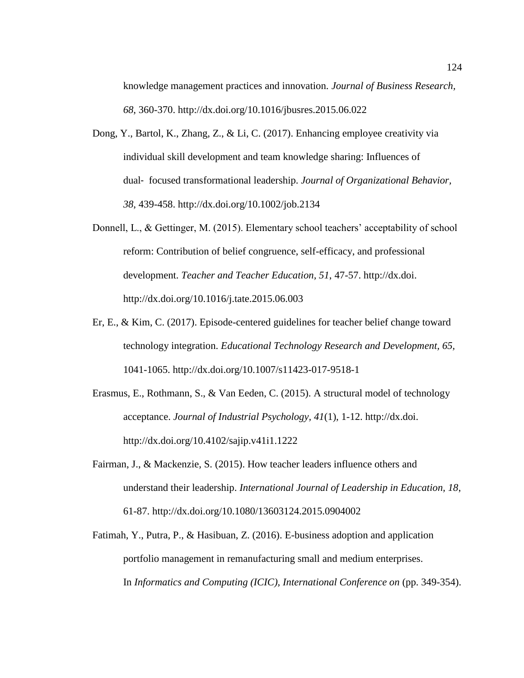knowledge management practices and innovation. *Journal of Business Research, 68*, 360-370. http://dx.doi.org/10.1016/jbusres.2015.06.022

- Dong, Y., Bartol, K., Zhang, Z., & Li, C. (2017). Enhancing employee creativity via individual skill development and team knowledge sharing: Influences of dual‐ focused transformational leadership. *Journal of Organizational Behavior, 38*, 439-458. http://dx.doi.org/10.1002/job.2134
- Donnell, L., & Gettinger, M. (2015). Elementary school teachers' acceptability of school reform: Contribution of belief congruence, self-efficacy, and professional development. *Teacher and Teacher Education, 51*, 47-57. http://dx.doi. http://dx.doi.org/10.1016/j.tate.2015.06.003
- Er, E., & Kim, C. (2017). Episode-centered guidelines for teacher belief change toward technology integration. *Educational Technology Research and Development, 65,* 1041-1065. http://dx.doi.org/10.1007/s11423-017-9518-1
- Erasmus, E., Rothmann, S., & Van Eeden, C. (2015). A structural model of technology acceptance. *Journal of Industrial Psychology, 41*(1), 1-12. http://dx.doi. http://dx.doi.org/10.4102/sajip.v41i1.1222
- Fairman, J., & Mackenzie, S. (2015). How teacher leaders influence others and understand their leadership. *International Journal of Leadership in Education, 18*, 61-87. http://dx.doi.org/10.1080/13603124.2015.0904002
- Fatimah, Y., Putra, P., & Hasibuan, Z. (2016). E-business adoption and application portfolio management in remanufacturing small and medium enterprises. In *Informatics and Computing (ICIC), International Conference on* (pp. 349-354).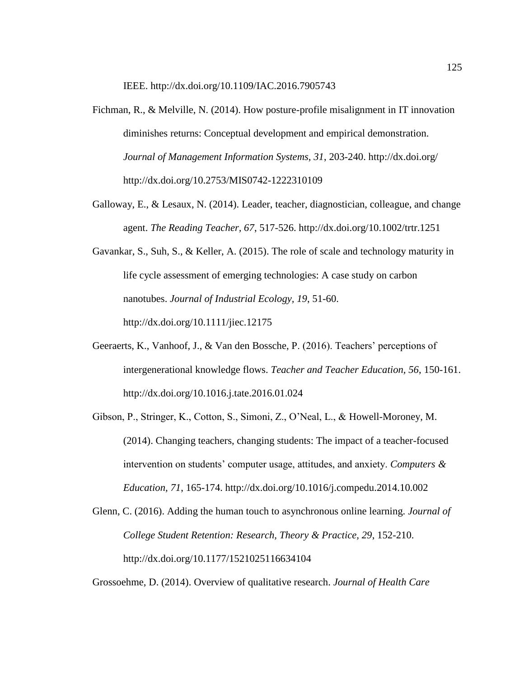IEEE. http://dx.doi.org[/10.1109/IAC.2016.7905743](https://doi.org/10.1109/IAC.2016.7905743)

- Fichman, R., & Melville, N. (2014). How posture-profile misalignment in IT innovation diminishes returns: Conceptual development and empirical demonstration. *Journal of Management Information Systems, 31*, 203-240. http://dx.doi.org/ http://dx.doi.org/10.2753/MIS0742-1222310109
- Galloway, E., & Lesaux, N. (2014). Leader, teacher, diagnostician, colleague, and change agent. *The Reading Teacher, 67*, 517-526. http://dx.doi.org/10.1002/trtr.1251
- Gavankar, S., Suh, S., & Keller, A. (2015). The role of scale and technology maturity in life cycle assessment of emerging technologies: A case study on carbon nanotubes. *Journal of Industrial Ecology, 19*, 51-60. http://dx.doi.org/10.1111/jiec.12175
- Geeraerts, K., Vanhoof, J., & Van den Bossche, P. (2016). Teachers' perceptions of intergenerational knowledge flows. *Teacher and Teacher Education, 56*, 150-161. http://dx.doi.org/10.1016.j.tate.2016.01.024
- Gibson, P., Stringer, K., Cotton, S., Simoni, Z., O'Neal, L., & Howell-Moroney, M. (2014). Changing teachers, changing students: The impact of a teacher-focused intervention on students' computer usage, attitudes, and anxiety. *Computers & Education, 71*, 165-174. http://dx.doi.org/10.1016/j.compedu.2014.10.002
- Glenn, C. (2016). Adding the human touch to asynchronous online learning. *Journal of College Student Retention: Research, Theory & Practice, 29*, 152-210. http://dx.doi.org/10.1177/1521025116634104

Grossoehme, D. (2014). Overview of qualitative research. *Journal of Health Care*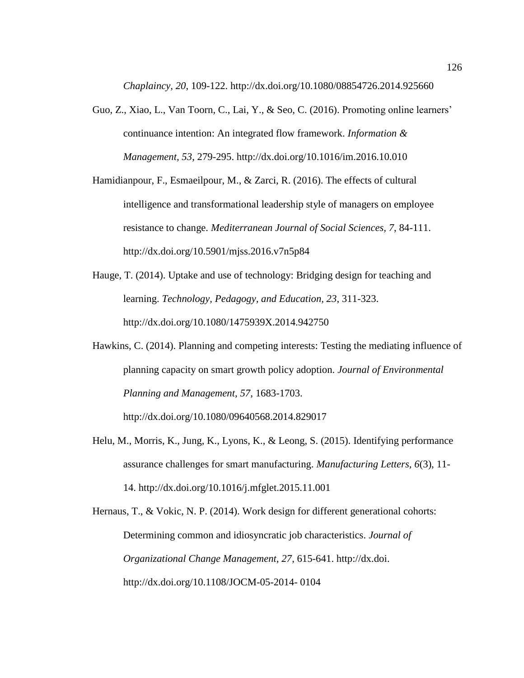*Chaplaincy, 20*, 109-122. http://dx.doi.org/10.1080/08854726.2014.925660

- Guo, Z., Xiao, L., Van Toorn, C., Lai, Y., & Seo, C. (2016). Promoting online learners' continuance intention: An integrated flow framework. *Information & Management, 53*, 279-295. http://dx.doi.org/10.1016/im.2016.10.010
- Hamidianpour, F., Esmaeilpour, M., & Zarci, R. (2016). The effects of cultural intelligence and transformational leadership style of managers on employee resistance to change. *Mediterranean Journal of Social Sciences, 7*, 84-111. http://dx.doi.org/10.5901/mjss.2016.v7n5p84
- Hauge, T. (2014). Uptake and use of technology: Bridging design for teaching and learning. *Technology, Pedagogy, and Education, 23*, 311-323. http://dx.doi.org/10.1080/1475939X.2014.942750
- Hawkins, C. (2014). Planning and competing interests: Testing the mediating influence of planning capacity on smart growth policy adoption. *Journal of Environmental Planning and Management, 57*, 1683-1703. http://dx.doi.org/10.1080/09640568.2014.829017
- Helu, M., Morris, K., Jung, K., Lyons, K., & Leong, S. (2015). Identifying performance assurance challenges for smart manufacturing. *Manufacturing Letters, 6*(3), 11- 14. http://dx.doi.org/10.1016/j.mfglet.2015.11.001

Hernaus, T., & Vokic, N. P. (2014). Work design for different generational cohorts: Determining common and idiosyncratic job characteristics. *Journal of Organizational Change Management, 27*, 615-641. http://dx.doi. http://dx.doi.org/10.1108/JOCM-05-2014- 0104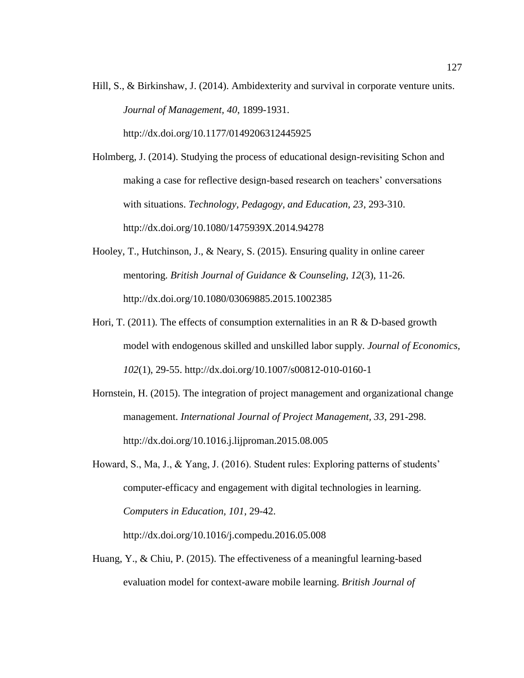Hill, S., & Birkinshaw, J. (2014). Ambidexterity and survival in corporate venture units. *Journal of Management, 40*, 1899-1931.

http://dx.doi.org/10.1177/0149206312445925

Holmberg, J. (2014). Studying the process of educational design-revisiting Schon and making a case for reflective design-based research on teachers' conversations with situations. *Technology, Pedagogy, and Education, 23*, 293-310. http://dx.doi.org/10.1080/1475939X.2014.94278

- Hooley, T., Hutchinson, J., & Neary, S. (2015). Ensuring quality in online career mentoring. *British Journal of Guidance & Counseling, 12*(3), 11-26. http://dx.doi.org/10.1080/03069885.2015.1002385
- Hori, T. (2011). The effects of consumption externalities in an R & D-based growth model with endogenous skilled and unskilled labor supply. *Journal of Economics, 102*(1), 29-55. http://dx.doi.org/10.1007/s00812-010-0160-1
- Hornstein, H. (2015). The integration of project management and organizational change management. *International Journal of Project Management, 33*, 291-298. http://dx.doi.org/10.1016.j.lijproman.2015.08.005
- Howard, S., Ma, J., & Yang, J. (2016). Student rules: Exploring patterns of students' computer-efficacy and engagement with digital technologies in learning. *Computers in Education, 101*, 29-42.

http://dx.doi.org/10.1016/j.compedu.2016.05.008

Huang, Y., & Chiu, P. (2015). The effectiveness of a meaningful learning-based evaluation model for context-aware mobile learning. *British Journal of*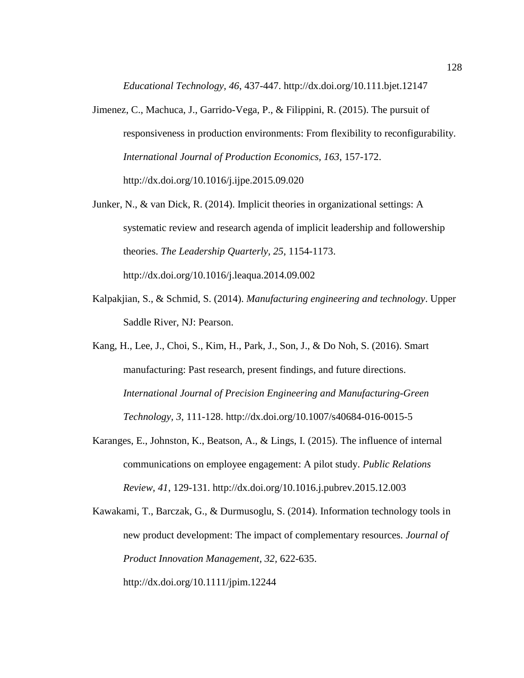*Educational Technology, 46*, 437-447. http://dx.doi.org/10.111.bjet.12147

- Jimenez, C., Machuca, J., Garrido-Vega, P., & Filippini, R. (2015). The pursuit of responsiveness in production environments: From flexibility to reconfigurability. *International Journal of Production Economics, 163*, 157-172. http://dx.doi.org/10.1016/j.ijpe.2015.09.020
- Junker, N., & van Dick, R. (2014). Implicit theories in organizational settings: A systematic review and research agenda of implicit leadership and followership theories. *The Leadership Quarterly, 25*, 1154-1173. <http://dx.doi.org/10.1016/j.leaqua.2014.09.002>
- Kalpakjian, S., & Schmid, S. (2014). *Manufacturing engineering and technology*. Upper Saddle River, NJ: Pearson.
- Kang, H., Lee, J., Choi, S., Kim, H., Park, J., Son, J., & Do Noh, S. (2016). Smart manufacturing: Past research, present findings, and future directions. *International Journal of Precision Engineering and Manufacturing-Green Technology, 3*, 111-128. http://dx.doi.org/10.1007/s40684-016-0015-5
- Karanges, E., Johnston, K., Beatson, A., & Lings, I. (2015). The influence of internal communications on employee engagement: A pilot study. *Public Relations Review, 41*, 129-131. http://dx.doi.org/10.1016.j.pubrev.2015.12.003
- Kawakami, T., Barczak, G., & Durmusoglu, S. (2014). Information technology tools in new product development: The impact of complementary resources. *Journal of Product Innovation Management, 32,* 622-635.

http://dx.doi.org/10.1111/jpim.12244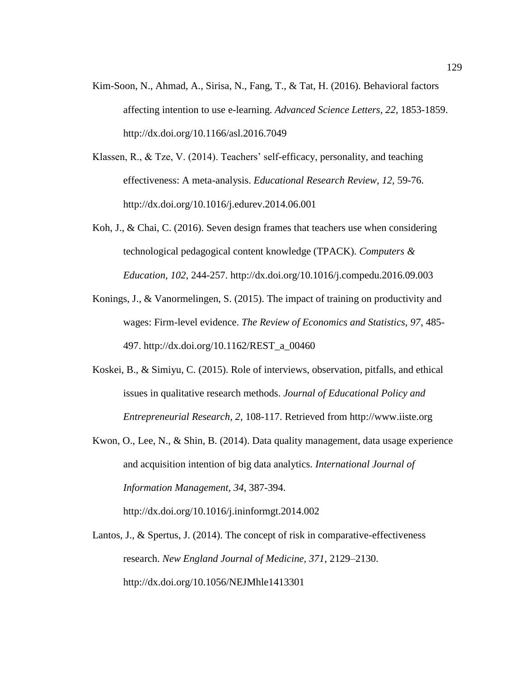- Kim-Soon, N., Ahmad, A., Sirisa, N., Fang, T., & Tat, H. (2016). Behavioral factors affecting intention to use e-learning. *Advanced Science Letters, 22*, 1853-1859. http://dx.doi.org/10.1166/asl.2016.7049
- Klassen, R., & Tze, V. (2014). Teachers' self-efficacy, personality, and teaching effectiveness: A meta-analysis. *Educational Research Review, 12,* 59-76. http://dx.doi.org/10.1016/j.edurev.2014.06.001
- Koh, J., & Chai, C. (2016). Seven design frames that teachers use when considering technological pedagogical content knowledge (TPACK). *Computers & Education, 102,* 244-257. http://dx.doi.org/10.1016/j.compedu.2016.09.003
- Konings, J., & Vanormelingen, S. (2015). The impact of training on productivity and wages: Firm-level evidence. *The Review of Economics and Statistics, 97*, 485- 497. http://dx.doi.org/10.1162/REST\_a\_00460
- Koskei, B., & Simiyu, C. (2015). Role of interviews, observation, pitfalls, and ethical issues in qualitative research methods. *Journal of Educational Policy and Entrepreneurial Research, 2*, 108-117. Retrieved from http://www.iiste.org
- Kwon, O., Lee, N., & Shin, B. (2014). Data quality management, data usage experience and acquisition intention of big data analytics. *International Journal of Information Management, 34*, 387-394.

http://dx.doi.org/10.1016/j.ininformgt.2014.002

Lantos, J., & Spertus, J. (2014). The concept of risk in comparative-effectiveness research. *New England Journal of Medicine, 371*, 2129–2130. http://dx.doi.org/10.1056/NEJMhle1413301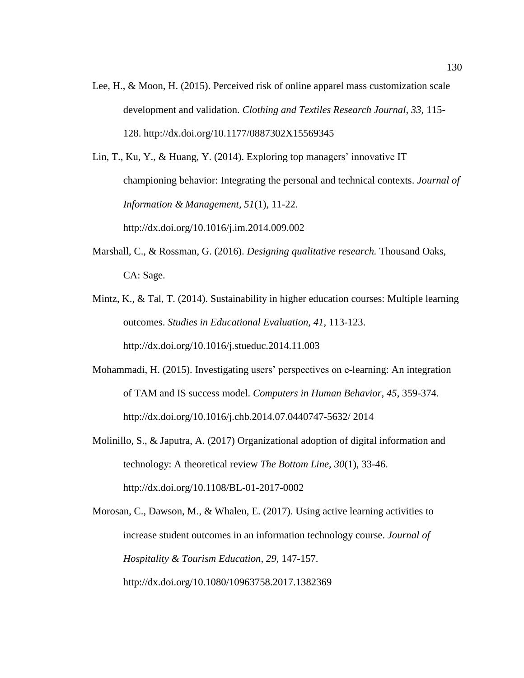Lee, H., & Moon, H. (2015). Perceived risk of online apparel mass customization scale development and validation. *Clothing and Textiles Research Journal, 33,* 115- 128. http://dx.doi.org/10.1177/0887302X15569345

Lin, T., Ku, Y., & Huang, Y. (2014). Exploring top managers' innovative IT championing behavior: Integrating the personal and technical contexts. *Journal of Information & Management, 51*(1)*,* 11-22. http://dx.doi.org/10.1016/j.im.2014.009.002

- Marshall, C., & Rossman, G. (2016). *Designing qualitative research.* Thousand Oaks, CA: Sage.
- Mintz, K., & Tal, T. (2014). Sustainability in higher education courses: Multiple learning outcomes. *Studies in Educational Evaluation, 41,* 113-123. http://dx.doi.org/10.1016/j.stueduc.2014.11.003
- Mohammadi, H. (2015). Investigating users' perspectives on e-learning: An integration of TAM and IS success model. *Computers in Human Behavior, 45*, 359-374. http://dx.doi.org/10.1016/j.chb.2014.07.0440747-5632/ 2014
- Molinillo, S., & Japutra, A. (2017) Organizational adoption of digital information and technology: A theoretical review *The Bottom Line, 30*(1), 33-46. http://dx.doi.org/10.1108/BL-01-2017-0002

Morosan, C., Dawson, M., & Whalen, E. (2017). Using active learning activities to increase student outcomes in an information technology course. *Journal of Hospitality & Tourism Education, 29,* 147-157. http://dx.doi.org/10.1080/10963758.2017.1382369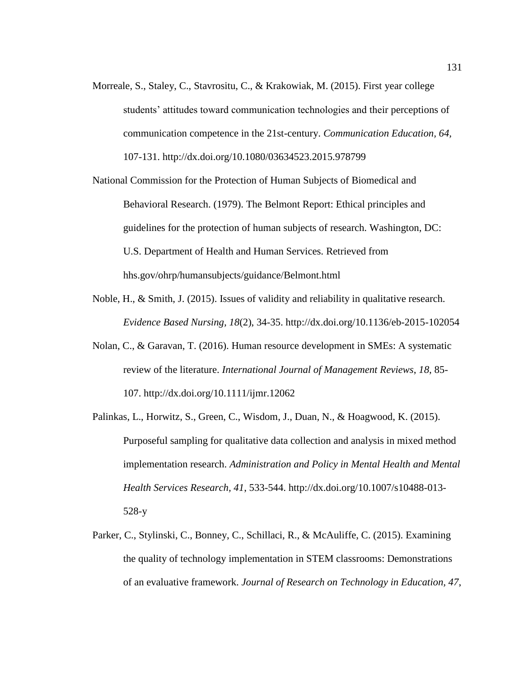- Morreale, S., Staley, C., Stavrositu, C., & Krakowiak, M. (2015). First year college students' attitudes toward communication technologies and their perceptions of communication competence in the 21st-century. *Communication Education, 64,* 107-131. http://dx.doi.org/10.1080/03634523.2015.978799
- National Commission for the Protection of Human Subjects of Biomedical and Behavioral Research. (1979). The Belmont Report: Ethical principles and guidelines for the protection of human subjects of research. Washington, DC: U.S. Department of Health and Human Services. Retrieved from hhs.gov/ohrp/humansubjects/guidance/Belmont.html
- Noble, H., & Smith, J. (2015). Issues of validity and reliability in qualitative research. *Evidence Based Nursing, 18*(2), 34-35. http://dx.doi.org/10.1136/eb-2015-102054
- Nolan, C., & Garavan, T. (2016). Human resource development in SMEs: A systematic review of the literature. *International Journal of Management Reviews*, *18*, 85- 107. http://dx.doi.org/10.1111/ijmr.12062
- Palinkas, L., Horwitz, S., Green, C., Wisdom, J., Duan, N., & Hoagwood, K. (2015). Purposeful sampling for qualitative data collection and analysis in mixed method implementation research. *Administration and Policy in Mental Health and Mental Health Services Research, 41*, 533-544. http://dx.doi.org/10.1007/s10488-013- 528-y
- Parker, C., Stylinski, C., Bonney, C., Schillaci, R., & McAuliffe, C. (2015). Examining the quality of technology implementation in STEM classrooms: Demonstrations of an evaluative framework. *Journal of Research on Technology in Education, 47*,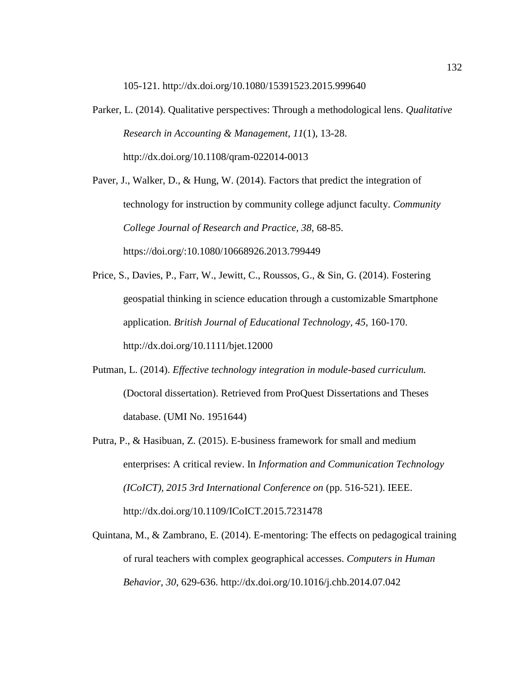105-121. http://dx.doi.org/10.1080/15391523.2015.999640

Parker, L. (2014). Qualitative perspectives: Through a methodological lens. *Qualitative Research in Accounting & Management*, *11*(1), 13-28. http://dx.doi.org/10.1108/qram-022014-0013

Paver, J., Walker, D., & Hung, W. (2014). Factors that predict the integration of technology for instruction by community college adjunct faculty. *Community College Journal of Research and Practice, 38,* 68-85. https://doi.org/:10.1080/10668926.2013.799449

- Price, S., Davies, P., Farr, W., Jewitt, C., Roussos, G., & Sin, G. (2014). Fostering geospatial thinking in science education through a customizable Smartphone application. *British Journal of Educational Technology, 45,* 160-170. http://dx.doi.org/10.1111/bjet.12000
- Putman, L. (2014). *Effective technology integration in module-based curriculum.* (Doctoral dissertation). Retrieved from ProQuest Dissertations and Theses database. (UMI No. 1951644)
- Putra, P., & Hasibuan, Z. (2015). E-business framework for small and medium enterprises: A critical review. In *Information and Communication Technology (ICoICT), 2015 3rd International Conference on* (pp. 516-521). IEEE. http://dx.doi.org/10.1109/ICoICT.2015.7231478
- Quintana, M., & Zambrano, E. (2014). E-mentoring: The effects on pedagogical training of rural teachers with complex geographical accesses. *Computers in Human Behavior, 30*, 629-636. http://dx.doi.org/10.1016/j.chb.2014.07.042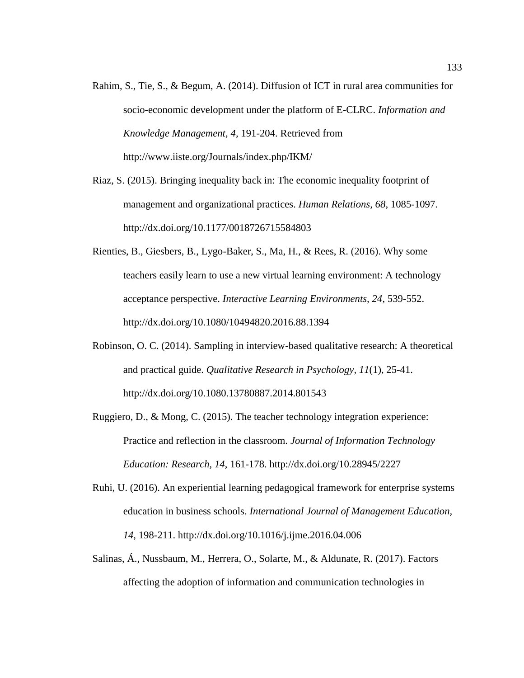- Rahim, S., Tie, S., & Begum, A. (2014). Diffusion of ICT in rural area communities for socio-economic development under the platform of E-CLRC. *Information and Knowledge Management, 4,* 191-204. Retrieved from <http://www.iiste.org/Journals/index.php/IKM/>
- Riaz, S. (2015). Bringing inequality back in: The economic inequality footprint of management and organizational practices. *Human Relations, 68*, 1085-1097. http://dx.doi.org/10.1177/0018726715584803
- Rienties, B., Giesbers, B., Lygo-Baker, S., Ma, H., & Rees, R. (2016). Why some teachers easily learn to use a new virtual learning environment: A technology acceptance perspective. *Interactive Learning Environments, 24*, 539-552. http://dx.doi.org/10.1080/10494820.2016.88.1394
- Robinson, O. C. (2014). Sampling in interview-based qualitative research: A theoretical and practical guide. *Qualitative Research in Psychology, 11*(1), 25-41. http://dx.doi.org/10.1080.13780887.2014.801543
- Ruggiero, D., & Mong, C. (2015). The teacher technology integration experience: Practice and reflection in the classroom. *Journal of Information Technology Education: Research, 14*, 161-178.<http://dx.doi.org/10.28945/2227>
- Ruhi, U. (2016). An experiential learning pedagogical framework for enterprise systems education in business schools. *International Journal of Management Education, 14*, 198-211. http://dx.doi.org/10.1016/j.ijme.2016.04.006
- Salinas, Á., Nussbaum, M., Herrera, O., Solarte, M., & Aldunate, R. (2017). Factors affecting the adoption of information and communication technologies in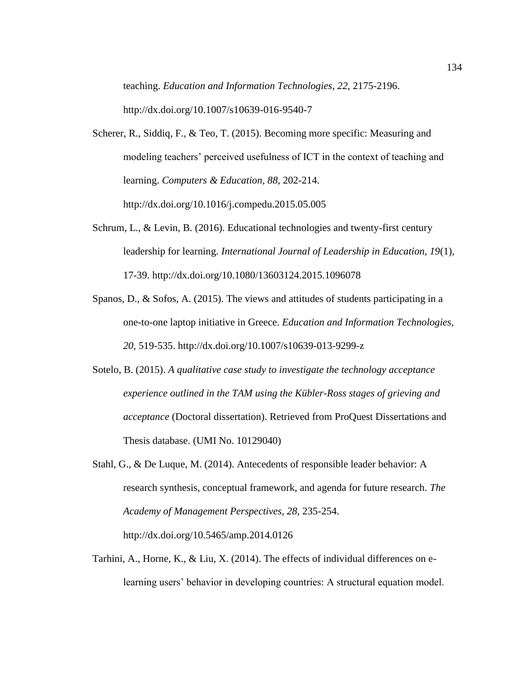teaching. *Education and Information Technologies*, *22*, 2175-2196. http://dx.doi.org/10.1007/s10639-016-9540-7

- Scherer, R., Siddiq, F., & Teo, T. (2015). Becoming more specific: Measuring and modeling teachers' perceived usefulness of ICT in the context of teaching and learning. *Computers & Education, 88*, 202-214. http://dx.doi.org/10.1016/j.compedu.2015.05.005
- Schrum, L., & Levin, B. (2016). Educational technologies and twenty-first century leadership for learning. *International Journal of Leadership in Education, 19*(1), 17-39. http://dx.doi.org/10.1080/13603124.2015.1096078
- Spanos, D., & Sofos, A. (2015). The views and attitudes of students participating in a one-to-one laptop initiative in Greece. *Education and Information Technologies, 20*, 519-535. http://dx.doi.org/10.1007/s10639-013-9299-z
- Sotelo, B. (2015). *A qualitative case study to investigate the technology acceptance experience outlined in the TAM using the Kübler-Ross stages of grieving and acceptance* (Doctoral dissertation). Retrieved from ProQuest Dissertations and Thesis database. (UMI No. 10129040)
- Stahl, G., & De Luque, M. (2014). Antecedents of responsible leader behavior: A research synthesis, conceptual framework, and agenda for future research. *The Academy of Management Perspectives, 28,* 235-254. http://dx.doi.org/10.5465/amp.2014.0126
- Tarhini, A., Horne, K., & Liu, X. (2014). The effects of individual differences on elearning users' behavior in developing countries: A structural equation model.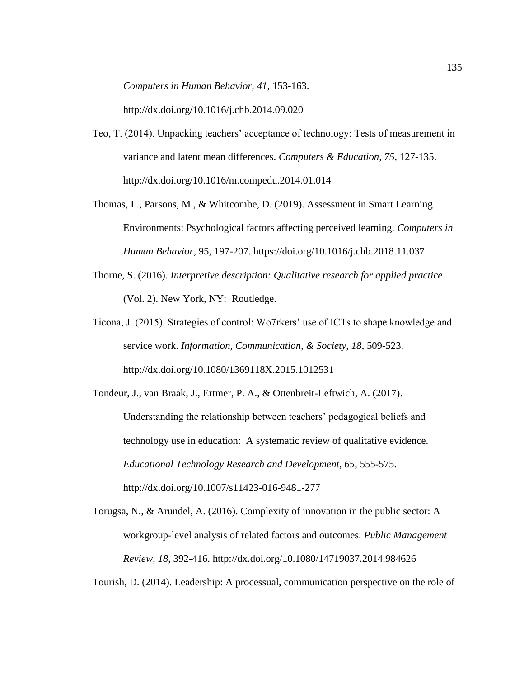*Computers in Human Behavior, 41,* 153-163.

http://dx.doi.org/10.1016/j.chb.2014.09.020

- Teo, T. (2014). Unpacking teachers' acceptance of technology: Tests of measurement in variance and latent mean differences. *Computers & Education, 75*, 127-135. <http://dx.doi.org/10.1016/m.compedu.2014.01.014>
- Thomas, L., Parsons, M., & Whitcombe, D. (2019). Assessment in Smart Learning Environments: Psychological factors affecting perceived learning. *Computers in Human Behavior*, 95, 197-207. https://doi.org/10.1016/j.chb.2018.11.037
- Thorne, S. (2016). *Interpretive description: Qualitative research for applied practice* (Vol. 2). New York, NY: Routledge.
- Ticona, J. (2015). Strategies of control: Wo7rkers' use of ICTs to shape knowledge and service work. *Information, Communication, & Society, 18,* 509-523. http://dx.doi.org/10.1080/1369118X.2015.1012531

Tondeur, J., van Braak, J., Ertmer, P. A., & Ottenbreit-Leftwich, A. (2017). Understanding the relationship between teachers' pedagogical beliefs and technology use in education: A systematic review of qualitative evidence. *Educational Technology Research and Development, 65*, 555-575. http://dx.doi.org/10.1007/s11423-016-9481-277

Torugsa, N., & Arundel, A. (2016). Complexity of innovation in the public sector: A workgroup-level analysis of related factors and outcomes. *Public Management Review, 18*, 392-416. http://dx.doi.org/10.1080/14719037.2014.984626

Tourish, D. (2014). Leadership: A processual, communication perspective on the role of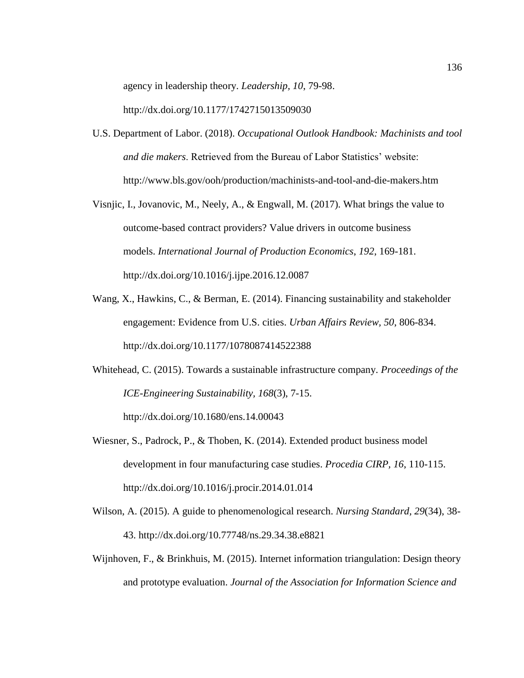agency in leadership theory. *Leadership, 10*, 79-98.

http://dx.doi.org/10.1177/1742715013509030

- U.S. Department of Labor. (2018). *Occupational Outlook Handbook: Machinists and tool and die makers*. Retrieved from the Bureau of Labor Statistics' website: <http://www.bls.gov/ooh/production/machinists-and-tool-and-die-makers.htm>
- Visnjic, I., Jovanovic, M., Neely, A., & Engwall, M. (2017). What brings the value to outcome-based contract providers? Value drivers in outcome business models. *International Journal of Production Economics*, *192*, 169-181. http://dx.doi.org/10.1016/j.ijpe.2016.12.0087
- Wang, X., Hawkins, C., & Berman, E. (2014). Financing sustainability and stakeholder engagement: Evidence from U.S. cities. *Urban Affairs Review, 50*, 806-834. http://dx.doi.org/10.1177/1078087414522388
- Whitehead, C. (2015). Towards a sustainable infrastructure company. *Proceedings of the ICE-Engineering Sustainability, 168*(3), 7-15. http://dx.doi.org/10.1680/ens.14.00043
- Wiesner, S., Padrock, P., & Thoben, K. (2014). Extended product business model development in four manufacturing case studies. *Procedia CIRP, 16*, 110-115. http://dx.doi.org/10.1016/j.procir.2014.01.014
- Wilson, A. (2015). A guide to phenomenological research. *Nursing Standard, 29*(34), 38- 43. http://dx.doi.org/10.77748/ns.29.34.38.e8821
- Wijnhoven, F., & Brinkhuis, M. (2015). Internet information triangulation: Design theory and prototype evaluation. *Journal of the Association for Information Science and*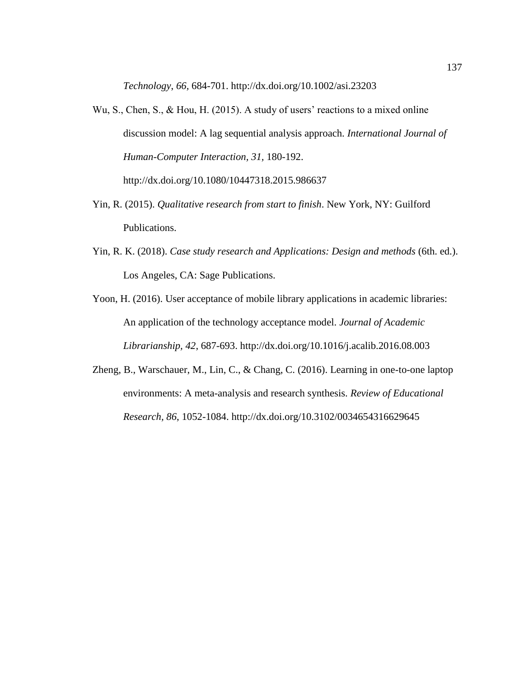*Technology*, *66,* 684-701. http://dx.doi.org/10.1002/asi.23203

- Wu, S., Chen, S., & Hou, H. (2015). A study of users' reactions to a mixed online discussion model: A lag sequential analysis approach. *International Journal of Human-Computer Interaction, 31,* 180-192. http://dx.doi.org/10.1080/10447318.2015.986637
- Yin, R. (2015). *Qualitative research from start to finish*. New York, NY: Guilford Publications.
- Yin, R. K. (2018). *Case study research and Applications: Design and methods* (6th. ed.). Los Angeles, CA: Sage Publications.

Yoon, H. (2016). User acceptance of mobile library applications in academic libraries: An application of the technology acceptance model. *Journal of Academic Librarianship, 42*, 687-693. http://dx.doi.org/10.1016/j.acalib.2016.08.003

Zheng, B., Warschauer, M., Lin, C., & Chang, C. (2016). Learning in one-to-one laptop environments: A meta-analysis and research synthesis. *Review of Educational Research, 86*, 1052-1084. http://dx.doi.org/10.3102/0034654316629645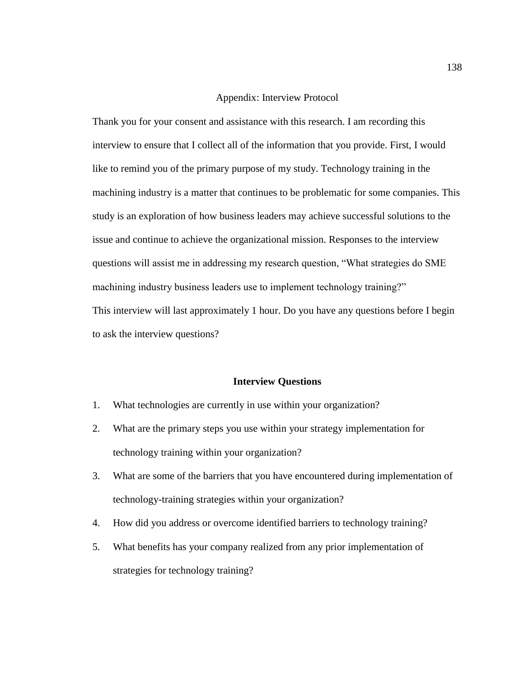## Appendix: Interview Protocol

Thank you for your consent and assistance with this research. I am recording this interview to ensure that I collect all of the information that you provide. First, I would like to remind you of the primary purpose of my study. Technology training in the machining industry is a matter that continues to be problematic for some companies. This study is an exploration of how business leaders may achieve successful solutions to the issue and continue to achieve the organizational mission. Responses to the interview questions will assist me in addressing my research question, "What strategies do SME machining industry business leaders use to implement technology training?" This interview will last approximately 1 hour. Do you have any questions before I begin to ask the interview questions?

## **Interview Questions**

- 1. What technologies are currently in use within your organization?
- 2. What are the primary steps you use within your strategy implementation for technology training within your organization?
- 3. What are some of the barriers that you have encountered during implementation of technology-training strategies within your organization?
- 4. How did you address or overcome identified barriers to technology training?
- 5. What benefits has your company realized from any prior implementation of strategies for technology training?